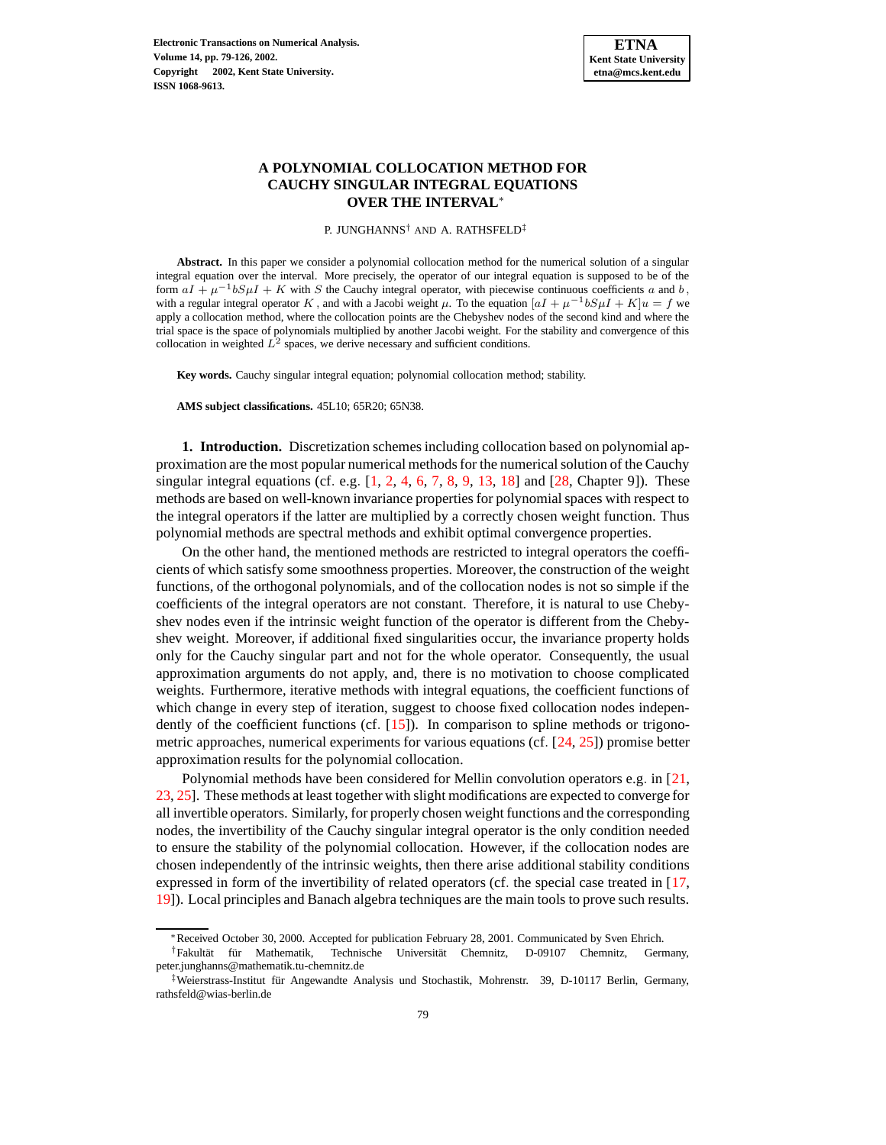

# **A POLYNOMIAL COLLOCATION METHOD FOR CAUCHY SINGULAR INTEGRAL EQUATIONS OVER THE INTERVAL**∗

P. JUNGHANNS<sup>†</sup> AND A. RATHSFELD<sup>‡</sup>

**Abstract.** In this paper we consider a polynomial collocation method for the numerical solution of a singular integral equation over the interval. More precisely, the operator of our integral equation is supposed to be of the form  $aI + \mu^{-1}bS\mu I + K$  with S the Cauchy integral operator, with piecewise continuous coefficients a and b, with a regular integral operator K, and with a Jacobi weight  $\mu$ . To the equation  $[aI + \mu^{-1}bS\mu I + K]u = f$  we apply a collocation method, where the collocation points are the Chebyshev nodes of the second kind and where the trial space is the space of polynomials multiplied by another Jacobi weight. For the stability and convergence of this collocation in weighted  $\hat{L}^2$  spaces, we derive necessary and sufficient conditions.

**Key words.** Cauchy singular integral equation; polynomial collocation method; stability.

**AMS subject classifications.** 45L10; 65R20; 65N38.

**1. Introduction.** Discretization schemes including collocation based on polynomial approximation are the most popular numerical methods for the numerical solution of the Cauchy singular integral equations (cf. e.g.  $[1, 2, 4, 6, 7, 8, 9, 13, 18]$  $[1, 2, 4, 6, 7, 8, 9, 13, 18]$  $[1, 2, 4, 6, 7, 8, 9, 13, 18]$  $[1, 2, 4, 6, 7, 8, 9, 13, 18]$  $[1, 2, 4, 6, 7, 8, 9, 13, 18]$  $[1, 2, 4, 6, 7, 8, 9, 13, 18]$  $[1, 2, 4, 6, 7, 8, 9, 13, 18]$  $[1, 2, 4, 6, 7, 8, 9, 13, 18]$  $[1, 2, 4, 6, 7, 8, 9, 13, 18]$  $[1, 2, 4, 6, 7, 8, 9, 13, 18]$  $[1, 2, 4, 6, 7, 8, 9, 13, 18]$  $[1, 2, 4, 6, 7, 8, 9, 13, 18]$  $[1, 2, 4, 6, 7, 8, 9, 13, 18]$  $[1, 2, 4, 6, 7, 8, 9, 13, 18]$  $[1, 2, 4, 6, 7, 8, 9, 13, 18]$  $[1, 2, 4, 6, 7, 8, 9, 13, 18]$  $[1, 2, 4, 6, 7, 8, 9, 13, 18]$  and  $[28, Chapter 9]$  $[28, Chapter 9]$ ). These methods are based on well-known invariance properties for polynomialspaces with respect to the integral operators if the latter are multiplied by a correctly chosen weight function. Thus polynomial methods are spectral methods and exhibit optimal convergence properties.

On the other hand, the mentioned methods are restricted to integral operators the coefficients of which satisfy some smoothness properties. Moreover, the construction of the weight functions, of the orthogonal polynomials, and of the collocation nodes is not so simple if the coefficients of the integral operators are not constant. Therefore, it is natural to use Chebyshev nodes even if the intrinsic weight function of the operator is different from the Chebyshev weight. Moreover, if additional fixed singularities occur, the invariance property holds only for the Cauchy singular part and not for the whole operator. Consequently, the usual approximation arguments do not apply, and, there is no motivation to choose complicated weights. Furthermore, iterative methods with integral equations, the coefficient functions of which change in every step of iteration, suggest to choose fixed collocation nodes independently of the coefficient functions (cf. [\[15\]](#page-46-10)). In comparison to spline methods or trigonometric approaches, numerical experiments for various equations (cf. [\[24,](#page-46-11) [25\]](#page-46-12)) promise better approximation results for the polynomial collocation.

Polynomial methods have been considered for Mellin convolution operators e.g. in [\[21,](#page-46-13) [23,](#page-46-14) [25\]](#page-46-12). These methods at least together with slight modifications are expected to converge for all invertible operators. Similarly, for properly chosen weight functions and the corresponding nodes, the invertibility of the Cauchy singular integral operator is the only condition needed to ensure the stability of the polynomial collocation. However, if the collocation nodes are chosen independently of the intrinsic weights, then there arise additional stability conditions expressed in form of the invertibility of related operators (cf. the special case treated in [\[17,](#page-46-15) [19\]](#page-46-16)). Local principles and Banach algebra techniques are the main tools to prove such results.

<sup>∗</sup>Received October 30, 2000. Accepted for publication February 28, 2001. Communicated by Sven Ehrich.

<sup>†</sup>Fakultat¨ fur¨ Mathematik, Technische Universitat¨ Chemnitz, D-09107 Chemnitz, Germany, peter.junghanns@mathematik.tu-chemnitz.de

<sup>&</sup>lt;sup>‡</sup>Weierstrass-Institut für Angewandte Analysis und Stochastik, Mohrenstr. 39, D-10117 Berlin, Germany, rathsfeld@wias-berlin.de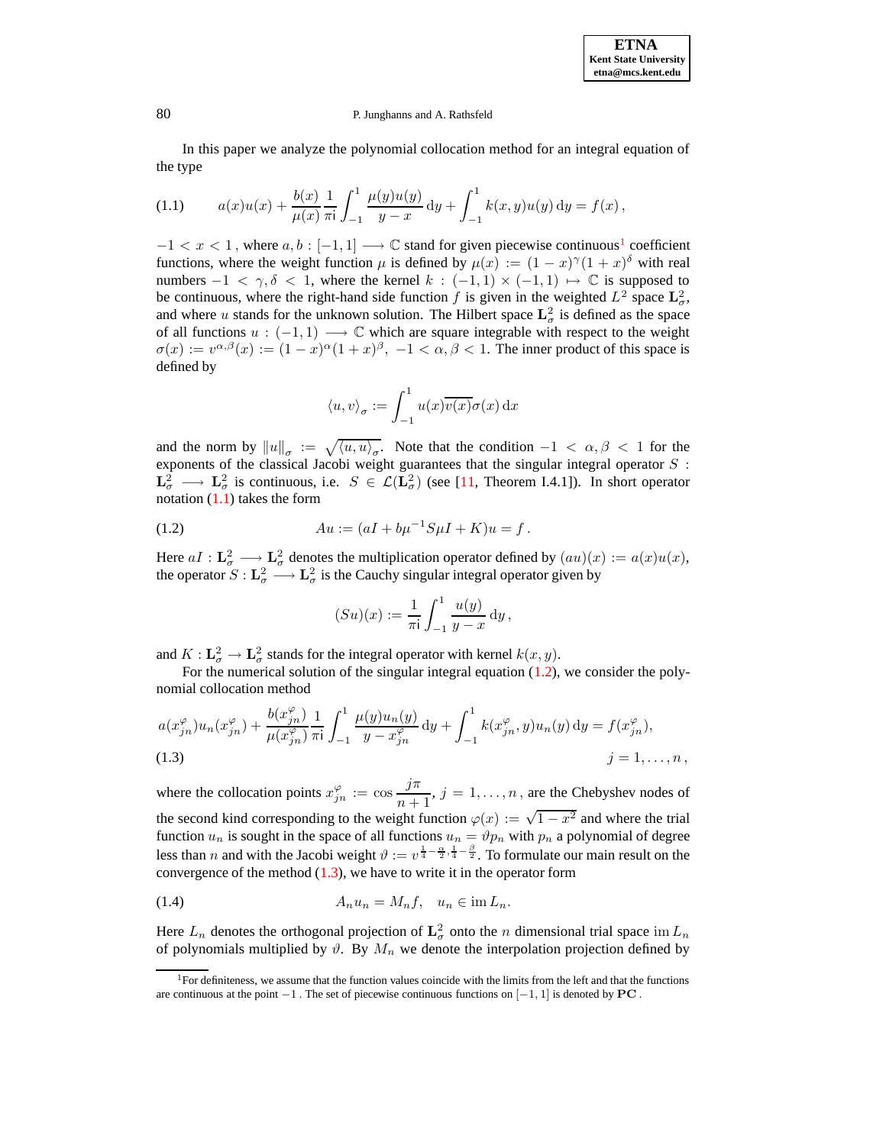In this paper we analyze the polynomial collocation method for an integral equation of the type

<span id="page-1-1"></span>(1.1) 
$$
a(x)u(x) + \frac{b(x)}{\mu(x)} \frac{1}{\pi i} \int_{-1}^{1} \frac{\mu(y)u(y)}{y-x} dy + \int_{-1}^{1} k(x, y)u(y) dy = f(x),
$$

 $-1 < x < 1$  $-1 < x < 1$  $-1 < x < 1$ , where  $a, b : [-1, 1] \longrightarrow \mathbb{C}$  stand for given piecewise continuous<sup>1</sup> coefficient functions, where the weight function  $\mu$  is defined by  $\mu(x) := (1-x)^{\gamma}(1+x)^{\delta}$  with real numbers  $-1 < \gamma, \delta < 1$ , where the kernel  $k : (-1,1) \times (-1,1) \mapsto \mathbb{C}$  is supposed to be continuous, where the right-hand side function f is given in the weighted  $L^2$  space  $\mathbf{L}^2_\sigma$ , and where u stands for the unknown solution. The Hilbert space  $\mathbf{L}^2_\sigma$  is defined as the space of all functions  $u : (-1,1) \longrightarrow \mathbb{C}$  which are square integrable with respect to the weight  $\sigma(x) := v^{\alpha,\beta}(x) := (1-x)^{\alpha}(1+x)^{\beta}, -1 < \alpha, \beta < 1$ . The inner product of this space is defined by

$$
\langle u, v \rangle_{\sigma} := \int_{-1}^{1} u(x) \overline{v(x)} \sigma(x) \, \mathrm{d}x
$$

and the norm by  $||u||_{\sigma} := \sqrt{\langle u, u \rangle_{\sigma}}$ . Note that the condition  $-1 < \alpha, \beta < 1$  for the exponents of the classical Jacobi weight guarantees that the singular integral operator  $S$ :  $\mathbf{L}_{\sigma}^2 \longrightarrow \mathbf{L}_{\sigma}^2$  is continuous, i.e.  $S \in \mathcal{L}(\mathbf{L}_{\sigma}^2)$  (see [\[11,](#page-46-17) Theorem I.4.1]). In short operator notation  $(1.1)$  takes the form

<span id="page-1-2"></span>(1.2) 
$$
Au := (aI + b\mu^{-1}S\mu I + K)u = f.
$$

Here  $aI : L^2_\sigma \longrightarrow L^2_\sigma$  denotes the multiplication operator defined by  $(au)(x) := a(x)u(x)$ , the operator  $S: L^2_\sigma \longrightarrow L^2_\sigma$  is the Cauchy singular integral operator given by

$$
(Su)(x) := \frac{1}{\pi i} \int_{-1}^{1} \frac{u(y)}{y - x} \, dy,
$$

and  $K: \mathbf{L}^2_{\sigma} \to \mathbf{L}^2_{\sigma}$  stands for the integral operator with kernel  $k(x, y)$ .

For the numerical solution of the singular integral equation  $(1.2)$ , we consider the polynomial collocation method

<span id="page-1-3"></span>
$$
a(x_{jn}^{\varphi})u_n(x_{jn}^{\varphi}) + \frac{b(x_{jn}^{\varphi})}{\mu(x_{jn}^{\varphi})} \frac{1}{\pi i} \int_{-1}^{1} \frac{\mu(y)u_n(y)}{y - x_{jn}^{\varphi}} dy + \int_{-1}^{1} k(x_{jn}^{\varphi}, y)u_n(y) dy = f(x_{jn}^{\varphi}),
$$
  
(1.3) 
$$
j = 1, ..., n,
$$

where the collocation points  $x_{jn}^{\varphi} := \cos \frac{j\pi}{n+1}$  $\frac{j}{n+1}$ ,  $j = 1, ..., n$ , are the Chebyshev nodes of the second kind corresponding to the weight function  $\varphi(x) := \sqrt{1 - x^2}$  and where the trial function  $u_n$  is sought in the space of all functions  $u_n = \vartheta p_n$  with  $p_n$  a polynomial of degree less than *n* and with the Jacobi weight  $\vartheta := v^{\frac{1}{4} - \frac{\alpha}{2}, \frac{1}{4} - \frac{\beta}{2}}$ . To formulate our main result on the convergence of the method  $(1.3)$ , we have to write it in the operator form

<span id="page-1-4"></span>
$$
(1.4) \t A_n u_n = M_n f, \t u_n \in \text{im } L_n.
$$

Here  $L_n$  denotes the orthogonal projection of  $\mathbf{L}^2_\sigma$  onto the n dimensional trial space im  $L_n$ of polynomials multiplied by  $\vartheta$ . By  $M_n$  we denote the interpolation projection defined by

<span id="page-1-0"></span><sup>&</sup>lt;sup>1</sup>For definiteness, we assume that the function values coincide with the limits from the left and that the functions are continuous at the point  $-1$ . The set of piecewise continuous functions on  $[-1, 1]$  is denoted by **PC**.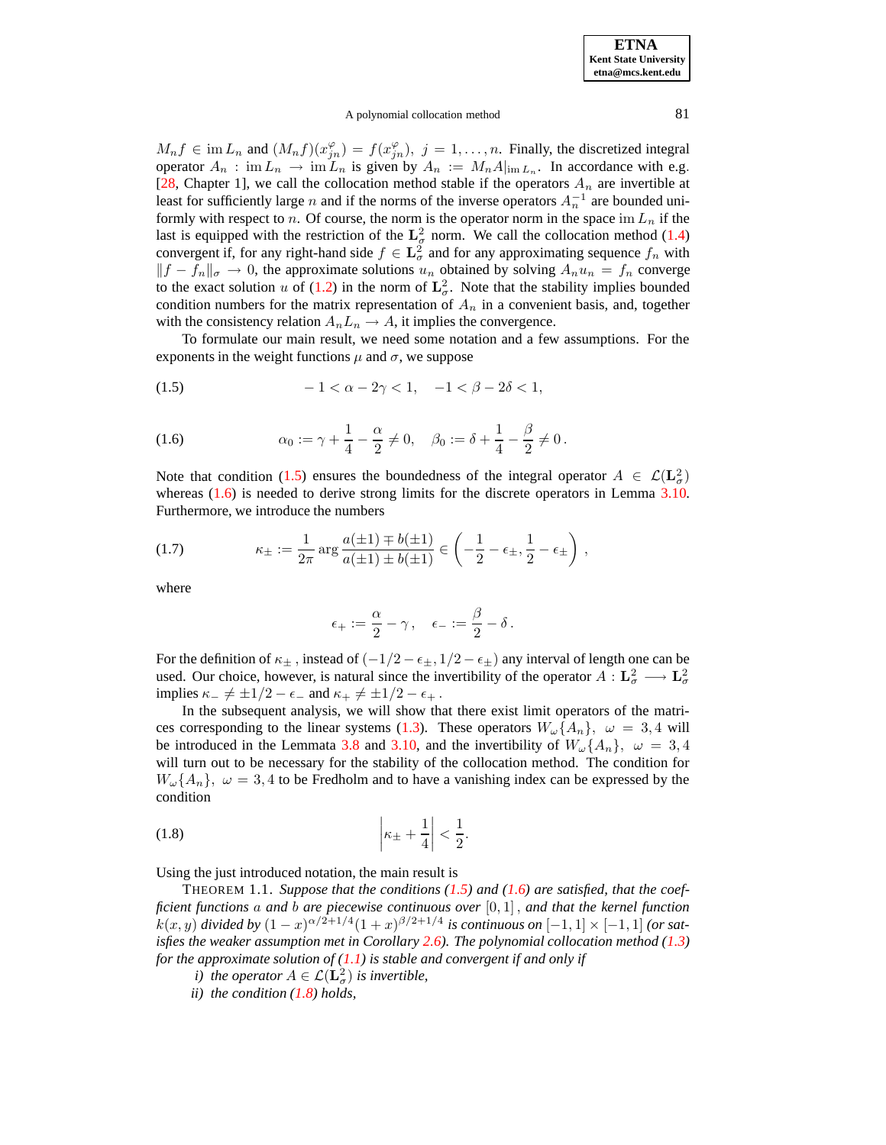### A polynomial collocation method 81

 $M_n f \in \text{im } L_n$  and  $(M_n f)(x_{jn}^{\varphi}) = f(x_{jn}^{\varphi}), \ j = 1, \ldots, n$ . Finally, the discretized integral operator  $A_n$ : im  $L_n \to \text{im } L_n$  is given by  $A_n := M_n A_{\text{im } L_n}$ . In accordance with e.g. [\[28,](#page-46-9) Chapter 1], we call the collocation method stable if the operators  $A_n$  are invertible at least for sufficiently large *n* and if the norms of the inverse operators  $A_n^{-1}$  are bounded uniformly with respect to n. Of course, the norm is the operator norm in the space im  $L_n$  if the last is equipped with the restriction of the  $L^2_{\sigma}$  norm. We call the collocation method [\(1.4\)](#page-1-4) convergent if, for any right-hand side  $f \in \mathbf{L}^2_\sigma$  and for any approximating sequence  $f_n$  with  $||f - f_n||_{\sigma} \to 0$ , the approximate solutions  $u_n$  obtained by solving  $A_n u_n = f_n$  converge to the exact solution u of [\(1.2\)](#page-1-2) in the norm of  $\mathbf{L}^2_{\sigma}$ . Note that the stability implies bounded condition numbers for the matrix representation of  $A_n$  in a convenient basis, and, together with the consistency relation  $A_n L_n \to A$ , it implies the convergence.

To formulate our main result, we need some notation and a few assumptions. For the exponents in the weight functions  $\mu$  and  $\sigma$ , we suppose

<span id="page-2-0"></span>(1.5) 
$$
-1 < \alpha - 2\gamma < 1, \quad -1 < \beta - 2\delta < 1,
$$

<span id="page-2-1"></span>(1.6) 
$$
\alpha_0 := \gamma + \frac{1}{4} - \frac{\alpha}{2} \neq 0, \quad \beta_0 := \delta + \frac{1}{4} - \frac{\beta}{2} \neq 0.
$$

Note that condition [\(1.5\)](#page-2-0) ensures the boundedness of the integral operator  $A \in \mathcal{L}(\mathbf{L}^2_\sigma)$ whereas  $(1.6)$  is needed to derive strong limits for the discrete operators in Lemma [3.10.](#page-13-0) Furthermore, we introduce the numbers

<span id="page-2-4"></span>(1.7) 
$$
\kappa_{\pm} := \frac{1}{2\pi} \arg \frac{a(\pm 1) \mp b(\pm 1)}{a(\pm 1) \pm b(\pm 1)} \in \left( -\frac{1}{2} - \epsilon_{\pm}, \frac{1}{2} - \epsilon_{\pm} \right),
$$

where

$$
\epsilon_+:=\frac{\alpha}{2}-\gamma\,,\quad \epsilon_-:=\frac{\beta}{2}-\delta\,.
$$

For the definition of  $\kappa_{\pm}$ , instead of  $(-1/2 - \epsilon_{\pm}, 1/2 - \epsilon_{\pm})$  any interval of length one can be used. Our choice, however, is natural since the invertibility of the operator  $A: L^2_{\sigma} \longrightarrow L^2_{\sigma}$ implies  $\kappa_- \neq \pm 1/2 - \epsilon_-$  and  $\kappa_+ \neq \pm 1/2 - \epsilon_+$ .

In the subsequent analysis, we will show that there exist limit operators of the matri-ces corresponding to the linear systems [\(1.3\)](#page-1-3). These operators  $W_{\omega}\{A_n\}$ ,  $\omega = 3.4$  will be introduced in the Lemmata [3.8](#page-10-0) and [3.10,](#page-13-0) and the invertibility of  $W_{\omega}\{A_n\}$ ,  $\omega = 3, 4$ will turn out to be necessary for the stability of the collocation method. The condition for  $W_{\omega} \{A_n\}, \ \omega = 3,4$  to be Fredholm and to have a vanishing index can be expressed by the condition

<span id="page-2-2"></span>
$$
\left|\kappa_{\pm} + \frac{1}{4}\right| < \frac{1}{2}.
$$

<span id="page-2-3"></span>Using the just introduced notation, the main result is

THEOREM 1.1. *Suppose that the conditions [\(1.5\)](#page-2-0) and [\(1.6\)](#page-2-1) are satisfied, that the coefficient functions* a *and* b *are piecewise continuous over* [0, 1] , *and that the kernel function*  $k(x, y)$  *divided by*  $(1 - x)^{\alpha/2 + 1/4} (1 + x)^{\beta/2 + 1/4}$  *is continuous on*  $[-1, 1] \times [-1, 1]$  *(or satisfies the weaker assumption met in Corollary [2.6\)](#page-8-0). The polynomial collocation method [\(1.3\)](#page-1-3) for the approximate solution of [\(1.1\)](#page-1-1) is stable and convergent if and only if*

- *i) the operator*  $A \in \mathcal{L}(\mathbf{L}_{\sigma}^2)$  *is invertible,*
- *ii) the condition [\(1.8\)](#page-2-2) holds,*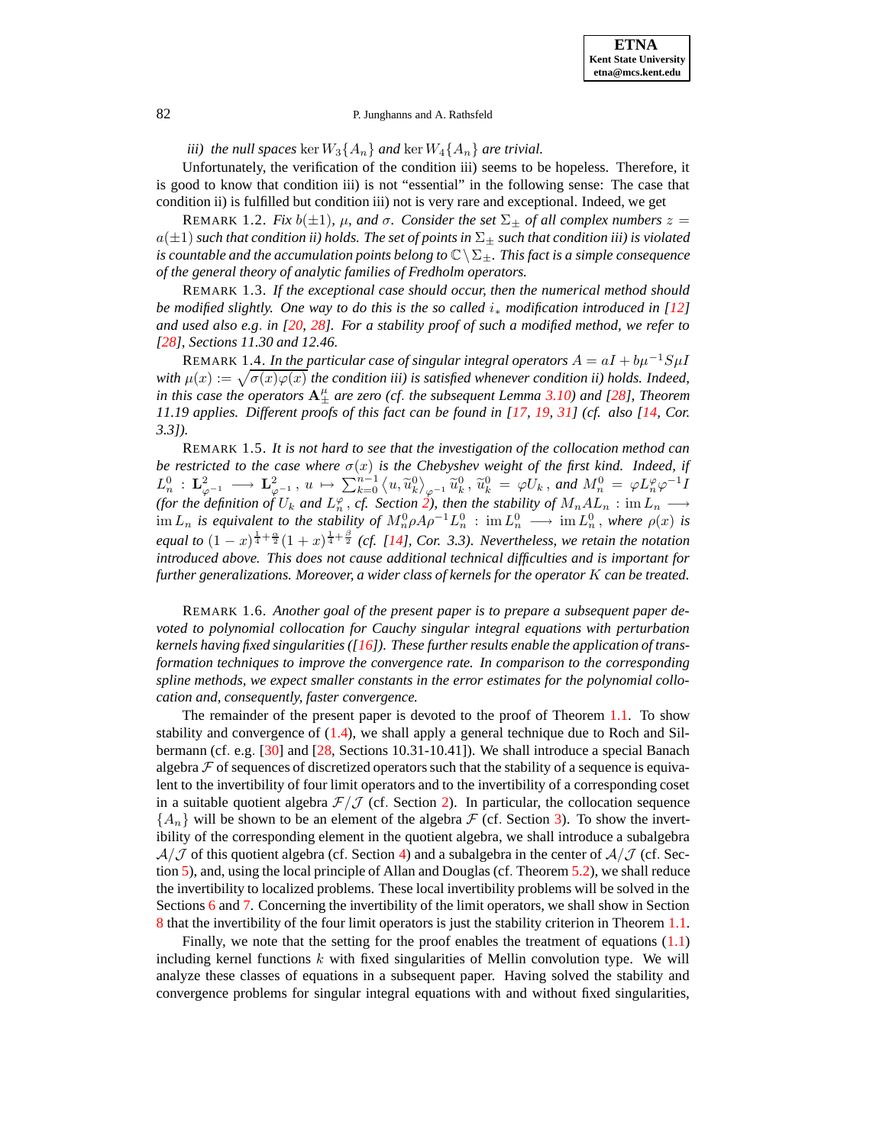*iii) the null spaces* ker  $W_3\{A_n\}$  *and* ker  $W_4\{A_n\}$  *are trivial.* 

Unfortunately, the verification of the condition iii) seems to be hopeless. Therefore, it is good to know that condition iii) is not "essential" in the following sense: The case that condition ii) is fulfilled but condition iii) not is very rare and exceptional. Indeed, we get

**REMARK** 1.2. *Fix*  $b(\pm 1)$ *,*  $\mu$ *, and*  $\sigma$ *. Consider the set*  $\Sigma_+$  *of all complex numbers*  $z =$  $a(\pm 1)$  *such that condition ii) holds. The set of points in*  $\Sigma_{\pm}$  *such that condition iii) is violated is countable and the accumulation points belong to*  $\mathbb{C}\setminus\Sigma_{\pm}$ *. This fact is a simple consequence of the general theory of analytic families of Fredholm operators.*

REMARK 1.3. *If the exceptional case should occur, then the numerical method should be modified slightly. One way to do this is the so called* i<sup>∗</sup> *modification introduced in [\[12\]](#page-46-18)* and used also e.g. in  $[20, 28]$  $[20, 28]$  $[20, 28]$ . For a stability proof of such a modified method, we refer to *[\[28\]](#page-46-9), Sections 11.30 and 12.46.*

REMARK 1.4. *In the particular case of singular integral operators*  $A = aI + b\mu^{-1}S\mu I$ with  $\mu(x) := \sqrt{\sigma(x)\varphi(x)}$  the condition *iii*) is satisfied whenever condition *ii*) holds. Indeed, *in this case the operators*  $A^{\mu}_{\pm}$  *are zero* (*cf. the subsequent Lemma* [3.10\)](#page-13-0) *and* [\[28\]](#page-46-9)*, Theorem 11.19 applies. Different proofs of this fact can be found in [\[17,](#page-46-15) [19,](#page-46-16) [31\]](#page-47-0) (cf. also [\[14,](#page-46-20) Cor. 3.3]).*

REMARK 1.5. *It is not hard to see that the investigation of the collocation method can be* restricted to the case where  $\sigma(x)$  is the Chebyshev weight of the first kind. Indeed, if  $L^0_{\varphi} : \mathbf{L}^2_{\varphi^{-1}} \longrightarrow \mathbf{L}^2_{\varphi^{-1}}, u \mapsto \sum_{k=0}^{n-1} \langle u, \widetilde{u}^0_k \rangle_{\varphi^{-1}} \widetilde{u}^0_k, \widetilde{u}^0_k = \varphi U_k, \text{ and } M^0_n = \varphi L^\varphi_n \varphi^{-1} I$ *(for the definition of*  $U_k$  *and*  $L_n^{\varphi}$ *, cf. Section* 2*), then the stability of*  $M_nAL_n$  : im  $L_n$   $\longrightarrow$  $\lim L_n$  *is equivalent to the stability of*  $M_n^0 \rho A \rho^{-1} L_n^0$  :  $\lim L_n^0 \longrightarrow \lim L_n^0$ , where  $\rho(x)$  *is equal to*  $(1-x)^{\frac{1}{4}+\frac{\alpha}{2}}(1+x)^{\frac{1}{4}+\frac{\beta}{2}}$  *(cf. [\[14\]](#page-46-20), Cor.* 3.3). *Nevertheless, we retain the notation introduced above. This does not cause additional technical difficulties and is important for further generalizations. Moreover, a wider class of kernels for the operator* K *can be treated.*

REMARK 1.6. *Another goal of the present paper is to prepare a subsequent paper devoted to polynomial collocation for Cauchy singular integral equations with perturbation kernels having fixed singularities ([\[16\]](#page-46-21)). These further results enable the application of transformation techniques to improve the convergence rate. In comparison to the corresponding spline methods, we expect smaller constants in the error estimates for the polynomial collocation and, consequently, faster convergence.*

The remainder of the present paper is devoted to the proof of Theorem [1.1.](#page-2-3) To show stability and convergence of [\(1.4\)](#page-1-4), we shall apply a general technique due to Roch and Silbermann (cf. e.g. [\[30\]](#page-47-1) and [\[28,](#page-46-9) Sections 10.31-10.41]). We shall introduce a special Banach algebra  $\mathcal F$  of sequences of discretized operators such that the stability of a sequence is equivalent to the invertibility of four limit operators and to the invertibility of a corresponding coset in a suitable quotient algebra  $\mathcal{F}/\mathcal{J}$  (cf. Section [2\)](#page-4-0). In particular, the collocation sequence  ${A_n}$  will be shown to be an element of the algebra  $F$  (cf. Section [3\)](#page-8-1). To show the invertibility of the corresponding element in the quotient algebra, we shall introduce a subalgebra  $A/J$  of this quotient algebra (cf. Section [4\)](#page-25-0) and a subalgebra in the center of  $A/J$  (cf. Section [5\)](#page-30-0), and, using the local principle of Allan and Douglas (cf. Theorem [5.2\)](#page-32-0), we shall reduce the invertibility to localized problems. These local invertibility problems will be solved in the Sections [6](#page-32-1) and [7.](#page-36-0) Concerning the invertibility of the limit operators, we shall show in Section [8](#page-42-0) that the invertibility of the four limit operators is just the stability criterion in Theorem [1.1.](#page-2-3)

Finally, we note that the setting for the proof enables the treatment of equations [\(1.1\)](#page-1-1) including kernel functions  $k$  with fixed singularities of Mellin convolution type. We will analyze these classes of equations in a subsequent paper. Having solved the stability and convergence problems for singular integral equations with and without fixed singularities,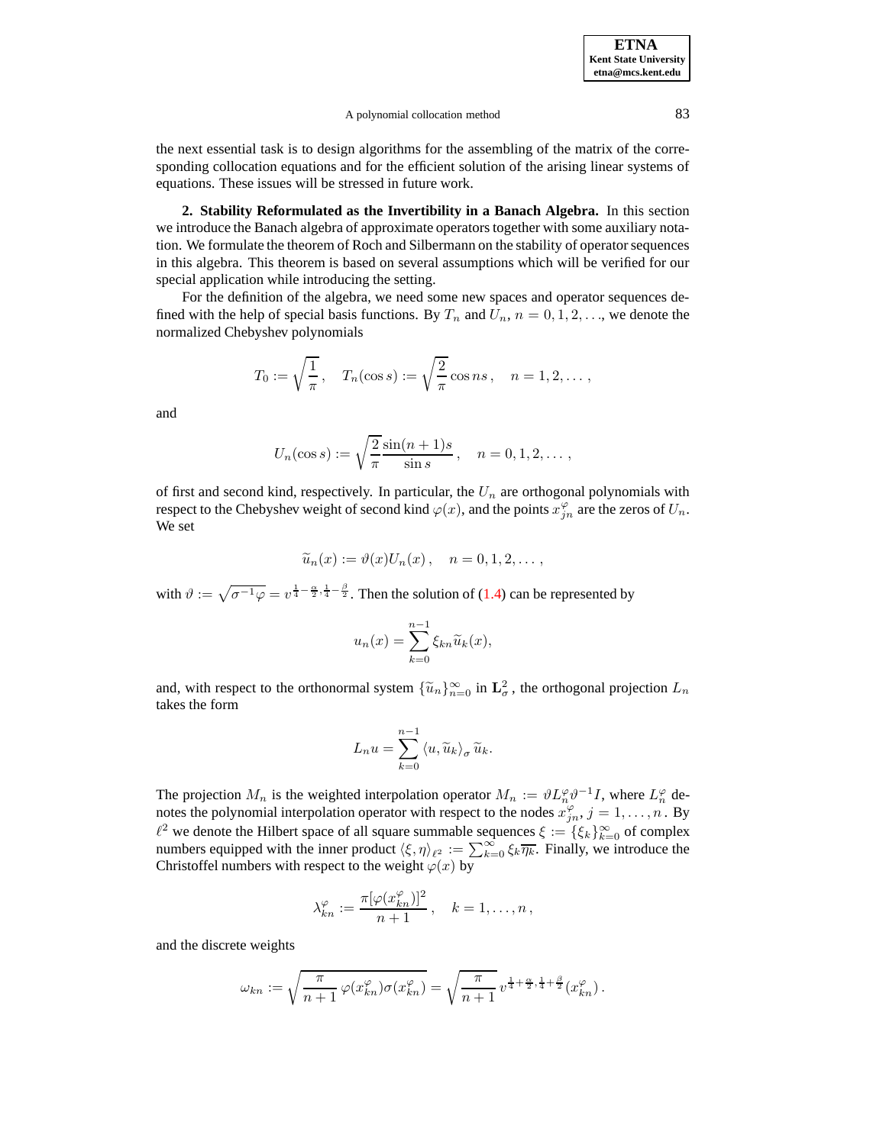A polynomial collocation method 83

the next essential task is to design algorithms for the assembling of the matrix of the corresponding collocation equations and for the efficient solution of the arising linear systems of equations. These issues will be stressed in future work.

<span id="page-4-0"></span>**2. Stability Reformulated as the Invertibility in a Banach Algebra.** In this section we introduce the Banach algebra of approximate operators together with some auxiliary notation. We formulate the theorem of Roch and Silbermann on the stability of operatorsequences in this algebra. This theorem is based on several assumptions which will be verified for our special application while introducing the setting.

For the definition of the algebra, we need some new spaces and operator sequences defined with the help of special basis functions. By  $T_n$  and  $U_n$ ,  $n = 0, 1, 2, \ldots$ , we denote the normalized Chebyshev polynomials

$$
T_0 := \sqrt{\frac{1}{\pi}}, \quad T_n(\cos s) := \sqrt{\frac{2}{\pi}} \cos ns, \quad n = 1, 2, \dots,
$$

and

$$
U_n(\cos s) := \sqrt{\frac{2}{\pi}} \frac{\sin(n+1)s}{\sin s}, \quad n = 0, 1, 2, \dots,
$$

of first and second kind, respectively. In particular, the  $U_n$  are orthogonal polynomials with respect to the Chebyshev weight of second kind  $\varphi(x)$ , and the points  $x_{jn}^{\varphi}$  are the zeros of  $U_n$ . We set

$$
\widetilde{u}_n(x) := \vartheta(x)U_n(x), \quad n = 0, 1, 2, \dots,
$$

with  $\vartheta := \sqrt{\sigma^{-1} \varphi} = v^{\frac{1}{4} - \frac{\alpha}{2}, \frac{1}{4} - \frac{\beta}{2}}$ . Then the solution of [\(1.4\)](#page-1-4) can be represented by

$$
u_n(x) = \sum_{k=0}^{n-1} \xi_{kn} \widetilde{u}_k(x),
$$

and, with respect to the orthonormal system  $\{\tilde{u}_n\}_{n=0}^{\infty}$  in  $\mathbf{L}^2_{\sigma}$ , the orthogonal projection  $L_n$ takes the form

$$
L_n u = \sum_{k=0}^{n-1} \langle u, \widetilde{u}_k \rangle_{\sigma} \widetilde{u}_k.
$$

The projection  $M_n$  is the weighted interpolation operator  $M_n := \partial L_n^{\varphi} \partial^{-1} I$ , where  $L_n^{\varphi}$  denotes the polynomial interpolation operator with respect to the nodes  $x_{jn}^{\varphi}$ ,  $j = 1, \ldots, n$ . By  $\ell^2$  we denote the Hilbert space of all square summable sequences  $\xi := {\xi_k}_{k=0}^{\infty}$  of complex numbers equipped with the inner product  $\langle \xi, \eta \rangle_{\ell^2} := \sum_{k=0}^{\infty} \xi_k \overline{\eta_k}$ . Finally, we introduce the Christoffel numbers with respect to the weight  $\varphi(x)$  by

$$
\lambda_{kn}^{\varphi} := \frac{\pi[\varphi(x_{kn}^{\varphi})]^2}{n+1}, \quad k = 1, \ldots, n,
$$

and the discrete weights

$$
\omega_{kn} := \sqrt{\frac{\pi}{n+1} \varphi(x_{kn}^{\varphi}) \sigma(x_{kn}^{\varphi})} = \sqrt{\frac{\pi}{n+1}} v^{\frac{1}{4} + \frac{\alpha}{2}, \frac{1}{4} + \frac{\beta}{2}}(x_{kn}^{\varphi}).
$$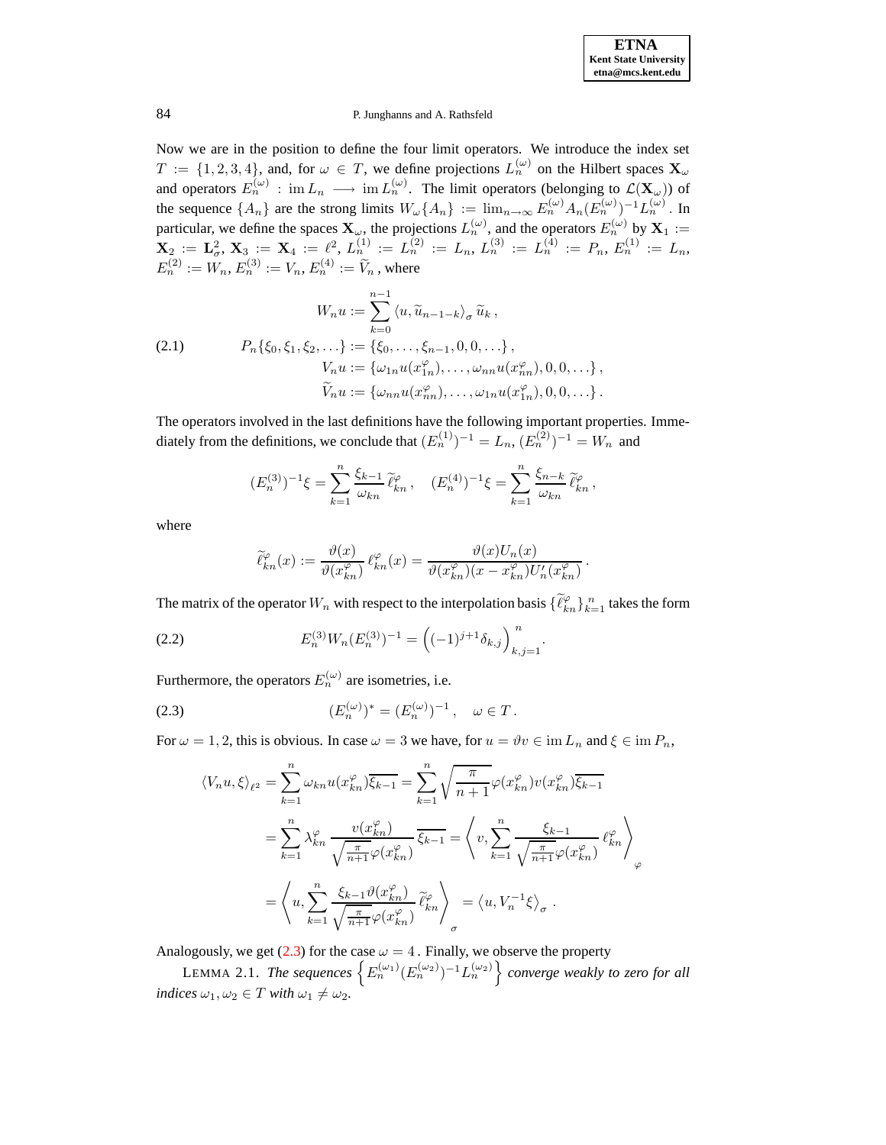Now we are in the position to define the four limit operators. We introduce the index set  $T := \{1, 2, 3, 4\}$ , and, for  $\omega \in T$ , we define projections  $L_n^{(\omega)}$  on the Hilbert spaces  $\mathbf{X}_{\omega}$ and operators  $E_n^{(\omega)}$ : im  $L_n \longrightarrow \text{im } L_n^{(\omega)}$ . The limit operators (belonging to  $\mathcal{L}(\mathbf{X}_{\omega})$ ) of the sequence  $\{A_n\}$  are the strong limits  $W_\omega\{A_n\} := \lim_{n \to \infty} E_n^{(\omega)} A_n(E_n^{(\omega)})^{-1} L_n^{(\omega)}$ . In particular, we define the spaces  $\mathbf{X}_{\omega}$ , the projections  $L_n^{(\omega)}$ , and the operators  $E_n^{(\omega)}$  by  $\mathbf{X}_1$  :=  $\mathbf{X}_2 \, := \, \mathbf{L}^2_\sigma, \, \mathbf{X}_3 \, := \, \mathbf{X}_4 \, := \, \ell^2, \, L^{(1)}_n \, := \, L^{(2)}_n \, := \, L_n, \, L^{(3)}_n \, := \, L^{(4)}_n \, := \, P_n, \, E^{(1)}_n \, := \, L_n,$  $E_n^{(2)} := W_n, E_n^{(3)} := V_n, E_n^{(4)} := \widetilde{V}_n$ , where

<span id="page-5-3"></span>(2.1) 
$$
W_n u := \sum_{k=0}^{n-1} \langle u, \widetilde{u}_{n-1-k} \rangle_{\sigma} \widetilde{u}_k,
$$

$$
P_n \{ \xi_0, \xi_1, \xi_2, \ldots \} := \{ \xi_0, \ldots, \xi_{n-1}, 0, 0, \ldots \},
$$

$$
V_n u := \{ \omega_{1n} u(x_{1n}^{\varphi}), \ldots, \omega_{nn} u(x_{nn}^{\varphi}), 0, 0, \ldots \},
$$

$$
\widetilde{V}_n u := \{ \omega_{nn} u(x_{nn}^{\varphi}), \ldots, \omega_{1n} u(x_{1n}^{\varphi}), 0, 0, \ldots \}.
$$

The operators involved in the last definitions have the following important properties. Immediately from the definitions, we conclude that  $(E_n^{(1)})^{-1} = L_n$ ,  $(E_n^{(2)})^{-1} = W_n$  and

$$
(E_n^{(3)})^{-1}\xi = \sum_{k=1}^n \frac{\xi_{k-1}}{\omega_{kn}} \tilde{\ell}_{kn}^{\varphi} , \quad (E_n^{(4)})^{-1}\xi = \sum_{k=1}^n \frac{\xi_{n-k}}{\omega_{kn}} \tilde{\ell}_{kn}^{\varphi} ,
$$

where

$$
\widetilde{\ell}_{kn}^{\varphi}(x) := \frac{\vartheta(x)}{\vartheta(x_{kn}^{\varphi})} \,\ell_{kn}^{\varphi}(x) = \frac{\vartheta(x) U_n(x)}{\vartheta(x_{kn}^{\varphi})(x - x_{kn}^{\varphi}) U_n'(x_{kn}^{\varphi})} \,.
$$

The matrix of the operator  $W_n$  with respect to the interpolation basis  $\{\tilde{\ell}_{kn}^{\varphi}\}_{k=1}^n$  takes the form

<span id="page-5-2"></span>(2.2) 
$$
E_n^{(3)} W_n (E_n^{(3)})^{-1} = \left( (-1)^{j+1} \delta_{k,j} \right)_{k,j=1}^n.
$$

<span id="page-5-0"></span>Furthermore, the operators  $E_n^{(\omega)}$  are isometries, i.e.

(2.3) 
$$
(E_n^{(\omega)})^* = (E_n^{(\omega)})^{-1}, \quad \omega \in T.
$$

For  $\omega = 1, 2$ , this is obvious. In case  $\omega = 3$  we have, for  $u = \vartheta v \in \text{im } L_n$  and  $\xi \in \text{im } P_n$ ,

<span id="page-5-1"></span>
$$
\langle V_n u, \xi \rangle_{\ell^2} = \sum_{k=1}^n \omega_{kn} u(x_{kn}^{\varphi}) \overline{\xi_{k-1}} = \sum_{k=1}^n \sqrt{\frac{\pi}{n+1}} \varphi(x_{kn}^{\varphi}) v(x_{kn}^{\varphi}) \overline{\xi_{k-1}}
$$

$$
= \sum_{k=1}^n \lambda_{kn}^{\varphi} \frac{v(x_{kn}^{\varphi})}{\sqrt{\frac{\pi}{n+1}} \varphi(x_{kn}^{\varphi})} \overline{\xi_{k-1}} = \left\langle v, \sum_{k=1}^n \frac{\xi_{k-1}}{\sqrt{\frac{\pi}{n+1}} \varphi(x_{kn}^{\varphi})} \ell_{kn}^{\varphi} \right\rangle_{\varphi}
$$

$$
= \left\langle u, \sum_{k=1}^n \frac{\xi_{k-1} \vartheta(x_{kn}^{\varphi})}{\sqrt{\frac{\pi}{n+1}} \varphi(x_{kn}^{\varphi})} \widetilde{\ell}_{kn}^{\varphi} \right\rangle_{\sigma} = \left\langle u, V_n^{-1} \xi \right\rangle_{\sigma}.
$$

Analogously, we get [\(2.3\)](#page-5-0) for the case  $\omega = 4$ . Finally, we observe the property

LEMMA 2.1. The sequences  $\left\{ E_n^{(\omega_1)}(E_n^{(\omega_2)})^{-1}L_n^{(\omega_2)} \right\}$  converge weakly to zero for all *indices*  $\omega_1, \omega_2 \in T$  *with*  $\omega_1 \neq \omega_2$ *.*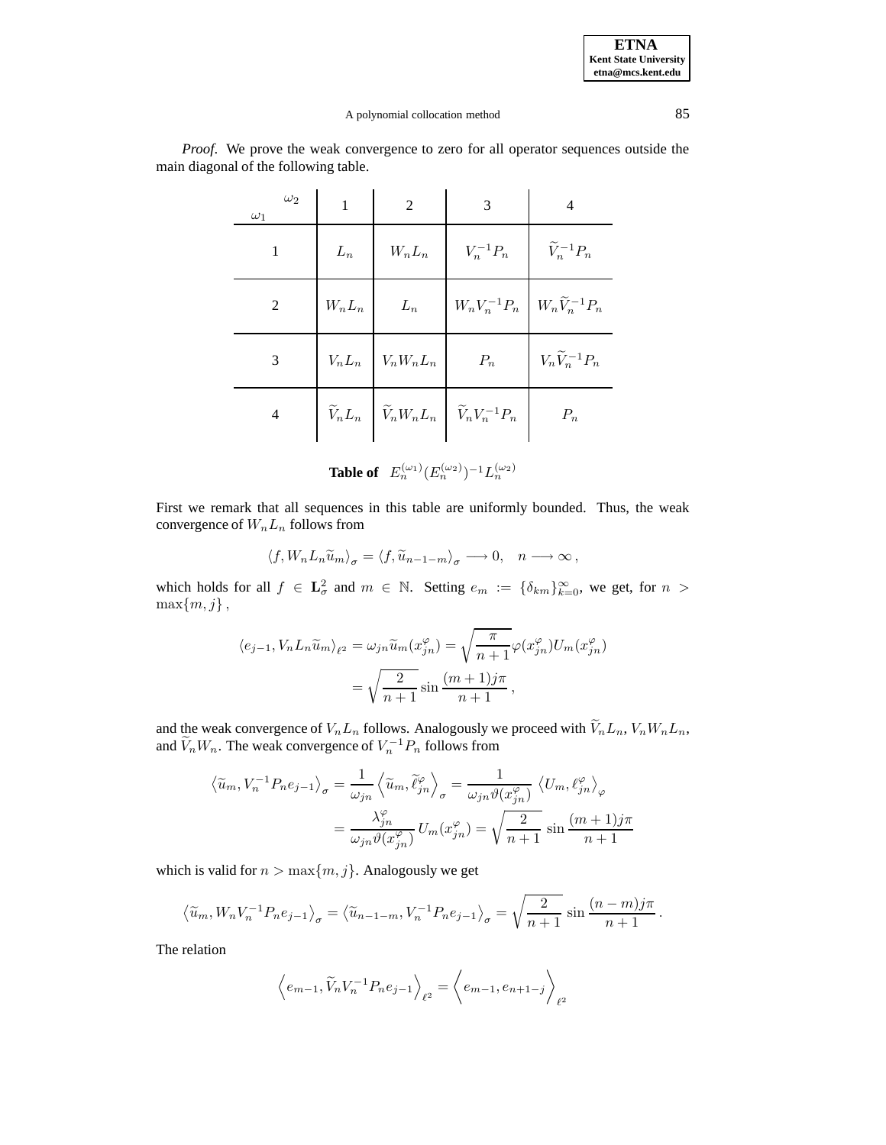## A polynomial collocation method 85

| $\omega_2$<br>$\omega_1$ | $\mathbf{1}$ | 2                                               | 3                                                                                         | 4                              |
|--------------------------|--------------|-------------------------------------------------|-------------------------------------------------------------------------------------------|--------------------------------|
|                          | $L_n$        | $W_nL_n$                                        | $V_n^{-1}P_n$                                                                             | $\widetilde{V}_n^{-1}P_n$      |
| $\overline{2}$           |              | $W_n L_n$ $L_n$                                 | $W_nV_n^{-1}P_n\ \Big \ W_n\widetilde{V}_n^{-1}P_n$                                       |                                |
| 3                        |              | $V_n L_n \left  V_n W_n L_n \right  \qquad P_n$ |                                                                                           | $V_n \widetilde{V}_n^{-1} P_n$ |
| 4                        |              |                                                 | $\widetilde{V}_n L_n \left[ \widetilde{V}_n W_n L_n \right] \widetilde{V}_n V_n^{-1} P_n$ | $P_n$                          |

*Proof*. We prove the weak convergence to zero for all operator sequences outside the main diagonal of the following table.

**Table of**  $E_n^{(\omega_1)}(E_n^{(\omega_2)})^{-1}L_n^{(\omega_2)}$ 

First we remark that all sequences in this table are uniformly bounded. Thus, the weak convergence of  $W_nL_n$  follows from

$$
\langle f, W_n L_n \widetilde{u}_m \rangle_{\sigma} = \langle f, \widetilde{u}_{n-1-m} \rangle_{\sigma} \longrightarrow 0, \quad n \longrightarrow \infty,
$$

which holds for all  $f \in \mathbf{L}^2_\sigma$  and  $m \in \mathbb{N}$ . Setting  $e_m := \{\delta_{km}\}_{k=0}^\infty$ , we get, for  $n >$  $\max\{m, j\},\$ 

$$
\langle e_{j-1}, V_n L_n \tilde{u}_m \rangle_{\ell^2} = \omega_{jn} \tilde{u}_m(x_{jn}^{\varphi}) = \sqrt{\frac{\pi}{n+1}} \varphi(x_{jn}^{\varphi}) U_m(x_{jn}^{\varphi})
$$

$$
= \sqrt{\frac{2}{n+1}} \sin \frac{(m+1)j\pi}{n+1},
$$

and the weak convergence of  $V_nL_n$  follows. Analogously we proceed with  $\widetilde{V}_nL_n$ ,  $V_nW_nL_n$ , and  $V_n W_n$ . The weak convergence of  $V_n^{-1} P_n$  follows from

$$
\langle \widetilde{u}_m, V_n^{-1} P_n e_{j-1} \rangle_{\sigma} = \frac{1}{\omega_{jn}} \langle \widetilde{u}_m, \widetilde{\ell}_{jn}^{\varphi} \rangle_{\sigma} = \frac{1}{\omega_{jn} \vartheta(x_{jn}^{\varphi})} \langle U_m, \ell_{jn}^{\varphi} \rangle_{\varphi}
$$

$$
= \frac{\lambda_{jn}^{\varphi}}{\omega_{jn} \vartheta(x_{jn}^{\varphi})} U_m(x_{jn}^{\varphi}) = \sqrt{\frac{2}{n+1}} \sin \frac{(m+1)j\pi}{n+1}
$$

which is valid for  $n > \max\{m, j\}$ . Analogously we get

$$
\left\langle \widetilde{u}_m, W_n V_n^{-1} P_n e_{j-1} \right\rangle_{\sigma} = \left\langle \widetilde{u}_{n-1-m}, V_n^{-1} P_n e_{j-1} \right\rangle_{\sigma} = \sqrt{\frac{2}{n+1}} \sin \frac{(n-m)j\pi}{n+1}.
$$

The relation

$$
\left\langle e_{m-1}, \widetilde{V}_n V_n^{-1} P_n e_{j-1} \right\rangle_{\ell^2} = \left\langle e_{m-1}, e_{n+1-j} \right\rangle_{\ell^2}
$$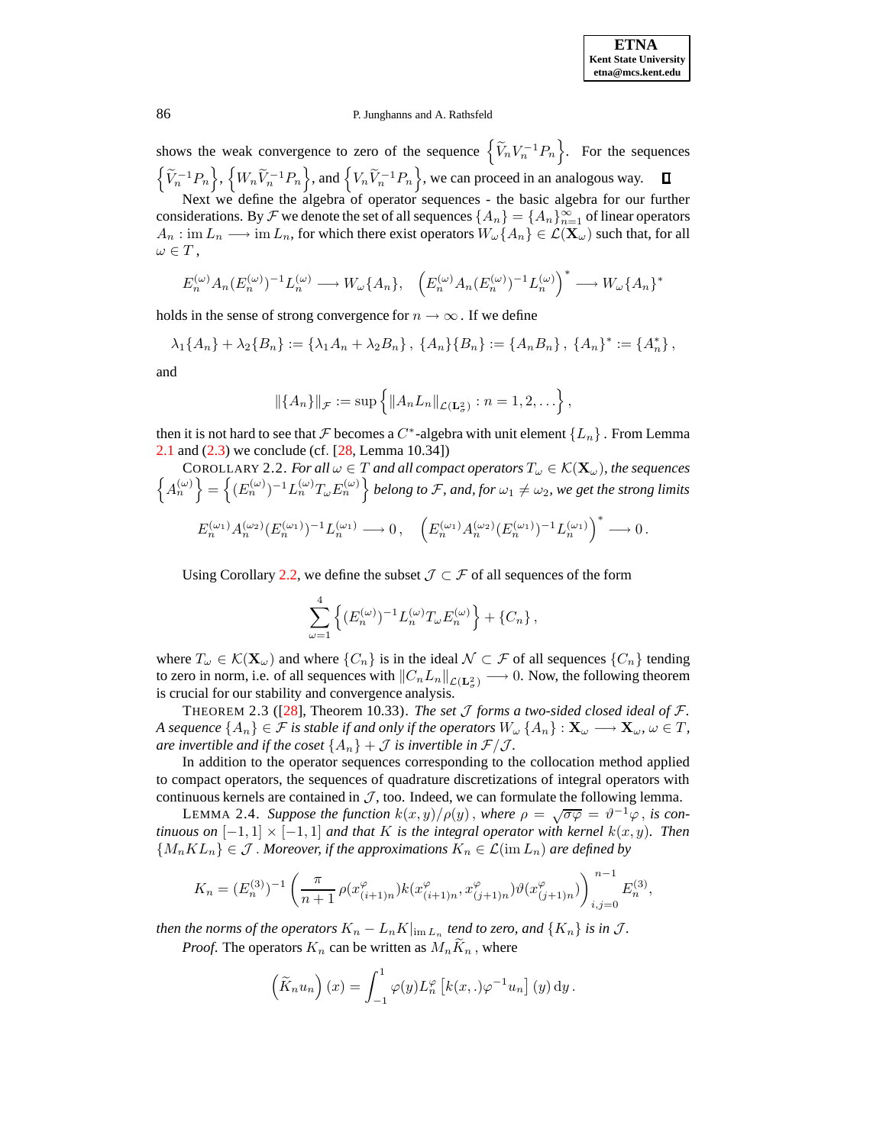shows the weak convergence to zero of the sequence  $\left\{ \widetilde{V}_n V_n^{-1} P_n \right\}$ . For the sequences  $\left\{\widetilde{V}_n^{-1}P_n\right\}$ ,  $\left\{W_n\widetilde{V}_n^{-1}P_n\right\}$ , and  $\left\{V_n\widetilde{V}_n^{-1}P_n\right\}$ , we can proceed in an analogous way.  $\Box$ 

Next we define the algebra of operator sequences - the basic algebra for our further considerations. By  $\mathcal F$  we denote the set of all sequences  $\{A_n\}=\{A_n\}_{n=1}^\infty$  of linear operators  $A_n: \text{im } L_n \longrightarrow \text{im } L_n$ , for which there exist operators  $W_\omega\{A_n\} \in \mathcal{L}(\mathbf{X}_\omega)$  such that, for all  $\omega \in T$ ,

$$
E_n^{(\omega)} A_n (E_n^{(\omega)})^{-1} L_n^{(\omega)} \longrightarrow W_\omega \{A_n\}, \quad \left(E_n^{(\omega)} A_n (E_n^{(\omega)})^{-1} L_n^{(\omega)}\right)^* \longrightarrow W_\omega \{A_n\}^*
$$

holds in the sense of strong convergence for  $n \to \infty$ . If we define

 $\lambda_1\{A_n\} + \lambda_2\{B_n\} := \{\lambda_1A_n + \lambda_2B_n\},\ \{A_n\}\{B_n\} := \{A_nB_n\},\ \{A_n\}^* := \{A_n^*\},\$ 

and

<span id="page-7-0"></span>
$$
\left\|\{A_n\}\right\|_{\mathcal{F}} := \sup \left\{\left\|A_n L_n\right\|_{\mathcal{L}(\mathbf{L}^2_{\sigma})} : n = 1, 2, \ldots\right\},\
$$

then it is not hard to see that  $\mathcal F$  becomes a  $C^*$ -algebra with unit element  $\{L_n\}$ . From Lemma [2.1](#page-5-1) and [\(2.3\)](#page-5-0) we conclude (cf. [\[28,](#page-46-9) Lemma 10.34])

COROLLARY 2.2. *For all*  $\omega \in T$  *and all compact operators*  $T_{\omega} \in \mathcal{K}(\mathbf{X}_{\omega})$ *, the sequences*  $\left\{ A_n^{(\omega)} \right\} = \left\{ (E_n^{(\omega)})^{-1} L_n^{(\omega)} T_{\omega} E_n^{(\omega)} \right\}$  belong to F, and, for  $\omega_1 \neq \omega_2$ , we get the strong limits  $E_n^{(\omega_1)} A_n^{(\omega_2)} (E_n^{(\omega_1)})^{-1} L_n^{(\omega_1)} \longrightarrow 0\,, \quad \left(E_n^{(\omega_1)} A_n^{(\omega_2)} (E_n^{(\omega_1)})^{-1} L_n^{(\omega_1)}\right)^* \longrightarrow 0\,.$ 

Using Corollary [2.2,](#page-7-0) we define the subset  $\mathcal{J} \subset \mathcal{F}$  of all sequences of the form

<span id="page-7-2"></span><span id="page-7-1"></span>
$$
\sum_{\omega=1}^{4} \left\{ (E_n^{(\omega)})^{-1} L_n^{(\omega)} T_{\omega} E_n^{(\omega)} \right\} + \left\{ C_n \right\},\,
$$

where  $T_{\omega} \in \mathcal{K}(\mathbf{X}_{\omega})$  and where  $\{C_n\}$  is in the ideal  $\mathcal{N} \subset \mathcal{F}$  of all sequences  $\{C_n\}$  tending to zero in norm, i.e. of all sequences with  $||C_nL_n||_{\mathcal{L}(\mathbf{L}^2_\sigma)} \longrightarrow 0$ . Now, the following theorem is crucial for our stability and convergence analysis.

THEOREM 2.3 ([\[28\]](#page-46-9), Theorem 10.33). *The set*  $J$  *forms a two-sided closed ideal of*  $\mathcal{F}$ *. A* sequence  $\{A_n\} \in \mathcal{F}$  *is stable if and only if the operators*  $W_\omega \{A_n\} : \mathbf{X}_\omega \longrightarrow \mathbf{X}_\omega, \omega \in T$ , *are invertible and if the coset*  $\{A_n\}$  +  $\mathcal J$  *is invertible in*  $\mathcal F/\mathcal J$ *.* 

In addition to the operator sequences corresponding to the collocation method applied to compact operators, the sequences of quadrature discretizations of integral operators with continuous kernels are contained in  $\mathcal{J}$ , too. Indeed, we can formulate the following lemma.

LEMMA 2.4. *Suppose the function*  $k(x, y) / \rho(y)$ , where  $\rho = \sqrt{\sigma \varphi} = \vartheta^{-1} \varphi$ , is con*tinuous on*  $[-1, 1] \times [-1, 1]$  *and that* K *is the integral operator with kernel*  $k(x, y)$ *. Then*  ${M_nKL_n} \in \mathcal{J}$ . Moreover, if the approximations  $K_n \in \mathcal{L}(\text{im } L_n)$  are defined by

$$
K_n=(E_n^{(3)})^{-1}\left(\frac{\pi}{n+1}\,\rho(x_{(i+1)n}^\varphi)k(x_{(i+1)n}^\varphi,x_{(j+1)n}^\varphi)\vartheta(x_{(j+1)n}^\varphi)\right)_{i,j=0}^{n-1}E_n^{(3)},
$$

*then the norms of the operators*  $K_n - L_n K |_{\text{im } L_n}$  *tend to zero, and*  $\{K_n\}$  *is in J.* 

*Proof.* The operators  $K_n$  can be written as  $M_nK_n$ , where

$$
\left(\widetilde{K}_n u_n\right)(x) = \int_{-1}^1 \varphi(y) L_n^{\varphi}\left[k(x,.)\varphi^{-1} u_n\right](y) \, dy.
$$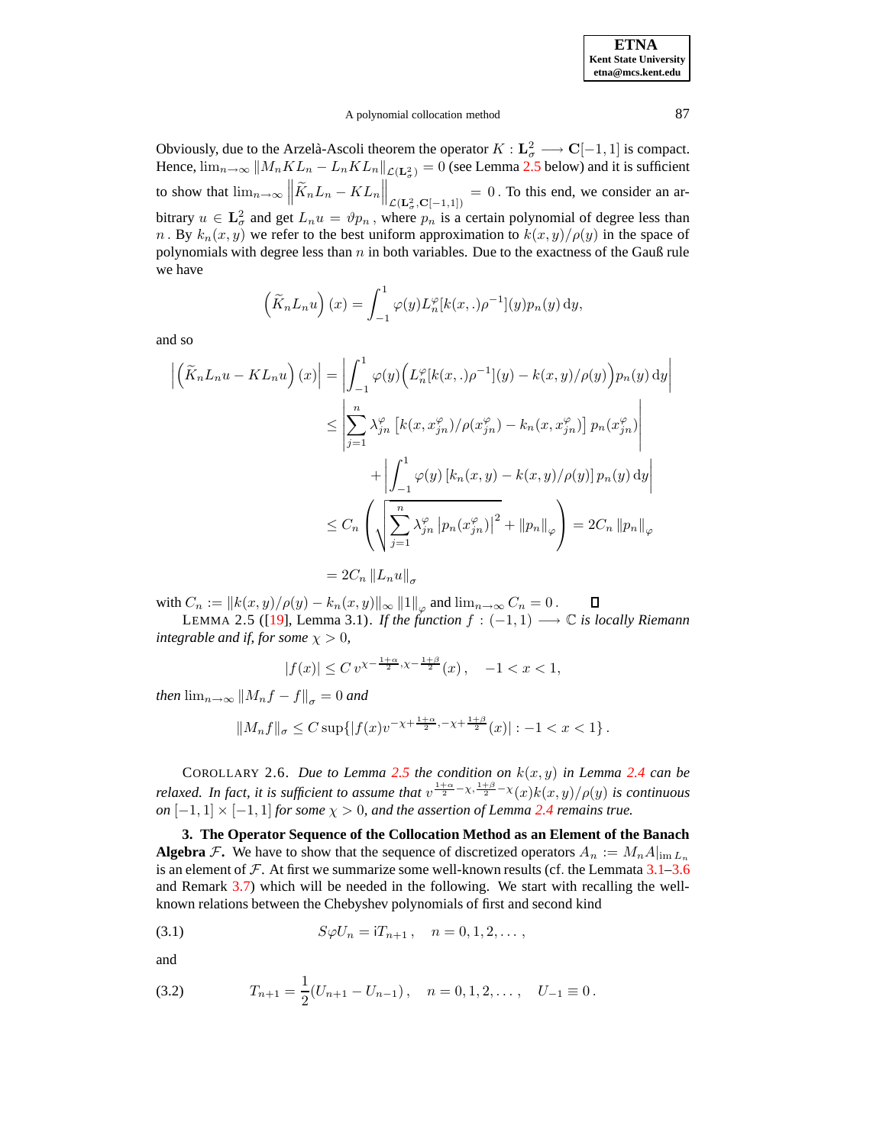<span id="page-8-2"></span>П

### A polynomial collocation method 87

Obviously, due to the Arzelà-Ascoli theorem the operator  $K : L^2_{\sigma} \longrightarrow \mathbb{C}[-1, 1]$  is compact. Hence,  $\lim_{n\to\infty}$   $||M_nKL_n - L_nKL_n||_{\mathcal{L}(\mathbf{L}^2_\sigma)} = 0$  (see Lemma [2.5](#page-8-2) below) and it is sufficient to show that  $\lim_{n\to\infty} \left\|\widetilde{K}_nL_n - KL_n\right\|_{\mathcal{L}(\mathbf{L}^2_{\sigma}, \mathbf{C}[-1,1])} = 0$ . To this end, we consider an arbitrary  $u \in \mathbf{L}_{\sigma}^2$  and get  $L_n u = \vartheta p_n$ , where  $p_n$  is a certain polynomial of degree less than n. By  $k_n(x, y)$  we refer to the best uniform approximation to  $k(x, y)/\rho(y)$  in the space of polynomials with degree less than  $n$  in both variables. Due to the exactness of the Gauß rule we have

$$
\left(\widetilde{K}_n L_n u\right)(x) = \int_{-1}^1 \varphi(y) L_n^{\varphi}[k(x,.)\rho^{-1}](y) p_n(y) \, \mathrm{d}y,
$$

and so

$$
\left| \left( \tilde{K}_n L_n u - KL_n u \right) (x) \right| = \left| \int_{-1}^1 \varphi(y) \Big( L_n^{\varphi}[k(x,.)\rho^{-1}](y) - k(x, y) / \rho(y) \Big) p_n(y) \, dy \right|
$$
  
\n
$$
\leq \left| \sum_{j=1}^n \lambda_{jn}^{\varphi} \left[ k(x, x_{jn}^{\varphi}) / \rho(x_{jn}^{\varphi}) - k_n(x, x_{jn}^{\varphi}) \right] p_n(x_{jn}^{\varphi}) \right|
$$
  
\n
$$
+ \left| \int_{-1}^1 \varphi(y) \left[ k_n(x, y) - k(x, y) / \rho(y) \right] p_n(y) \, dy \right|
$$
  
\n
$$
\leq C_n \left( \sqrt{\sum_{j=1}^n \lambda_{jn}^{\varphi} \left| p_n(x_{jn}^{\varphi}) \right|^2} + ||p_n||_{\varphi} \right) = 2C_n ||p_n||_{\varphi}
$$
  
\n
$$
= 2C_n ||L_n u||_{\sigma}
$$

with  $C_n := \|k(x,y)/\rho(y) - k_n(x,y)\|_\infty \, \|1\|_\varphi$  and  $\lim_{n\to\infty} C_n = 0$ .

LEMMA 2.5 ([\[19\]](#page-46-16), Lemma 3.1). *If the function*  $f$  :  $(-1, 1)$  →  $\mathbb C$  *is locally Riemann integrable and if, for some*  $\chi > 0$ *,* 

$$
|f(x)| \le C v^{\chi - \frac{1+\alpha}{2}, \chi - \frac{1+\beta}{2}}(x), \quad -1 < x < 1,
$$

*then*  $\lim_{n\to\infty}$   $||M_nf-f||_{\sigma} = 0$  *and* 

$$
||M_nf||_{\sigma} \leq C \sup\{|f(x)v^{-\chi + \frac{1+\alpha}{2}, -\chi + \frac{1+\beta}{2}}(x)| : -1 < x < 1\}.
$$

<span id="page-8-0"></span>COROLLARY 2.6. *Due to Lemma* [2.5](#page-8-2) *the condition on*  $k(x, y)$  *in Lemma* [2.4](#page-7-1) *can be relaxed. In fact, it is sufficient to assume that*  $v^{\frac{1+\alpha}{2}-\chi,\frac{1+\beta}{2}-\chi}(x)k(x,y)/\rho(y)$  *is continuous*  $\alpha$ *on*  $[-1, 1] \times [-1, 1]$  *for some*  $\chi > 0$ *, and the assertion of Lemma [2.4](#page-7-1) remains true.* 

<span id="page-8-1"></span>**3. The Operator Sequence of the Collocation Method as an Element of the Banach Algebra** F. We have to show that the sequence of discretized operators  $A_n := M_n A_{\text{lim}} L_n$ is an element of  $\mathcal F$ . At first we summarize some well-known results (cf. the Lemmata [3.1–](#page-9-0)[3.6](#page-9-1)) and Remark [3.7\)](#page-10-1) which will be needed in the following. We start with recalling the wellknown relations between the Chebyshev polynomials of first and second kind

<span id="page-8-3"></span>(3.1) 
$$
S\varphi U_n = iT_{n+1}, \quad n = 0, 1, 2, \dots,
$$

and

<span id="page-8-4"></span>(3.2) 
$$
T_{n+1} = \frac{1}{2}(U_{n+1} - U_{n-1}), \quad n = 0, 1, 2, \dots, \quad U_{-1} \equiv 0.
$$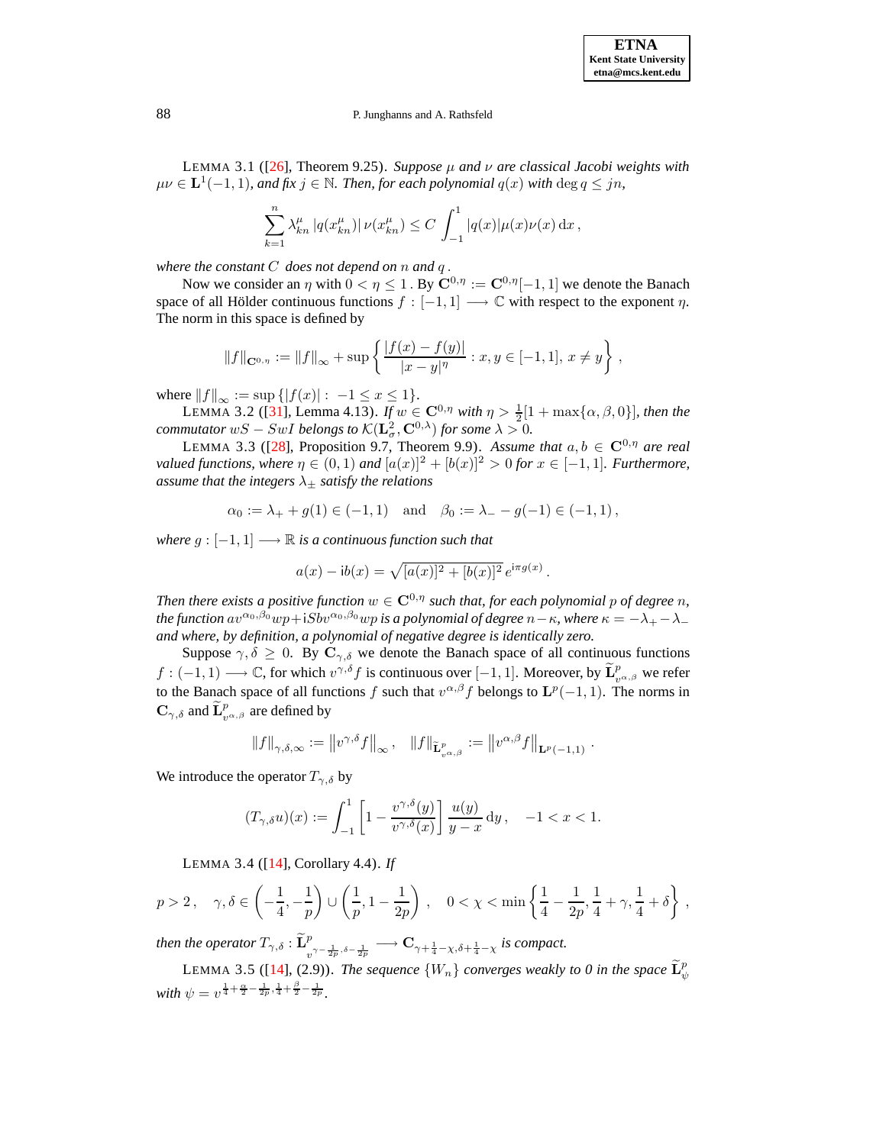<span id="page-9-0"></span>LEMMA 3.1 ([\[26\]](#page-46-22), Theorem 9.25). *Suppose*  $\mu$  *and*  $\nu$  *are classical Jacobi weights with*  $\mu\nu \in L^1(-1,1)$ , and fix  $j \in \mathbb{N}$ . Then, for each polynomial  $q(x)$  with  $\deg q \leq jn$ ,

$$
\sum_{k=1}^n \lambda_{kn}^{\mu} |q(x_{kn}^{\mu})| \nu(x_{kn}^{\mu}) \le C \int_{-1}^1 |q(x)| \mu(x) \nu(x) dx,
$$

*where the constant* C *does not depend on* n *and* q .

Now we consider an  $\eta$  with  $0 < \eta \leq 1$ . By  $\mathbb{C}^{0,\eta} := \mathbb{C}^{0,\eta}[-1,1]$  we denote the Banach space of all Hölder continuous functions  $f : [-1, 1] \longrightarrow \mathbb{C}$  with respect to the exponent  $\eta$ . The norm in this space is defined by

<span id="page-9-3"></span>
$$
||f||_{\mathbf{C}^{0,\eta}} := ||f||_{\infty} + \sup \left\{ \frac{|f(x) - f(y)|}{|x - y|^{\eta}} : x, y \in [-1,1], x \neq y \right\},\,
$$

where  $||f||_{\infty} := \sup \{ |f(x)| : -1 \le x \le 1 \}.$ 

LEMMA 3.2 ([\[31\]](#page-47-0), Lemma 4.13). *If*  $w \in \mathbb{C}^{0,\eta}$  *with*  $\eta > \frac{1}{2}[1 + \max\{\alpha,\beta,0\}]$ *, then the commutator*  $wS - SwI$  *belongs to*  $\mathcal{K}(\mathbf{L}_{\sigma}^{2}, \mathbf{C}^{0,\lambda})$  *for some*  $\lambda > 0$ *.* 

LEMMA 3.3 ([\[28\]](#page-46-9), Proposition 9.7, Theorem 9.9). Assume that  $a, b \in \mathbb{C}^{0,\eta}$  are real *valued functions, where*  $\eta \in (0,1)$  *and*  $[a(x)]^2 + [b(x)]^2 > 0$  *for*  $x \in [-1,1]$ *. Furthermore, assume that the integers*  $\lambda_{\pm}$  *satisfy the relations* 

$$
\alpha_0 := \lambda_+ + g(1) \in (-1, 1)
$$
 and  $\beta_0 := \lambda_- - g(-1) \in (-1, 1)$ ,

*where*  $g: [-1, 1] \longrightarrow \mathbb{R}$  *is a continuous function such that* 

<span id="page-9-2"></span>
$$
a(x) - ib(x) = \sqrt{[a(x)]^2 + [b(x)]^2} e^{i\pi g(x)}.
$$

*Then there exists a positive function*  $w \in \mathbb{C}^{0,\eta}$  *such that, for each polynomial p of degree n, the function*  $av^{\alpha_0,\beta_0}wp+iSbv^{\alpha_0,\beta_0}wp$  *is a polynomial of degree*  $n-\kappa$ *, where*  $\kappa = -\lambda_+ - \lambda_$ *and where, by definition, a polynomial of negative degree is identically zero.*

Suppose  $\gamma, \delta \geq 0$ . By  $\mathbf{C}_{\gamma, \delta}$  we denote the Banach space of all continuous functions  $f: (-1,1)$  → ℂ, for which  $v^{\gamma,\delta} f$  is continuous over  $[-1,1]$ . Moreover, by  $\widetilde{\mathbf{L}}_{v^{\alpha,\beta}}^p$  we refer to the Banach space of all functions f such that  $v^{\alpha,\beta} f$  belongs to  $\mathbf{L}^p(-1,1)$ . The norms in  $\mathbf{C}_{\gamma,\delta}$  and  $\widetilde{\mathbf{L}}_{v^{\alpha,\beta}}^{p}$  are defined by

$$
||f||_{\gamma,\delta,\infty} := ||v^{\gamma,\delta}f||_{\infty}, \quad ||f||_{\widetilde{\mathbf{L}}^p_{v^{\alpha,\beta}}} := ||v^{\alpha,\beta}f||_{\mathbf{L}^p(-1,1)}.
$$

<span id="page-9-4"></span>We introduce the operator  $T_{\gamma,\delta}$  by

<span id="page-9-5"></span>
$$
(T_{\gamma,\delta}u)(x) := \int_{-1}^1 \left[1 - \frac{v^{\gamma,\delta}(y)}{v^{\gamma,\delta}(x)}\right] \frac{u(y)}{y-x} dy, \quad -1 < x < 1.
$$

LEMMA 3.4 ([\[14\]](#page-46-20), Corollary 4.4). *If*

$$
p > 2 \,, \quad \gamma, \delta \in \left( -\frac{1}{4}, -\frac{1}{p} \right) \cup \left( \frac{1}{p}, 1 - \frac{1}{2p} \right) \,, \quad 0 < \chi < \min \left\{ \frac{1}{4} - \frac{1}{2p}, \frac{1}{4} + \gamma, \frac{1}{4} + \delta \right\} \,,
$$

*then the operator*  $T_{\gamma, \delta}$  :  $\tilde{\mathbf{L}}_{v^{\gamma-\frac{1}{2p}, \delta-\frac{1}{2p}}}^{p} \longrightarrow \mathbf{C}_{\gamma+\frac{1}{4}-\chi, \delta+\frac{1}{4}-\chi}$  is compact.

<span id="page-9-1"></span>LEMMA 3.5 ([\[14\]](#page-46-20), (2.9)). *The sequence*  $\{W_n\}$  *converges weakly to* 0 *in the space*  $\widetilde{\mathbf{L}}_{\psi}^p$ *with*  $\psi = v^{\frac{1}{4} + \frac{\alpha}{2} - \frac{1}{2p}, \frac{1}{4} + \frac{\beta}{2} - \frac{1}{2p}}$ .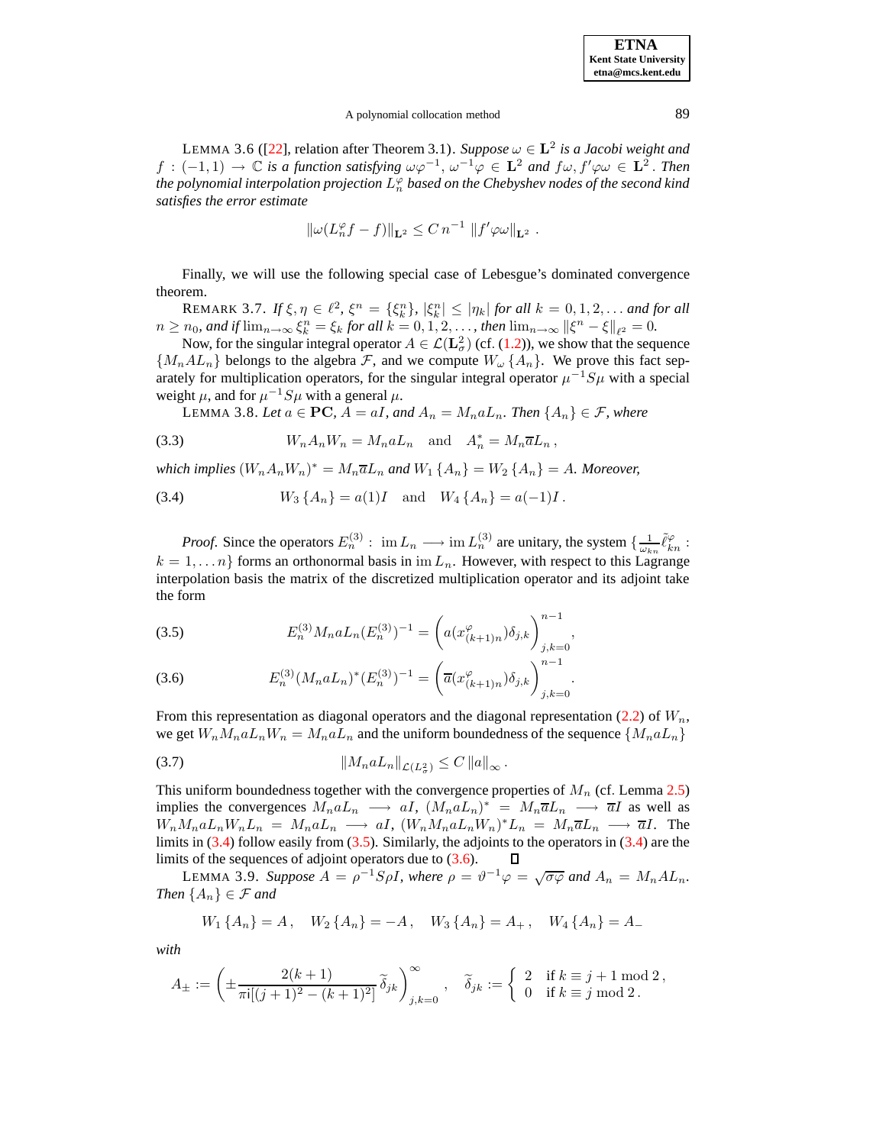### A polynomial collocation method 89

LEMMA 3.6 ([\[22\]](#page-46-23), relation after Theorem 3.1). *Suppose*  $\omega \in L^2$  *is a Jacobi weight and*  $f: (-1,1) \to \mathbb{C}$  *is a function satisfying*  $\omega \varphi^{-1}$ ,  $\omega^{-1} \varphi \in \mathbf{L}^2$  *and*  $f\omega$ ,  $f'\varphi \omega \in \mathbf{L}^2$ . Then *the polynomial interpolation projection* L ϕ n *based on the Chebyshev nodes of the second kind satisfies the error estimate*

$$
\|\omega(L_n^{\varphi}f - f)\|_{\mathbf{L}^2} \leq C n^{-1} \|f'\varphi\omega\|_{\mathbf{L}^2}.
$$

<span id="page-10-1"></span>Finally, we will use the following special case of Lebesgue's dominated convergence theorem.

**REMARK 3.7.** *If*  $\xi, \eta \in \ell^2$ ,  $\xi^n = {\xi^n_k}$ ,  $|\xi^n_k| \leq |\eta_k|$  for all  $k = 0, 1, 2, ...$  and for all  $n \geq n_0$ , and if  $\lim_{n \to \infty} \xi_k^n = \xi_k$  for all  $k = 0, 1, 2, \ldots$ , then  $\lim_{n \to \infty} ||\xi^n - \xi||_{\ell^2} = 0$ .

Now, for the singular integral operator  $A \in \mathcal{L}(\mathbf{L}^2_\sigma)$  (cf. [\(1.2\)](#page-1-2)), we show that the sequence  $\{M_n A L_n\}$  belongs to the algebra F, and we compute  $W_\omega \{A_n\}$ . We prove this fact separately for multiplication operators, for the singular integral operator  $\mu^{-1}S\mu$  with a special weight  $\mu$ , and for  $\mu^{-1}S\mu$  with a general  $\mu$ .

<span id="page-10-4"></span><span id="page-10-0"></span>LEMMA 3.8. *Let*  $a \in \mathbf{PC}$ ,  $A = aI$ , and  $A_n = M_n a L_n$ . *Then*  $\{A_n\} \in \mathcal{F}$ , *where* 

(3.3) 
$$
W_n A_n W_n = M_n a L_n \text{ and } A_n^* = M_n \overline{a} L_n,
$$

<span id="page-10-2"></span>*which implies*  $(W_n A_n W_n)^* = M_n \overline{a} L_n$  *and*  $W_1 \{A_n\} = W_2 \{A_n\} = A$ *. Moreover,* 

(3.4) 
$$
W_3 \{A_n\} = a(1)I
$$
 and  $W_4 \{A_n\} = a(-1)I$ .

*Proof.* Since the operators  $E_n^{(3)}$ :  $\lim L_n \longrightarrow \lim L_n^{(3)}$  are unitary, the system  $\{\frac{1}{\omega_{kn}}\tilde{\ell}_{kn}^{\varphi}$ :  $k = 1, \ldots n$  forms an orthonormal basis in im  $L_n$ . However, with respect to this Lagrange interpolation basis the matrix of the discretized multiplication operator and its adjoint take the form

<span id="page-10-3"></span>(3.5) 
$$
E_n^{(3)} M_n a L_n (E_n^{(3)})^{-1} = \left( a(x_{(k+1)n}^{\varphi}) \delta_{j,k} \right)_{j,k=0}^{n-1},
$$

(3.6) 
$$
E_n^{(3)}(M_n a L_n)^*(E_n^{(3)})^{-1} = \left(\overline{a}(x_{(k+1)n}^{\varphi})\delta_{j,k}\right)_{j,k=0}^{n-1}.
$$

From this representation as diagonal operators and the diagonal representation [\(2.2\)](#page-5-2) of  $W_n$ , we get  $W_n M_n a L_n W_n = M_n a L_n$  and the uniform boundedness of the sequence  $\{M_n a L_n\}$ 

<span id="page-10-6"></span><sup>k</sup>MnaLnkL(L<sup>2</sup> (3.7) <sup>σ</sup>) <sup>≤</sup> <sup>C</sup> <sup>k</sup>ak<sup>∞</sup> .

This uniform boundedness together with the convergence properties of  $M_n$  (cf. Lemma [2.5\)](#page-8-2) implies the convergences  $M_naL_n \longrightarrow aI$ ,  $(M_naL_n)^* = M_n\overline{a}L_n \longrightarrow \overline{a}I$  as well as  $W_nM_naL_nW_nL_n = M_naL_n \longrightarrow aI, (W_nM_naL_nW_n)^*L_n = M_n\overline{a}L_n \longrightarrow \overline{a}I.$  The limits in  $(3.4)$  follow easily from  $(3.5)$ . Similarly, the adjoints to the operators in  $(3.4)$  are the limits of the sequences of adjoint operators due to [\(3.6\)](#page-10-3).  $\Box$ 

LEMMA 3.9. *Suppose*  $A = \rho^{-1}S\rho I$ , where  $\rho = \vartheta^{-1}\varphi = \sqrt{\sigma\varphi}$  and  $A_n = M_n A L_n$ . *Then*  $\{A_n\} \in \mathcal{F}$  *and* 

<span id="page-10-5"></span>
$$
W_1\{A_n\} = A, \quad W_2\{A_n\} = -A, \quad W_3\{A_n\} = A_+, \quad W_4\{A_n\} = A_-
$$

*with*

$$
A_\pm:=\left(\pm\frac{2(k+1)}{\pi\mathrm{i}[(j+1)^2-(k+1)^2]}\,\widetilde{\delta}_{jk}\right)_{j,k=0}^\infty\,,\quad \widetilde{\delta}_{jk}:=\left\{\begin{array}{ll}2 & \text{if }k\equiv j+1\text{ mod }2\,,\\ 0 & \text{if }k\equiv j\text{ mod }2\,.\end{array}\right.
$$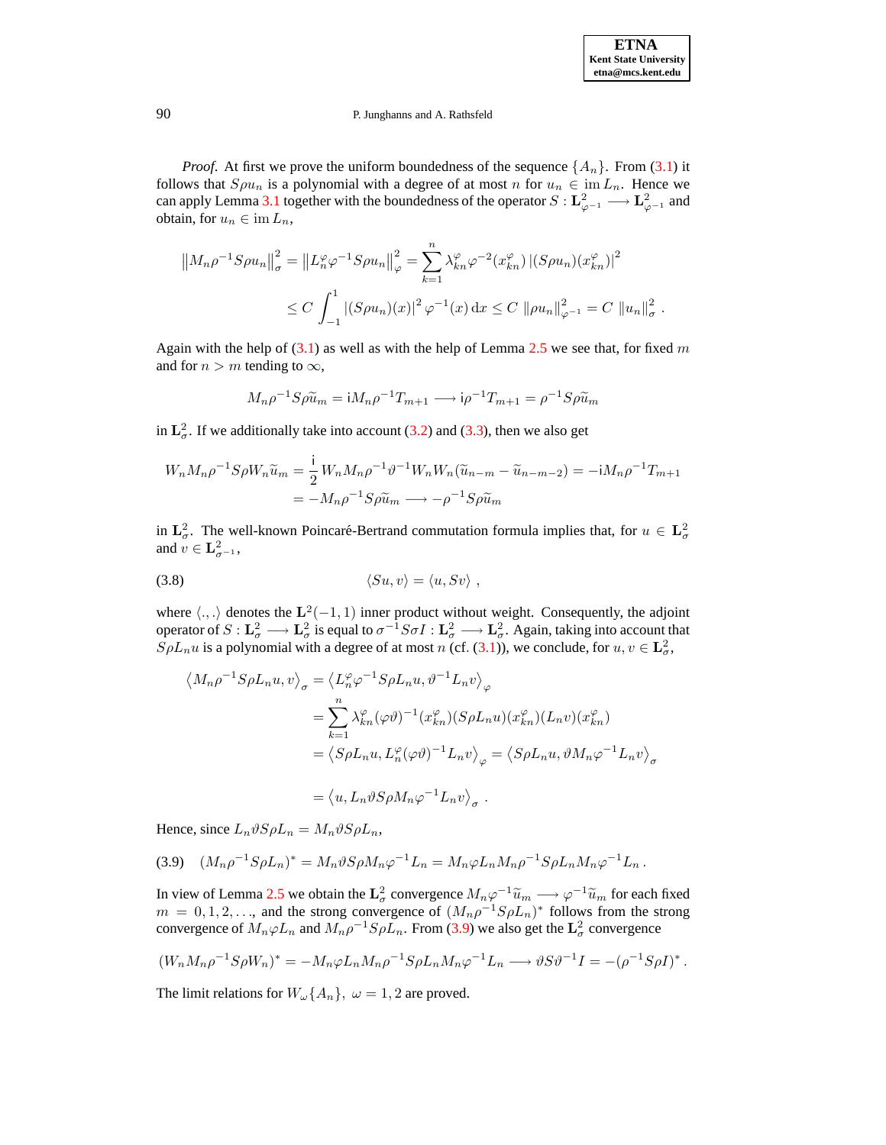.

### 90 P. Junghanns and A. Rathsfeld

*Proof.* At first we prove the uniform boundedness of the sequence  $\{A_n\}$ . From [\(3.1\)](#page-8-3) it follows that  $S\rho u_n$  is a polynomial with a degree of at most n for  $u_n \in \text{im } L_n$ . Hence we can apply Lemma [3.1](#page-9-0) together with the boundedness of the operator  $S: L^2_{\varphi^{-1}} \longrightarrow L^2_{\varphi^{-1}}$  and obtain, for  $u_n \in \text{im } L_n$ ,

$$
||M_n \rho^{-1} S \rho u_n||_{\sigma}^2 = ||L_n^{\varphi} \varphi^{-1} S \rho u_n||_{\varphi}^2 = \sum_{k=1}^n \lambda_{kn}^{\varphi} \varphi^{-2} (x_{kn}^{\varphi}) \, |(S \rho u_n)(x_{kn}^{\varphi})|^2
$$
  

$$
\leq C \int_{-1}^1 |(S \rho u_n)(x)|^2 \, \varphi^{-1}(x) \, dx \leq C ||\rho u_n||_{\varphi^{-1}}^2 = C ||u_n||_{\sigma}^2
$$

Again with the help of  $(3.1)$  as well as with the help of Lemma [2.5](#page-8-2) we see that, for fixed m and for  $n > m$  tending to  $\infty$ ,

$$
M_n \rho^{-1} S \rho \tilde{u}_m = i M_n \rho^{-1} T_{m+1} \longrightarrow i \rho^{-1} T_{m+1} = \rho^{-1} S \rho \tilde{u}_m
$$

in  $\mathbf{L}_{\sigma}^2$ . If we additionally take into account [\(3.2\)](#page-8-4) and [\(3.3\)](#page-10-4), then we also get

$$
W_n M_n \rho^{-1} S \rho W_n \tilde{u}_m = \frac{1}{2} W_n M_n \rho^{-1} \vartheta^{-1} W_n W_n (\tilde{u}_{n-m} - \tilde{u}_{n-m-2}) = -i M_n \rho^{-1} T_{m+1}
$$
  
= 
$$
-M_n \rho^{-1} S \rho \tilde{u}_m \longrightarrow -\rho^{-1} S \rho \tilde{u}_m
$$

in  $\mathbf{L}^2_{\sigma}$ . The well-known Poincaré-Bertrand commutation formula implies that, for  $u \in \mathbf{L}^2_{\sigma}$ and  $v \in \mathbf{L}_{\sigma^{-1}}^2$ ,

$$
\langle Su, v \rangle = \langle u, Sv \rangle ,
$$

where  $\langle .,.\rangle$  denotes the  $\mathbf{L}^2(-1,1)$  inner product without weight. Consequently, the adjoint operator of  $S: L^2_\sigma \longrightarrow L^2_\sigma$  is equal to  $\sigma^{-1}S\sigma I: L^2_\sigma \longrightarrow L^2_\sigma$ . Again, taking into account that  $SpL_n u$  is a polynomial with a degree of at most n (cf. [\(3.1\)](#page-8-3)), we conclude, for  $u, v \in L^2_{\sigma}$ ,

$$
\langle M_n \rho^{-1} S \rho L_n u, v \rangle_{\sigma} = \langle L_n^{\varphi} \varphi^{-1} S \rho L_n u, \vartheta^{-1} L_n v \rangle_{\varphi}
$$
  
\n
$$
= \sum_{k=1}^n \lambda_{kn}^{\varphi} (\varphi \vartheta)^{-1} (x_{kn}^{\varphi}) (S \rho L_n u) (x_{kn}^{\varphi}) (L_n v) (x_{kn}^{\varphi})
$$
  
\n
$$
= \langle S \rho L_n u, L_n^{\varphi} (\varphi \vartheta)^{-1} L_n v \rangle_{\varphi} = \langle S \rho L_n u, \vartheta M_n \varphi^{-1} L_n v \rangle_{\sigma}
$$
  
\n
$$
= \langle u, L_n \vartheta S \rho M_n \varphi^{-1} L_n v \rangle_{\sigma} .
$$

<span id="page-11-0"></span>Hence, since  $L_n \vartheta S \rho L_n = M_n \vartheta S \rho L_n$ ,

$$
(3.9) \quad (M_n \rho^{-1} S \rho L_n)^* = M_n \vartheta S \rho M_n \varphi^{-1} L_n = M_n \varphi L_n M_n \rho^{-1} S \rho L_n M_n \varphi^{-1} L_n \, .
$$

In view of Lemma [2.5](#page-8-2) we obtain the  $\mathbf{L}^2_{\sigma}$  convergence  $M_n\varphi^{-1}\widetilde{u}_m \longrightarrow \varphi^{-1}\widetilde{u}_m$  for each fixed  $m = 0, 1, 2, \ldots$ , and the strong convergence of  $(M_n \rho^{-1} S \rho L_n)^*$  follows from the strong convergence of  $M_n \varphi L_n$  and  $M_n \rho^{-1} S \rho L_n$ . From [\(3.9\)](#page-11-0) we also get the  $\mathbf{L}^2_{\sigma}$  convergence

$$
(W_n M_n \rho^{-1} S \rho W_n)^* = -M_n \varphi L_n M_n \rho^{-1} S \rho L_n M_n \varphi^{-1} L_n \longrightarrow \vartheta S \vartheta^{-1} I = -(\rho^{-1} S \rho I)^*.
$$

The limit relations for  $W_{\omega}\lbrace A_n \rbrace$ ,  $\omega = 1, 2$  are proved.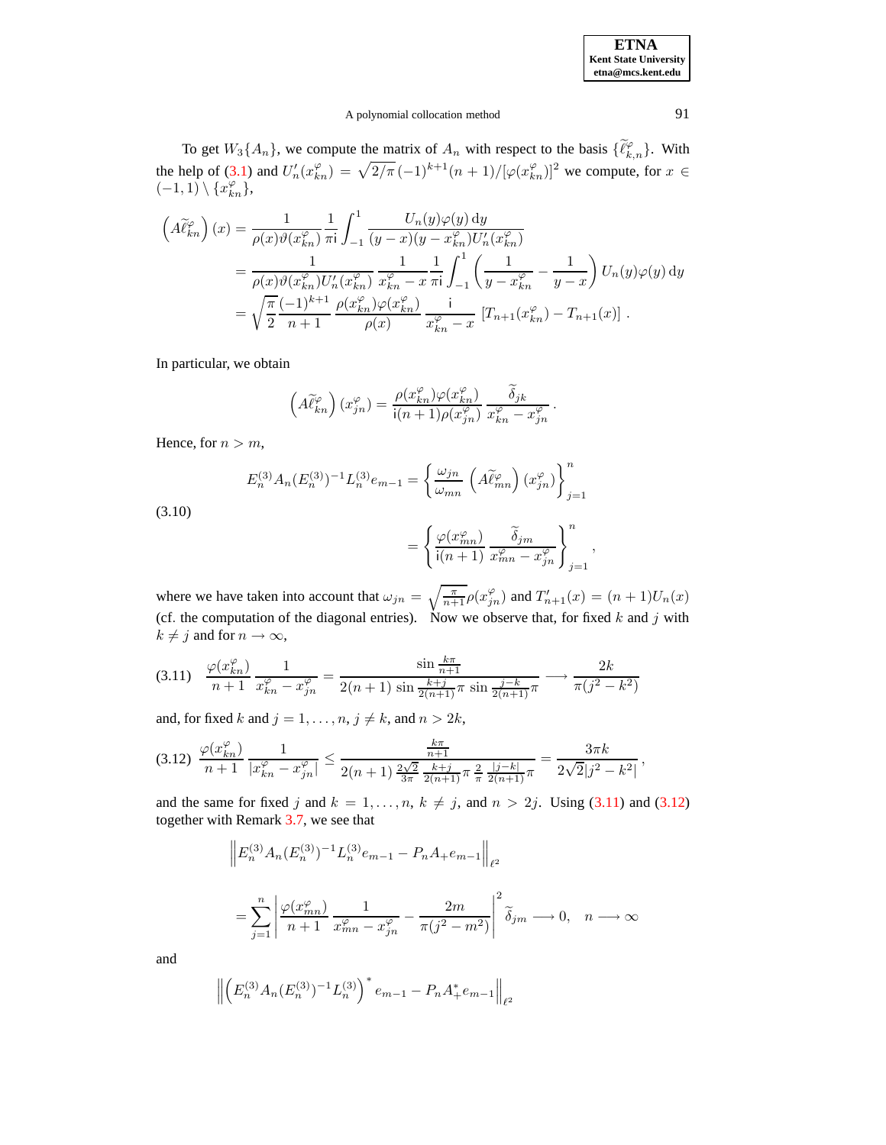# A polynomial collocation method 91

To get  $W_3\{A_n\}$ , we compute the matrix of  $A_n$  with respect to the basis  $\{\widetilde{\ell}_{k,n}^{\varphi}\}\$ . With the help of [\(3.1\)](#page-8-3) and  $U'_n(x_{kn}^{\varphi}) = \sqrt{2/\pi} (-1)^{k+1}(n+1)/[\varphi(x_{kn}^{\varphi})]^2$  we compute, for  $x \in$  $(-1,1) \setminus \{x_{kn}^{\varphi}\},\$ 

$$
\left(A\tilde{\ell}_{kn}^{\varphi}\right)(x) = \frac{1}{\rho(x)\vartheta(x_{kn}^{\varphi})} \frac{1}{\pi i} \int_{-1}^{1} \frac{U_n(y)\varphi(y) \, dy}{(y-x)(y-x_{kn}^{\varphi})U_n'(x_{kn}^{\varphi})}
$$
\n
$$
= \frac{1}{\rho(x)\vartheta(x_{kn}^{\varphi})U_n'(x_{kn}^{\varphi})} \frac{1}{x_{kn}^{\varphi}-x} \frac{1}{\pi i} \int_{-1}^{1} \left(\frac{1}{y-x_{kn}^{\varphi}} - \frac{1}{y-x}\right) U_n(y)\varphi(y) \, dy
$$
\n
$$
= \sqrt{\frac{\pi}{2}} \frac{(-1)^{k+1}}{n+1} \frac{\rho(x_{kn}^{\varphi})\varphi(x_{kn}^{\varphi})}{\rho(x)} \frac{i}{x_{kn}^{\varphi}-x} \left[T_{n+1}(x_{kn}^{\varphi}) - T_{n+1}(x)\right].
$$

In particular, we obtain

$$
\left(A\widetilde{\ell}_{kn}^{\varphi}\right)(x_{jn}^{\varphi})=\frac{\rho(x_{kn}^{\varphi})\varphi(x_{kn}^{\varphi})}{\mathsf{i}(n+1)\rho(x_{jn}^{\varphi})}\,\frac{\widetilde{\delta}_{jk}}{x_{kn}^{\varphi}-x_{jn}^{\varphi}}\,.
$$

<span id="page-12-2"></span>Hence, for  $n > m$ ,

$$
E_n^{(3)} A_n (E_n^{(3)})^{-1} L_n^{(3)} e_{m-1} = \left\{ \frac{\omega_{jn}}{\omega_{mn}} \left( A \tilde{\ell}_{mn}^{\varphi} \right) (x_{jn}^{\varphi}) \right\}_{j=1}^n
$$

$$
= \left\{ \frac{\varphi(x_{mn}^{\varphi})}{i(n+1)} \frac{\tilde{\delta}_{jm}}{x_{mn}^{\varphi} - x_{jn}^{\varphi}} \right\}_{j=1}^n,
$$

(3.10)

where we have taken into account that 
$$
\omega_{jn} = \sqrt{\frac{\pi}{n+1}} \rho(x_{jn}^{\varphi})
$$
 and  $T'_{n+1}(x) = (n+1)U_n(x)$   
(cf. the computation of the diagonal entries). Now we observe that, for fixed k and j with  $k \neq j$  and for  $n \to \infty$ ,

<span id="page-12-0"></span>
$$
(3.11) \quad \frac{\varphi(x_{kn}^{\varphi})}{n+1} \frac{1}{x_{kn}^{\varphi} - x_{jn}^{\varphi}} = \frac{\sin \frac{k\pi}{n+1}}{2(n+1)\sin \frac{k+j}{2(n+1)}\pi \sin \frac{j-k}{2(n+1)}\pi} \longrightarrow \frac{2k}{\pi(j^2 - k^2)}
$$

and, for fixed k and  $j = 1, \ldots, n$ ,  $j \neq k$ , and  $n > 2k$ ,

<span id="page-12-1"></span>
$$
(3.12) \frac{\varphi(x_{kn}^{\varphi})}{n+1} \frac{1}{|x_{kn}^{\varphi}-x_{jn}^{\varphi}|} \leq \frac{\frac{k\pi}{n+1}}{2(n+1)\frac{2\sqrt{2}}{3\pi} \frac{k+j}{2(n+1)}\pi \frac{2}{\pi} \frac{|j-k|}{2(n+1)}\pi} = \frac{3\pi k}{2\sqrt{2}|j^2-k^2|},
$$

and the same for fixed j and  $k = 1, \ldots, n, k \neq j$ , and  $n > 2j$ . Using [\(3.11\)](#page-12-0) and [\(3.12\)](#page-12-1) together with Remark [3.7,](#page-10-1) we see that

$$
\|E_n^{(3)} A_n (E_n^{(3)})^{-1} L_n^{(3)} e_{m-1} - P_n A_+ e_{m-1}\|_{\ell^2}
$$
  
= 
$$
\sum_{j=1}^n \left| \frac{\varphi(x_{mn}^{\varphi})}{n+1} \frac{1}{x_{mn}^{\varphi} - x_{jn}^{\varphi}} - \frac{2m}{\pi (j^2 - m^2)} \right|^2 \widetilde{\delta}_{jm} \longrightarrow 0, \quad n \longrightarrow \infty
$$

and

$$
\left\| \left( E_n^{(3)} A_n (E_n^{(3)})^{-1} L_n^{(3)} \right)^* e_{m-1} - P_n A_+^* e_{m-1} \right\|_{\ell^2}
$$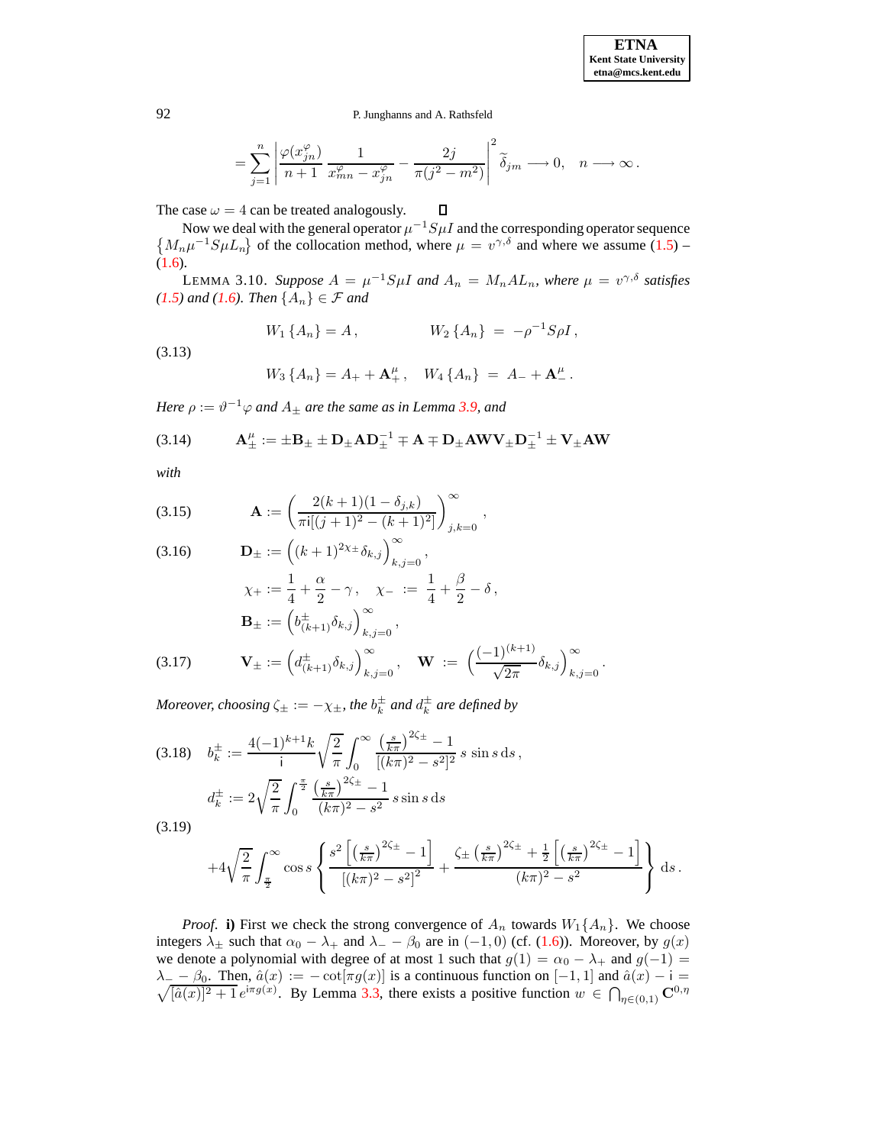$$
= \sum_{j=1}^n \left| \frac{\varphi(x_{jn}^\varphi)}{n+1} \, \frac{1}{x_{mn}^\varphi-x_{jn}^\varphi} - \frac{2j}{\pi(j^2-m^2)} \right|^2 \widetilde{\delta}_{jm} \longrightarrow 0, \quad n \longrightarrow \infty \, .
$$

The case  $\omega = 4$  can be treated analogously.  $\Box$ 

<span id="page-13-0"></span>Now we deal with the general operator  $\mu^{-1}S\mu I$  and the corresponding operator sequence  ${M_n\mu^{-1}S\mu L_n}$  of the collocation method, where  $\mu = v^{\gamma,\delta}$  and where we assume [\(1.5\)](#page-2-0) – [\(1.6\)](#page-2-1).

LEMMA 3.10. *Suppose*  $A = \mu^{-1} S \mu I$  and  $A_n = M_n A L_n$ , where  $\mu = v^{\gamma, \delta}$  satisfies *[\(1.5\)](#page-2-0) and [\(1.6\)](#page-2-1). Then*  ${A_n} \in \mathcal{F}$  *and* 

$$
W_1\{A_n\} = A\,, \qquad W_2\{A_n\} = -\rho^{-1}S\rho I\,,
$$

<span id="page-13-3"></span>(3.13)

$$
W_3\{A_n\} = A_+ + \mathbf{A}_+^{\mu}\,,\quad W_4\{A_n\} = A_- + \mathbf{A}_-^{\mu}\,.
$$

*Here*  $\rho := \vartheta^{-1} \varphi$  *and*  $A_{\pm}$  *are the same as in Lemma [3.9,](#page-10-5) and* 

<span id="page-13-4"></span>(3.14) 
$$
\mathbf{A}^{\mu}_{\pm} := \pm \mathbf{B}_{\pm} \pm \mathbf{D}_{\pm} \mathbf{A} \mathbf{D}_{\pm}^{-1} \mp \mathbf{A} \mp \mathbf{D}_{\pm} \mathbf{A} \mathbf{W} \mathbf{V}_{\pm} \mathbf{D}_{\pm}^{-1} \pm \mathbf{V}_{\pm} \mathbf{A} \mathbf{W}
$$

*with*

<span id="page-13-1"></span>(3.15) 
$$
\mathbf{A} := \left(\frac{2(k+1)(1-\delta_{j,k})}{\pi i[(j+1)^2 - (k+1)^2]}\right)_{j,k=0}^{\infty},
$$

(3.16) 
$$
\mathbf{D}_{\pm} := ((k+1)^{2\chi_{\pm}} \delta_{k,j})_{k,j=0}^{\infty},
$$

$$
\chi_{+} := \frac{1}{4} + \frac{\alpha}{2} - \gamma, \quad \chi_{-} := \frac{1}{4} + \frac{\beta}{2} - \delta,
$$

$$
\mathbf{B}_{\pm} := (b_{(k+1)}^{\pm} \delta_{k,j})_{k,j=0}^{\infty},
$$

$$
(3.17) \qquad \mathbf{V}_{\pm} := (d_{(k+1)}^{\pm} \delta_{k,j})_{k,j=0}^{\infty}, \quad \mathbf{W} := (\frac{(-1)^{(k+1)}}{\sqrt{2\pi}} \delta_{k,j})_{k,j=0}^{\infty}.
$$

*Moreover, choosing*  $\zeta_{\pm} := -\chi_{\pm}$ *, the*  $b_k^{\pm}$  *and*  $d_k^{\pm}$  *are defined by* 

<span id="page-13-2"></span>
$$
(3.18) \quad b_k^{\pm} := \frac{4(-1)^{k+1}k}{i} \sqrt{\frac{2}{\pi}} \int_0^{\infty} \frac{\left(\frac{s}{k\pi}\right)^{2\zeta_{\pm}} - 1}{[(k\pi)^2 - s^2]^2} s \sin s \, ds,
$$
\n
$$
d_k^{\pm} := 2\sqrt{\frac{2}{\pi}} \int_0^{\frac{\pi}{2}} \frac{\left(\frac{s}{k\pi}\right)^{2\zeta_{\pm}} - 1}{(k\pi)^2 - s^2} s \sin s \, ds
$$
\n
$$
(3.19)
$$

(3.19)

$$
+4\sqrt{\frac{2}{\pi}}\int_{\frac{\pi}{2}}^{\infty}\cos s \left\{\frac{s^2\left[\left(\frac{s}{k\pi}\right)^{2\zeta_{\pm}}-1\right]}{\left[(k\pi)^2-s^2\right]^2}+\frac{\zeta_{\pm}\left(\frac{s}{k\pi}\right)^{2\zeta_{\pm}}+\frac{1}{2}\left[\left(\frac{s}{k\pi}\right)^{2\zeta_{\pm}}-1\right]}{(k\pi)^2-s^2}\right\} ds.
$$

*Proof.* **i)** First we check the strong convergence of  $A_n$  towards  $W_1\{A_n\}$ . We choose integers  $\lambda_{\pm}$  such that  $\alpha_0 - \lambda_{+}$  and  $\lambda_{-} - \beta_0$  are in (-1, 0) (cf. [\(1.6\)](#page-2-1)). Moreover, by  $g(x)$ we denote a polynomial with degree of at most 1 such that  $g(1) = \alpha_0 - \lambda_+$  and  $g(-1) =$  $\lambda_{-} - \beta_0$ . Then,  $\hat{a}(x) := -\cot[\pi g(x)]$  is a continuous function on  $[-1, 1]$  and  $\hat{a}(x) - i = \sqrt{[\hat{a}(x)]^2 + 1} e^{i\pi g(x)}$ . By Lemma [3.3,](#page-9-2) there exists a positive function  $w \in \bigcap_{\eta \in (0,1)} \mathbb{C}^{0,\eta}$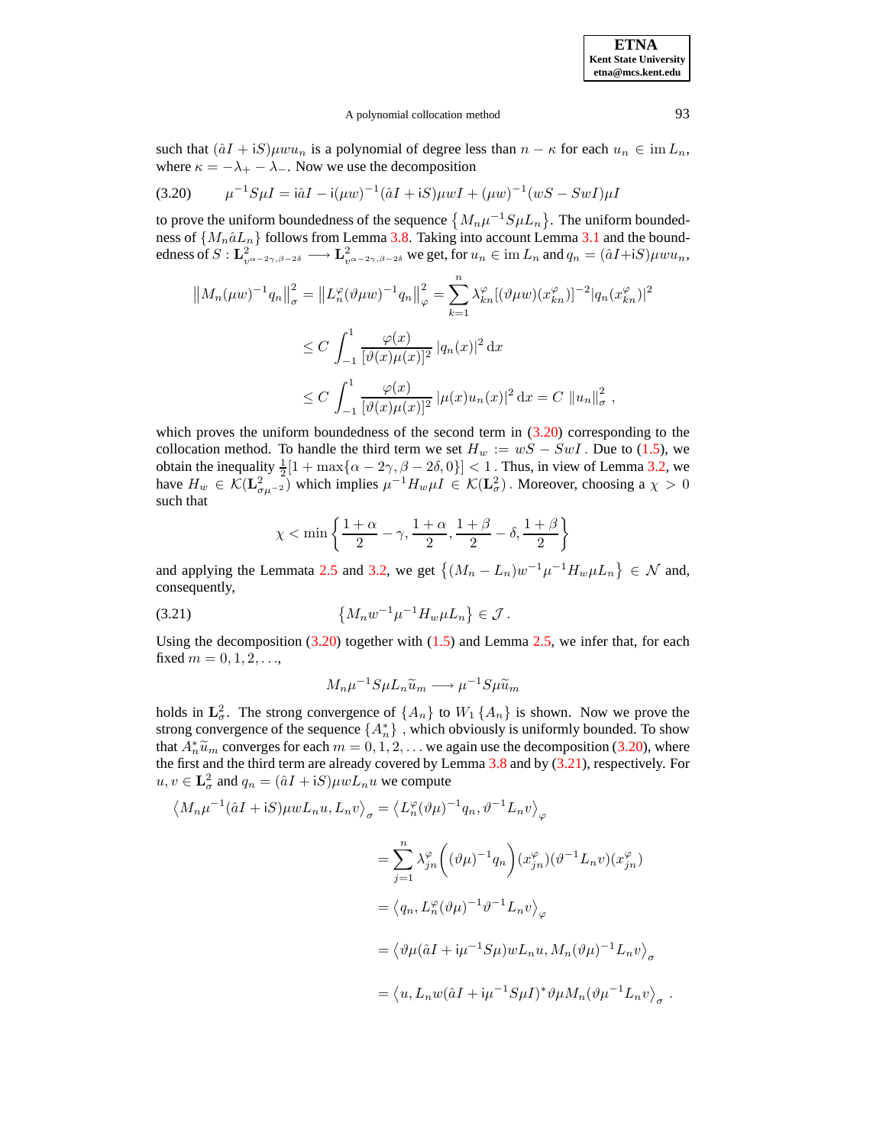### A polynomial collocation method 93

such that  $(\hat{a}I + iS) \mu w u_n$  is a polynomial of degree less than  $n - \kappa$  for each  $u_n \in \text{im } L_n$ , where  $\kappa = -\lambda_+ - \lambda_-$ . Now we use the decomposition

<span id="page-14-0"></span>
$$
(3.20) \qquad \mu^{-1} S \mu I = \hat{a} I - i(\mu w)^{-1} (\hat{a} I + iS) \mu w I + (\mu w)^{-1} (w S - S w I) \mu I
$$

to prove the uniform boundedness of the sequence  ${M_n\mu^{-1}S\mu L_n}$ . The uniform boundedness of  $\{M_n \hat{a} L_n\}$  follows from Lemma [3.8.](#page-10-0) Taking into account Lemma [3.1](#page-9-0) and the boundedness of  $S: \mathbf{L}_{v^{\alpha-2\gamma}, \beta-2\delta}^2 \longrightarrow \mathbf{L}_{v^{\alpha-2\gamma}, \beta-2\delta}^2$  we get, for  $u_n \in \text{im } L_n$  and  $q_n = (\hat{a}I + iS)\mu w u_n$ ,

$$
||M_n(\mu w)^{-1} q_n||_{\sigma}^2 = ||L_n^{\varphi}(\vartheta \mu w)^{-1} q_n||_{\varphi}^2 = \sum_{k=1}^n \lambda_{kn}^{\varphi} [(\vartheta \mu w)(x_{kn}^{\varphi})]^{-2} |q_n(x_{kn}^{\varphi})|^2
$$
  

$$
\leq C \int_{-1}^1 \frac{\varphi(x)}{[\vartheta(x)\mu(x)]^2} |q_n(x)|^2 dx
$$
  

$$
\leq C \int_{-1}^1 \frac{\varphi(x)}{[\vartheta(x)\mu(x)]^2} |\mu(x)u_n(x)|^2 dx = C ||u_n||_{\sigma}^2,
$$

which proves the uniform boundedness of the second term in  $(3.20)$  corresponding to the collocation method. To handle the third term we set  $H_w := wS - SwI$ . Due to [\(1.5\)](#page-2-0), we obtain the inequality  $\frac{1}{2}[1 + \max\{\alpha - 2\gamma, \beta - 2\delta, 0\}] < 1$ . Thus, in view of Lemma [3.2,](#page-9-3) we have  $H_w \in \mathcal{K}(\mathbf{L}^2_{\sigma\mu^{-2}})$  which implies  $\mu^{-1}H_w\mu I \in \mathcal{K}(\mathbf{L}^2_{\sigma})$ . Moreover, choosing a  $\chi > 0$ such that

$$
\chi < \min\left\{\frac{1+\alpha}{2}-\gamma, \frac{1+\alpha}{2}, \frac{1+\beta}{2}-\delta, \frac{1+\beta}{2}\right\}
$$

and applying the Lemmata [2.5](#page-8-2) and [3.2,](#page-9-3) we get  $\{(M_n - L_n)w^{-1}\mu^{-1}H_w\mu L_n\} \in \mathcal{N}$  and, consequently,

<span id="page-14-1"></span>(3.21) 
$$
\{M_n w^{-1} \mu^{-1} H_w \mu L_n\} \in \mathcal{J}.
$$

Using the decomposition  $(3.20)$  together with  $(1.5)$  and Lemma [2.5,](#page-8-2) we infer that, for each fixed  $m = 0, 1, 2, ...$ 

$$
M_n\mu^{-1}S\mu L_n\widetilde{u}_m \longrightarrow \mu^{-1}S\mu \widetilde{u}_m
$$

holds in  $\mathbf{L}^2_{\sigma}$ . The strong convergence of  $\{A_n\}$  to  $W_1\{A_n\}$  is shown. Now we prove the strong convergence of the sequence  $\{A_n^*\}$ , which obviously is uniformly bounded. To show that  $A_n^* \widetilde{u}_m$  converges for each  $m = 0, 1, 2, \ldots$  we again use the decomposition [\(3.20\)](#page-14-0), where the first and the third term are already covered by Lemma  $3.8$  and by  $(3.21)$ , respectively. For  $u, v \in \mathbf{L}_{\sigma}^2$  and  $q_n = (\hat{a}I + iS)\mu w L_n u$  we compute

$$
\langle M_n \mu^{-1}(\hat{a}I + iS)\mu w L_n u, L_n v \rangle_{\sigma} = \langle L_n^{\varphi}(\vartheta \mu)^{-1} q_n, \vartheta^{-1} L_n v \rangle_{\varphi}
$$
  

$$
= \sum_{j=1}^n \lambda_{jn}^{\varphi} \left( (\vartheta \mu)^{-1} q_n \right) (x_{jn}^{\varphi}) (\vartheta^{-1} L_n v) (x_{jn}^{\varphi})
$$
  

$$
= \langle q_n, L_n^{\varphi}(\vartheta \mu)^{-1} \vartheta^{-1} L_n v \rangle_{\varphi}
$$
  

$$
= \langle \vartheta \mu(\hat{a}I + i\mu^{-1} S \mu) w L_n u, M_n(\vartheta \mu)^{-1} L_n v \rangle_{\sigma}
$$
  

$$
= \langle u, L_n w(\hat{a}I + i\mu^{-1} S \mu I)^* \vartheta \mu M_n(\vartheta \mu^{-1} L_n v \rangle_{\sigma} .
$$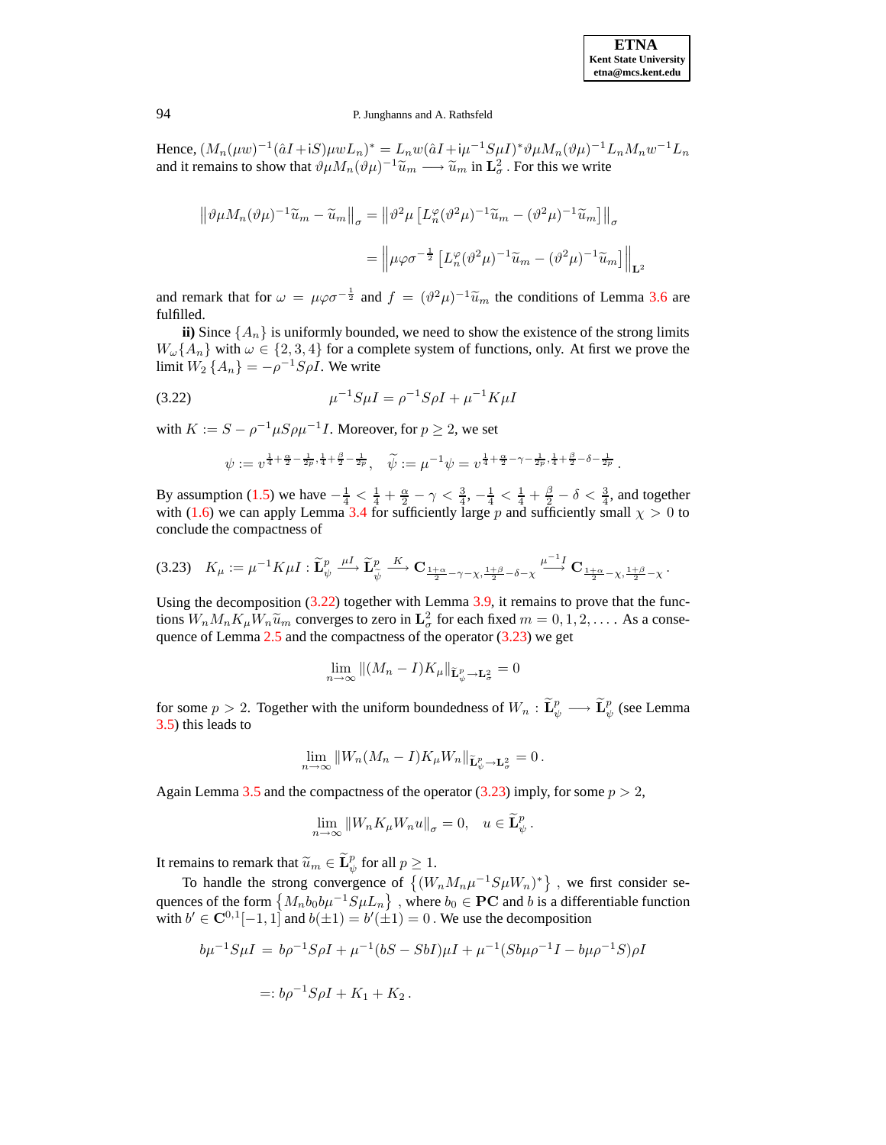Hence,  $(M_n(\mu w)^{-1}(\hat{a}I + iS)\mu w L_n)^* = L_n w(\hat{a}I + i\mu^{-1}S\mu I)^* \vartheta \mu M_n(\vartheta \mu)^{-1} L_n M_n w^{-1} L_n$ and it remains to show that  $\theta \mu M_n(\theta \mu)^{-1} \tilde{u}_m \longrightarrow \tilde{u}_m$  in  $\mathbf{L}^2_{\sigma}$ . For this we write

$$
\|\vartheta\mu M_n(\vartheta\mu)^{-1}\widetilde{u}_m - \widetilde{u}_m\|_{\sigma} = \left\|\vartheta^2\mu \left[L_n^{\varphi}(\vartheta^2\mu)^{-1}\widetilde{u}_m - (\vartheta^2\mu)^{-1}\widetilde{u}_m\right]\right\|_{\sigma}
$$

$$
= \left\|\mu\varphi\sigma^{-\frac{1}{2}}\left[L_n^{\varphi}(\vartheta^2\mu)^{-1}\widetilde{u}_m - (\vartheta^2\mu)^{-1}\widetilde{u}_m\right]\right\|_{\mathbf{L}^2}
$$

and remark that for  $\omega = \mu \varphi \sigma^{-\frac{1}{2}}$  and  $f = (\vartheta^2 \mu)^{-1} \tilde{u}_m$  the conditions of Lemma [3.6](#page-9-1) are fulfilled.

**ii**) Since  $\{A_n\}$  is uniformly bounded, we need to show the existence of the strong limits  $W_{\omega}\lbrace A_n \rbrace$  with  $\omega \in \lbrace 2,3,4 \rbrace$  for a complete system of functions, only. At first we prove the limit  $W_2 \{A_n\} = -\rho^{-1} S \rho I$ . We write

<span id="page-15-0"></span>(3.22) 
$$
\mu^{-1} S \mu I = \rho^{-1} S \rho I + \mu^{-1} K \mu I
$$

with  $K := S - \rho^{-1} \mu S \rho \mu^{-1} I$ . Moreover, for  $p \ge 2$ , we set

$$
\psi:=v^{\frac{1}{4}+\frac{\alpha}{2}-\frac{1}{2p},\frac{1}{4}+\frac{\beta}{2}-\frac{1}{2p}} ,\quad \widetilde{\psi}:=\mu^{-1}\psi=v^{\frac{1}{4}+\frac{\alpha}{2}-\gamma-\frac{1}{2p},\frac{1}{4}+\frac{\beta}{2}-\delta-\frac{1}{2p}} \, .
$$

By assumption [\(1.5\)](#page-2-0) we have  $-\frac{1}{4} < \frac{1}{4} + \frac{\alpha}{2} - \gamma < \frac{3}{4}$ ,  $-\frac{1}{4} < \frac{1}{4} + \frac{\beta}{2} - \delta < \frac{3}{4}$ , and together with [\(1.6\)](#page-2-1) we can apply Lemma [3.4](#page-9-4) for sufficiently large p and sufficiently small  $\chi > 0$  to conclude the compactness of

<span id="page-15-1"></span>
$$
(3.23)\quad K_{\mu} := \mu^{-1} K \mu I : \widetilde{\mathbf{L}}_{\psi}^{p} \xrightarrow{\mu I} \widetilde{\mathbf{L}}_{\widetilde{\psi}}^{p} \xrightarrow{K} \mathbf{C}_{\frac{1+\alpha}{2} - \gamma - \chi}, \frac{1+\beta}{2} - \delta - \chi \xrightarrow{\mu^{-1} I} \mathbf{C}_{\frac{1+\alpha}{2} - \chi}, \frac{1+\beta}{2} - \chi.
$$

Using the decomposition  $(3.22)$  together with Lemma [3.9,](#page-10-5) it remains to prove that the functions  $W_n M_n K_\mu W_n \tilde{u}_m$  converges to zero in  $\mathbf{L}^2_\sigma$  for each fixed  $m = 0, 1, 2, \dots$ . As a consequence of Lemma  $2.5$  and the compactness of the operator  $(3.23)$  we get

$$
\lim_{n \to \infty} \|(M_n - I)K_{\mu}\|_{\widetilde{\mathbf{L}}_{\psi}^p \to \mathbf{L}_{\sigma}^2} = 0
$$

for some  $p > 2$ . Together with the uniform boundedness of  $W_n : \widetilde{\mathbf{L}}_p^p \longrightarrow \widetilde{\mathbf{L}}_p^p$  (see Lemma [3.5\)](#page-9-5) this leads to

$$
\lim_{n\to\infty}||W_n(M_n-I)K_{\mu}W_n||_{\widetilde{\mathbf{L}}^p_{\psi}\to\mathbf{L}^2_{\sigma}}=0.
$$

Again Lemma [3.5](#page-9-5) and the compactness of the operator [\(3.23\)](#page-15-1) imply, for some  $p > 2$ ,

$$
\lim_{n \to \infty} \left\| W_n K_\mu W_n u \right\|_\sigma = 0, \quad u \in \widetilde{\mathbf{L}}^p_\psi.
$$

It remains to remark that  $\widetilde{u}_m \in \widetilde{\mathbf{L}}_{\psi}^p$  for all  $p \geq 1$ .

To handle the strong convergence of  $\{(W_n M_n \mu^{-1} S \mu W_n)^*\}$ , we first consider sequences of the form  $\{M_n b_0 b \mu^{-1} S \mu L_n\}$ , where  $b_0 \in \mathbf{PC}$  and b is a differentiable function with  $b' \in \mathbb{C}^{0,1}[-1,1]$  and  $b(\pm 1) = b'(\pm 1) = 0$ . We use the decomposition

$$
b\mu^{-1}S\mu I = b\rho^{-1}S\rho I + \mu^{-1}(bS - SbI)\mu I + \mu^{-1}(Sb\mu\rho^{-1}I - b\mu\rho^{-1}S)\rho I
$$
  
=:  $b\rho^{-1}S\rho I + K_1 + K_2$ .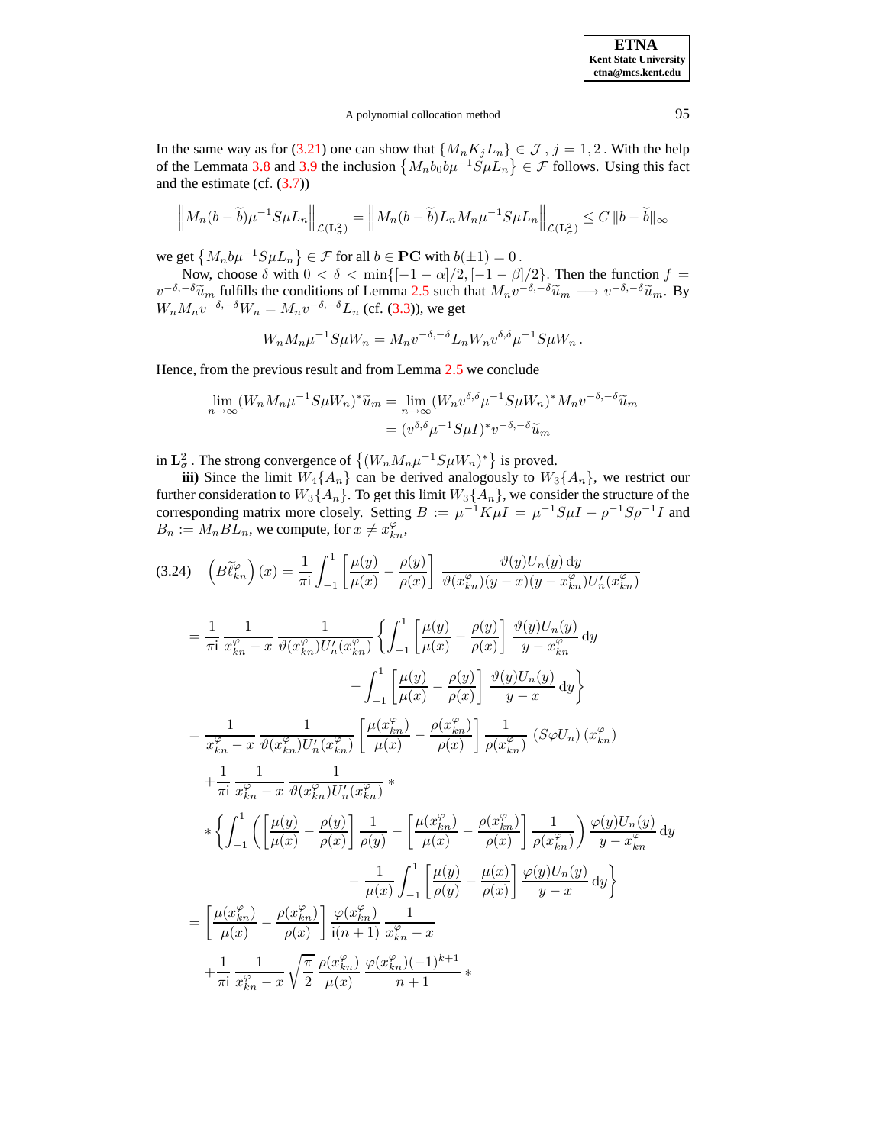A polynomial collocation method 95

In the same way as for [\(3.21\)](#page-14-1) one can show that  $\{M_nK_jL_n\} \in \mathcal{J}$ ,  $j = 1, 2$ . With the help of the Lemmata [3.8](#page-10-0) and [3.9](#page-10-5) the inclusion  $\{M_n b_0 b \mu^{-1} S \mu L_n\} \in \mathcal{F}$  follows. Using this fact and the estimate (cf. [\(3.7\)](#page-10-6))

$$
\left\|M_n(b-\widetilde{b})\mu^{-1}S\mu L_n\right\|_{\mathcal{L}(\mathbf{L}^2_{\sigma})}=\left\|M_n(b-\widetilde{b})L_nM_n\mu^{-1}S\mu L_n\right\|_{\mathcal{L}(\mathbf{L}^2_{\sigma})}\leq C\left\|b-\widetilde{b}\right\|_{\infty}
$$

we get  $\{M_n b \mu^{-1} S \mu L_n\} \in \mathcal{F}$  for all  $b \in \mathbf{PC}$  with  $b(\pm 1) = 0$ .

Now, choose  $\delta$  with  $0 < \delta < \min\{[-1-\alpha]/2, [-1-\beta]/2\}$ . Then the function  $f =$  $v^{-\delta,-\delta}\tilde{u}_m$  fulfills the conditions of Lemma [2.5](#page-8-2) such that  $M_n v^{-\delta,-\delta}\tilde{u}_m \longrightarrow v^{-\delta,-\delta}\tilde{u}_m$ . By  $W_n M_n v^{-\delta,-\delta}W_n = M_n v^{-\delta,-\delta}L_n$  (cf. [\(3.3\)](#page-10-4)), we get

$$
W_n M_n \mu^{-1} S \mu W_n = M_n v^{-\delta, -\delta} L_n W_n v^{\delta, \delta} \mu^{-1} S \mu W_n.
$$

Hence, from the previous result and from Lemma [2.5](#page-8-2) we conclude

$$
\lim_{n \to \infty} (W_n M_n \mu^{-1} S \mu W_n)^* \widetilde{u}_m = \lim_{n \to \infty} (W_n v^{\delta, \delta} \mu^{-1} S \mu W_n)^* M_n v^{-\delta, -\delta} \widetilde{u}_m
$$

$$
= (v^{\delta, \delta} \mu^{-1} S \mu I)^* v^{-\delta, -\delta} \widetilde{u}_m
$$

in  $\mathbf{L}^2_{\sigma}$ . The strong convergence of  $\{(W_n M_n \mu^{-1} S \mu W_n)^*\}$  is proved.

**iii)** Since the limit  $W_4\{A_n\}$  can be derived analogously to  $W_3\{A_n\}$ , we restrict our further consideration to  $W_3\{A_n\}$ . To get this limit  $W_3\{A_n\}$ , we consider the structure of the corresponding matrix more closely. Setting  $B := \mu^{-1} K \mu I = \mu^{-1} S \mu I - \rho^{-1} S \rho^{-1} I$  and  $B_n := M_n B L_n$ , we compute, for  $x \neq x_{kn}^{\varphi}$ ,

<span id="page-16-0"></span>
$$
(3.24) \quad \left(B\tilde{\ell}_{kn}^{p}\right)(x) = \frac{1}{\pi i} \int_{-1}^{1} \left[\frac{\mu(y)}{\mu(x)} - \frac{\rho(y)}{\rho(x)}\right] \frac{\vartheta(y)U_{n}(y) dy}{\vartheta(x_{kn}^{p})(y-x)(y-x_{kn}^{p})U'_{n}(x_{kn}^{p})}
$$
  
\n
$$
= \frac{1}{\pi i} \frac{1}{x_{kn}^{p} - x} \frac{1}{\vartheta(x_{kn}^{p})U'_{n}(x_{kn}^{p})} \left\{ \int_{-1}^{1} \left[\frac{\mu(y)}{\mu(x)} - \frac{\rho(y)}{\rho(x)}\right] \frac{\vartheta(y)U_{n}(y)}{y-x_{kn}^{p}} dy \right\}
$$
  
\n
$$
= \frac{1}{x_{kn}^{p} - x} \frac{1}{\vartheta(x_{kn}^{p})U'_{n}(x_{kn}^{p})} \left[\frac{\mu(x_{kn}^{p})}{\mu(x)} - \frac{\rho(x_{kn}^{p})}{\rho(x)}\right] \frac{\vartheta(y)U_{n}(y)}{y-x} dy \right\}
$$
  
\n
$$
+ \frac{1}{\pi i} \frac{1}{x_{kn}^{p} - x} \frac{1}{\vartheta(x_{kn}^{p})U'_{n}(x_{kn}^{p})} \left[\frac{\mu(x_{kn}^{p})}{\mu(x)} - \frac{\rho(x_{kn}^{p})}{\rho(x)}\right] \frac{1}{\rho(x_{kn}^{p})} (S\varphi U_{n}) (x_{kn}^{p})
$$
  
\n
$$
+ \frac{1}{\pi i} \frac{1}{x_{kn}^{p} - x} \frac{1}{\vartheta(x_{kn}^{p})U'_{n}(x_{kn}^{p})} \ast
$$
  
\n
$$
* \left\{ \int_{-1}^{1} \left( \left[\frac{\mu(y)}{\mu(x)} - \frac{\rho(y)}{\rho(x)}\right] \frac{1}{\rho(y)} - \left[\frac{\mu(x_{kn}^{p})}{\mu(x)} - \frac{\rho(x_{kn}^{p})}{\rho(x)}\right] \frac{1}{\rho(x_{kn}^{p})}\right) \frac{\varphi(y)U_{n}(y)}{y-x_{kn}^{p}} dy \right\}
$$
  
\n
$$
= \left[\frac{\mu(x_{kn}^{p})}{\mu(x)} - \frac{\rho(x_{kn}^{p})}{\rho(x)}
$$

**ETNA Kent State University etna@mcs.kent.edu**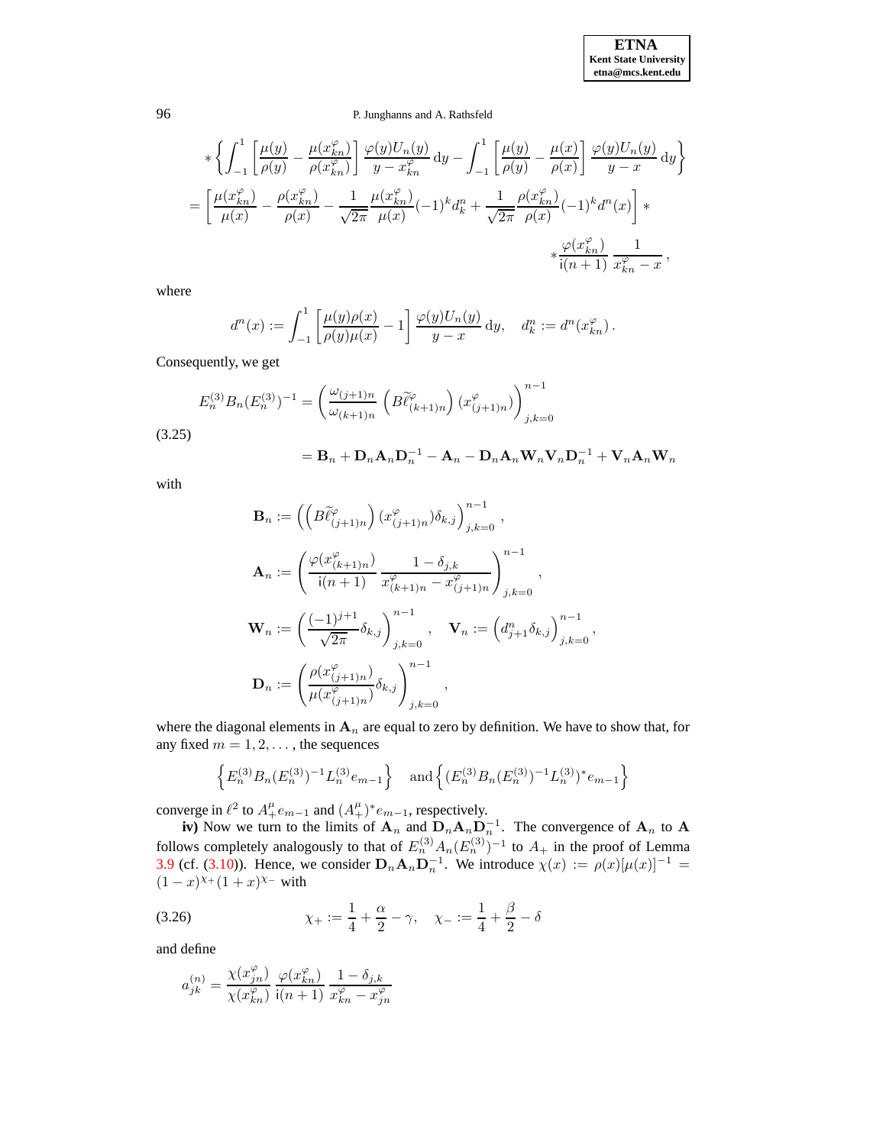# 96 P. Junghanns and A. Rathsfeld

$$
*\left\{\int_{-1}^{1} \left[\frac{\mu(y)}{\rho(y)} - \frac{\mu(x_{kn}^{\varphi})}{\rho(x_{kn}^{\varphi})}\right] \frac{\varphi(y)U_n(y)}{y - x_{kn}^{\varphi}} dy - \int_{-1}^{1} \left[\frac{\mu(y)}{\rho(y)} - \frac{\mu(x)}{\rho(x)}\right] \frac{\varphi(y)U_n(y)}{y - x} dy\right\}
$$

$$
= \left[\frac{\mu(x_{kn}^{\varphi})}{\mu(x)} - \frac{\rho(x_{kn}^{\varphi})}{\rho(x)} - \frac{1}{\sqrt{2\pi}} \frac{\mu(x_{kn}^{\varphi})}{\mu(x)} (-1)^k d_k^n + \frac{1}{\sqrt{2\pi}} \frac{\rho(x_{kn}^{\varphi})}{\rho(x)} (-1)^k d^n(x)\right]*
$$

$$
*\frac{\varphi(x_{kn}^{\varphi})}{i(n+1)} \frac{1}{x_{kn}^{\varphi} - x},
$$

where

$$
d^n(x) := \int_{-1}^1 \left[ \frac{\mu(y)\rho(x)}{\rho(y)\mu(x)} - 1 \right] \frac{\varphi(y)U_n(y)}{y-x} dy, \quad d_k^n := d^n(x_{kn}^\varphi).
$$

Consequently, we get

<span id="page-17-0"></span>
$$
E_n^{(3)} B_n (E_n^{(3)})^{-1} = \left(\frac{\omega_{(j+1)n}}{\omega_{(k+1)n}} \left(B \tilde{\ell}_{(k+1)n}^{\varphi}\right) (x_{(j+1)n}^{\varphi})\right)_{j,k=0}^{n-1}
$$
  
(3.25)  

$$
= \mathbf{B}_n + \mathbf{D}_n \mathbf{A}_n \mathbf{D}_n^{-1} - \mathbf{A}_n - \mathbf{D}_n \mathbf{A}_n \mathbf{W}_n \mathbf{V}_n \mathbf{D}_n^{-1} + \mathbf{V}_n \mathbf{A}_n \mathbf{W}_n
$$

with

$$
\mathbf{B}_n := \left( \left( B \widetilde{\ell}_{(j+1)n}^{\varphi} \right) (x_{(j+1)n}^{\varphi}) \delta_{k,j} \right)_{j,k=0}^{n-1},
$$
\n
$$
\mathbf{A}_n := \left( \frac{\varphi(x_{(k+1)n}^{\varphi})}{\mathsf{i}(n+1)} \frac{1 - \delta_{j,k}}{x_{(k+1)n}^{\varphi} - x_{(j+1)n}^{\varphi}} \right)_{j,k=0}^{n-1},
$$
\n
$$
\mathbf{W}_n := \left( \frac{(-1)^{j+1}}{\sqrt{2\pi}} \delta_{k,j} \right)_{j,k=0}^{n-1}, \quad \mathbf{V}_n := \left( d_{j+1}^n \delta_{k,j} \right)_{j,k=0}^{n-1},
$$
\n
$$
\mathbf{D}_n := \left( \frac{\rho(x_{(j+1)n}^{\varphi})}{\mu(x_{(j+1)n}^{\varphi})} \delta_{k,j} \right)_{j,k=0}^{n-1},
$$

where the diagonal elements in  $A_n$  are equal to zero by definition. We have to show that, for any fixed  $m = 1, 2, \dots$ , the sequences

$$
\left\{ E_n^{(3)} B_n (E_n^{(3)})^{-1} L_n^{(3)} e_{m-1} \right\} \quad \text{and} \left\{ (E_n^{(3)} B_n (E_n^{(3)})^{-1} L_n^{(3)})^* e_{m-1} \right\}
$$

converge in  $\ell^2$  to  $A_+^{\mu}e_{m-1}$  and  $(A_+^{\mu})^*e_{m-1}$ , respectively.

**iv**) Now we turn to the limits of  $A_n$  and  $D_nA_nD_n^{-1}$ . The convergence of  $A_n$  to A follows completely analogously to that of  $E_n^{(3)} A_n (E_n^{(3)})^{-1}$  to  $A_+$  in the proof of Lemma [3.9](#page-10-5) (cf. [\(3.10\)](#page-12-2)). Hence, we consider  $\mathbf{D}_n \mathbf{A}_n \mathbf{D}_n^{-1}$ . We introduce  $\chi(x) := \rho(x)[\mu(x)]^{-1} =$  $(1-x)^{\chi_+}(1+x)^{\chi_-}$  with

(3.26) 
$$
\chi_{+} := \frac{1}{4} + \frac{\alpha}{2} - \gamma, \quad \chi_{-} := \frac{1}{4} + \frac{\beta}{2} - \delta
$$

and define

$$
a_{jk}^{(n)}=\frac{\chi(x_{jn}^{\varphi})}{\chi(x_{kn}^{\varphi})}\,\frac{\varphi(x_{kn}^{\varphi})}{\mathsf{i}(n+1)}\,\frac{1-\delta_{j,k}}{x_{kn}^{\varphi}-x_{jn}^{\varphi}}
$$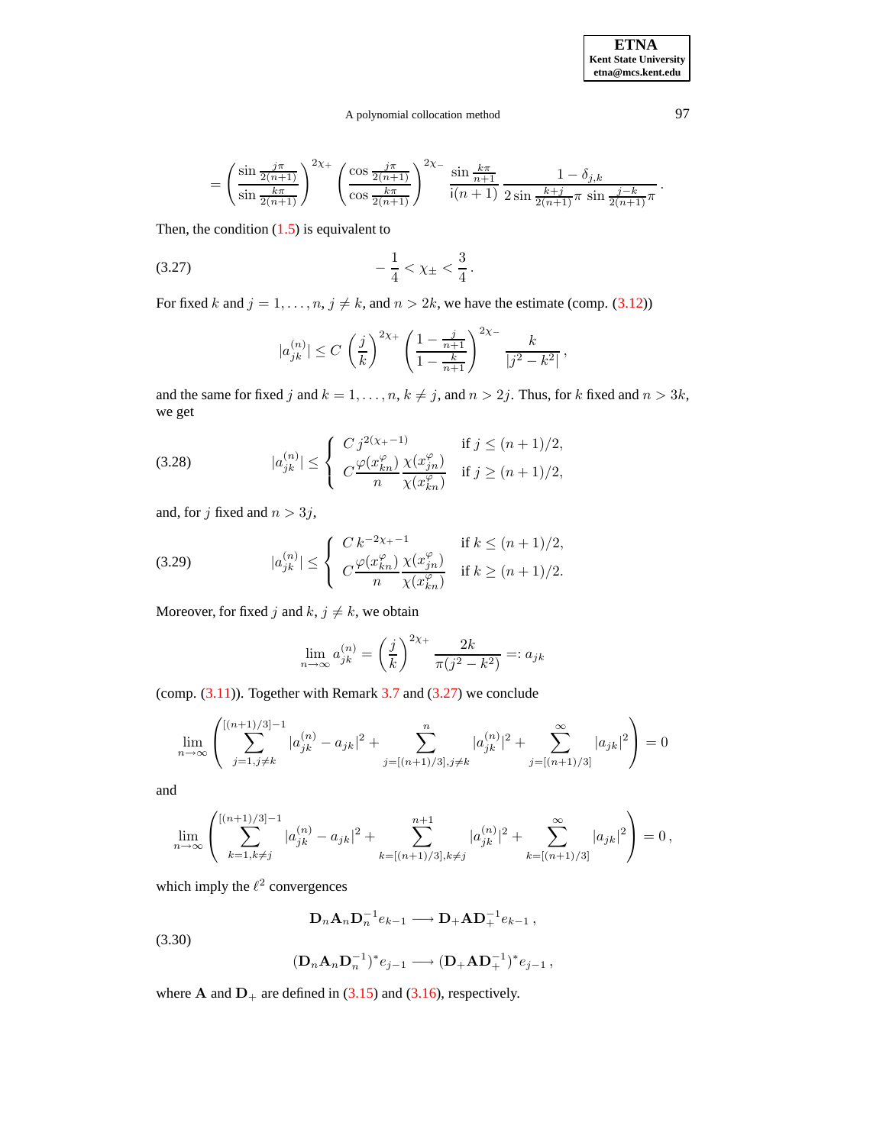# A polynomial collocation method 97

$$
= \left(\frac{\sin\frac{j\pi}{2(n+1)}}{\sin\frac{k\pi}{2(n+1)}}\right)^{2\chi_+} \left(\frac{\cos\frac{j\pi}{2(n+1)}}{\cos\frac{k\pi}{2(n+1)}}\right)^{2\chi_-} \frac{\sin\frac{k\pi}{n+1}}{i(n+1)} \frac{1-\delta_{j,k}}{2\sin\frac{k+j}{2(n+1)}\pi \sin\frac{j-k}{2(n+1)}\pi}.
$$

Then, the condition  $(1.5)$  is equivalent to

$$
-\frac{1}{4} < \chi_{\pm} < \frac{3}{4} \, .
$$

For fixed k and  $j = 1, \ldots, n, j \neq k$ , and  $n > 2k$ , we have the estimate (comp. [\(3.12\)](#page-12-1))

<span id="page-18-0"></span>
$$
|a_{jk}^{(n)}| \le C \left(\frac{j}{k}\right)^{2\chi_+} \left(\frac{1 - \frac{j}{n+1}}{1 - \frac{k}{n+1}}\right)^{2\chi_-} \frac{k}{|j^2 - k^2|},
$$

and the same for fixed j and  $k = 1, \ldots, n, k \neq j$ , and  $n > 2j$ . Thus, for k fixed and  $n > 3k$ , we get

<span id="page-18-1"></span>(3.28) 
$$
|a_{jk}^{(n)}| \leq \begin{cases} C j^{2(\chi_+-1)} & \text{if } j \leq (n+1)/2, \\ C \frac{\varphi(x_{kn}^{\varphi})}{n} \frac{\chi(x_{jn}^{\varphi})}{\chi(x_{kn}^{\varphi})} & \text{if } j \geq (n+1)/2, \end{cases}
$$

and, for j fixed and  $n > 3j$ ,

<span id="page-18-2"></span>(3.29) 
$$
|a_{jk}^{(n)}| \leq \begin{cases} C k^{-2\chi_+ - 1} & \text{if } k \leq (n+1)/2, \\ C \frac{\varphi(x_{kn}^{\varphi})}{n} \frac{\chi(x_{jn}^{\varphi})}{\chi(x_{kn}^{\varphi})} & \text{if } k \geq (n+1)/2. \end{cases}
$$

Moreover, for fixed j and  $k, j \neq k$ , we obtain

$$
\lim_{n \to \infty} a_{jk}^{(n)} = \left(\frac{j}{k}\right)^{2\chi_+} \frac{2k}{\pi(j^2 - k^2)} =: a_{jk}
$$

(comp.  $(3.11)$ ). Together with Remark [3.7](#page-10-1) and  $(3.27)$  we conclude

$$
\lim_{n \to \infty} \left( \sum_{j=1, j \neq k}^{[(n+1)/3]-1} |a_{jk}^{(n)} - a_{jk}|^2 + \sum_{j=[(n+1)/3], j \neq k}^{n} |a_{jk}^{(n)}|^2 + \sum_{j=[(n+1)/3]}^{\infty} |a_{jk}|^2 \right) = 0
$$

and

$$
\lim_{n \to \infty} \left( \sum_{k=1, k \neq j}^{[(n+1)/3]-1} |a_{jk}^{(n)} - a_{jk}|^2 + \sum_{k=[(n+1)/3], k \neq j}^{n+1} |a_{jk}^{(n)}|^2 + \sum_{k=[(n+1)/3]}^{\infty} |a_{jk}|^2 \right) = 0,
$$

which imply the  $\ell^2$  convergences

$$
\mathbf{D}_n \mathbf{A}_n \mathbf{D}_n^{-1} e_{k-1} \longrightarrow \mathbf{D}_+ \mathbf{A} \mathbf{D}_+^{-1} e_{k-1},
$$

(3.30)

$$
(D_nA_nD_n^{-1})^*e_{j-1}\longrightarrow (D_+AD_+^{-1})^*e_{j-1}
$$
,

where **A** and  $D_+$  are defined in [\(3.15\)](#page-13-1) and [\(3.16\)](#page-13-1), respectively.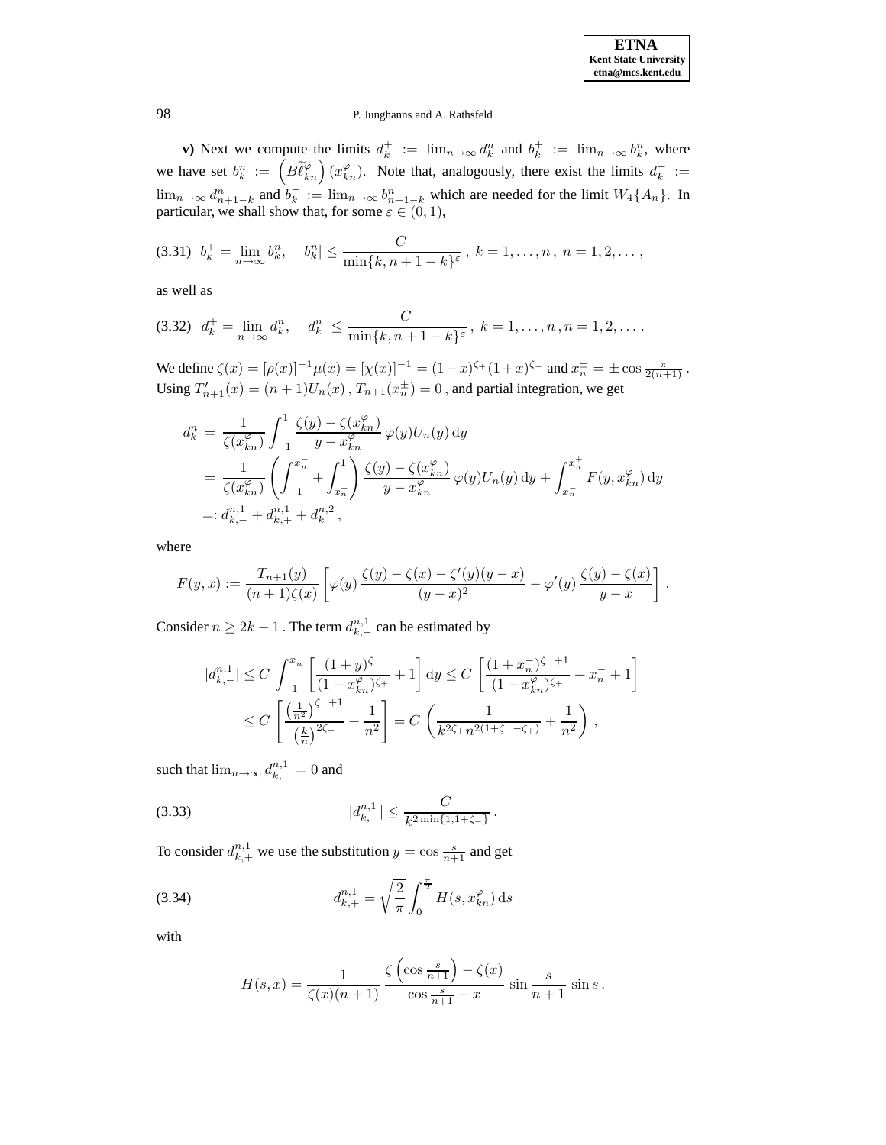**v**) Next we compute the limits  $d_k^+ := \lim_{n \to \infty} d_k^n$  and  $b_k^+ := \lim_{n \to \infty} b_k^n$ , where we have set  $b_k^n := \left(B\widetilde{\ell}_{kn}^\varphi\right)(x_{kn}^\varphi)$ . Note that, analogously, there exist the limits  $d_k^- :=$  $\lim_{n\to\infty} d_{n+1-k}^n$  and  $b_k^- := \lim_{n\to\infty} b_{n+1-k}^n$  which are needed for the limit  $W_4\{A_n\}$ . In particular, we shall show that, for some  $\varepsilon \in (0,1)$ ,

<span id="page-19-1"></span>
$$
(3.31) \ \ b_k^+ = \lim_{n \to \infty} b_k^n, \ \ |b_k^n| \leq \frac{C}{\min\{k, n+1-k\}^{\varepsilon}}, \ k = 1, \dots, n, \ n = 1, 2, \dots,
$$

<span id="page-19-2"></span>as well as

$$
(3.32) \ \ d_k^+ = \lim_{n \to \infty} d_k^n, \ \ |d_k^n| \leq \frac{C}{\min\{k, n+1-k\}^{\varepsilon}}, \ k = 1, \dots, n, n = 1, 2, \dots.
$$

We define  $\zeta(x) = [\rho(x)]^{-1} \mu(x) = [\chi(x)]^{-1} = (1-x)^{\zeta_+} (1+x)^{\zeta_-}$  and  $x_n^{\pm} = \pm \cos \frac{\pi}{2(n+1)}$ . Using  $T'_{n+1}(x) = (n+1)U_n(x)$ ,  $T_{n+1}(x_n^{\pm}) = 0$ , and partial integration, we get

$$
d_k^n = \frac{1}{\zeta(x_{kn}^\varphi)} \int_{-1}^1 \frac{\zeta(y) - \zeta(x_{kn}^\varphi)}{y - x_{kn}^\varphi} \varphi(y) U_n(y) \, dy
$$
  
\n
$$
= \frac{1}{\zeta(x_{kn}^\varphi)} \left( \int_{-1}^{x_n^-} + \int_{x_n^+}^1 \right) \frac{\zeta(y) - \zeta(x_{kn}^\varphi)}{y - x_{kn}^\varphi} \varphi(y) U_n(y) \, dy + \int_{x_n^-}^{x_n^+} F(y, x_{kn}^\varphi) \, dy
$$
  
\n
$$
=: d_{k,-}^{n,1} + d_{k,+}^{n,1} + d_k^{n,2},
$$

where

$$
F(y,x) := \frac{T_{n+1}(y)}{(n+1)\zeta(x)} \left[ \varphi(y) \frac{\zeta(y) - \zeta(x) - \zeta'(y)(y-x)}{(y-x)^2} - \varphi'(y) \frac{\zeta(y) - \zeta(x)}{y-x} \right].
$$

Consider  $n \geq 2k - 1$  . The term  $d_{k,-}^{n,1}$  can be estimated by

$$
\begin{split} |d^{n,1}_{k,-}| &\leq C\,\int_{-1}^{x^-_n}\left[\frac{(1+y)^{\zeta_-}}{(1-x^{\varphi}_{kn})^{\zeta_+}}+1\right]\mathrm{d}y \leq C\,\left[\frac{(1+x^-_n)^{\zeta_-+1}}{(1-x^{\varphi}_{kn})^{\zeta_+}}+x^-_n+1\right]\\ &\leq C\,\left[\frac{\left(\frac{1}{n^2}\right)^{\zeta_-+1}}{\left(\frac{k}{n}\right)^{2\zeta_+}}+\frac{1}{n^2}\right]=C\,\left(\frac{1}{k^{2\zeta_+}n^{2(1+\zeta_--\zeta_+)}}+\frac{1}{n^2}\right)\,, \end{split}
$$

such that  $\lim_{n\to\infty} d_{k,-}^{n,1} = 0$  and

<span id="page-19-0"></span>
$$
(3.33) \t |d_{k,-}^{n,1}| \leq \frac{C}{k^{2\min\{1,1+\zeta_{-}\}}}.
$$

To consider  $d_{k,+}^{n,1}$  we use the substitution  $y = \cos \frac{s}{n+1}$  and get

(3.34) 
$$
d_{k,+}^{n,1} = \sqrt{\frac{2}{\pi}} \int_0^{\frac{\pi}{2}} H(s, x_{kn}^{\varphi}) ds
$$

with

$$
H(s,x) = \frac{1}{\zeta(x)(n+1)} \frac{\zeta\left(\cos\frac{s}{n+1}\right) - \zeta(x)}{\cos\frac{s}{n+1} - x} \sin\frac{s}{n+1} \sin s.
$$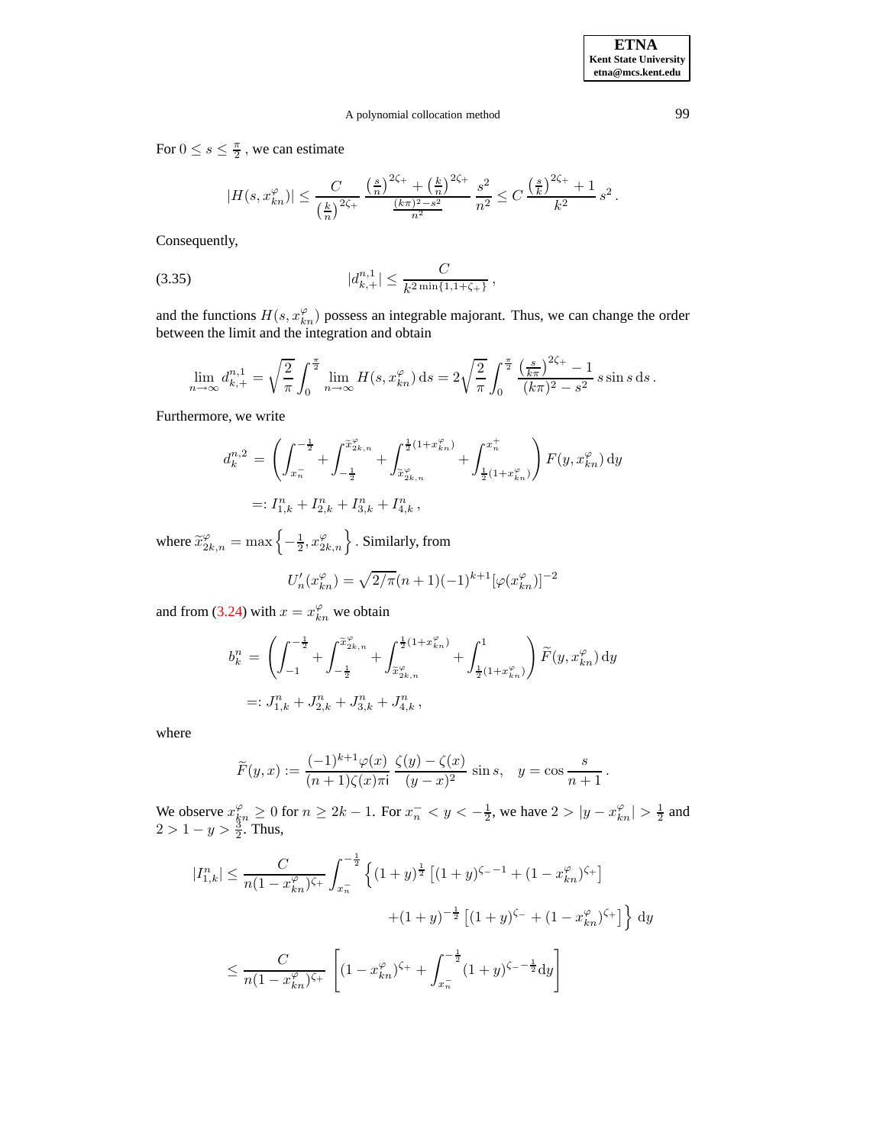.

# A polynomial collocation method 99

For  $0 \leq s \leq \frac{\pi}{2}$ , we can estimate

<span id="page-20-0"></span>
$$
|H(s, x_{kn}^{\varphi})| \leq \frac{C}{\left(\frac{k}{n}\right)^{2\zeta_+}} \frac{\left(\frac{s}{n}\right)^{2\zeta_+} + \left(\frac{k}{n}\right)^{2\zeta_+}}{\frac{(k\pi)^2 - s^2}{n^2}} \frac{s^2}{n^2} \leq C \frac{\left(\frac{s}{k}\right)^{2\zeta_+} + 1}{k^2} s^2.
$$

Consequently,

$$
(3.35) \t |d_{k,+}^{n,1}| \leq \frac{C}{k^{2\min\{1,1+\zeta_{+}\}}},
$$

and the functions  $H(s, x_{kn}^{\varphi})$  possess an integrable majorant. Thus, we can change the order between the limit and the integration and obtain

$$
\lim_{n \to \infty} d_{k,+}^{n,1} = \sqrt{\frac{2}{\pi}} \int_0^{\frac{\pi}{2}} \lim_{n \to \infty} H(s, x_{kn}^{\varphi}) ds = 2\sqrt{\frac{2}{\pi}} \int_0^{\frac{\pi}{2}} \frac{\left(\frac{s}{k\pi}\right)^{2\zeta_+} - 1}{(k\pi)^2 - s^2} s \sin s \, ds.
$$

Furthermore, we write

$$
\begin{split} d^{n,2}_k \, &= \, \left( \int_{x_n^-}^{-\frac{1}{2}} + \int_{-\frac{1}{2}}^{\widetilde{x}^\varphi_{2k,n}} + \int_{\widetilde{x}^\varphi_{2k,n}}^{\frac{1}{2}(1+x^\varphi_{kn})} + \int_{\frac{1}{2}(1+x^\varphi_{kn})}^{x_n^+} \right) F(y,x^\varphi_{kn}) \, \mathrm{d}y \\ =: I^n_{1,k} + I^n_{2,k} + I^n_{3,k} + I^n_{4,k} \,, \end{split}
$$

where  $\widetilde{x}_{2k,n}^{\varphi} = \max \left\{ -\frac{1}{2}, x_{2k,n}^{\varphi} \right\}$ . Similarly, from

$$
U'_n(x_{kn}^{\varphi}) = \sqrt{2/\pi}(n+1)(-1)^{k+1}[\varphi(x_{kn}^{\varphi})]^{-2}
$$

and from [\(3.24\)](#page-16-0) with  $x = x_{kn}^{\varphi}$  we obtain

$$
\begin{split} b^n_k &= \left( \int_{-1}^{-\frac{1}{2}} + \int_{-\frac{1}{2}}^{\widetilde{x}^\varphi_{2k,n}} + \int_{\widetilde{x}^\varphi_{2k,n}}^{\frac{1}{2}(1+x^\varphi_{kn})} + \int_{\frac{1}{2}(1+x^\varphi_{kn})}^1 \right) \widetilde{F}(y,x^\varphi_{kn}) \, \mathrm{d}y \\ &=: J^n_{1,k} + J^n_{2,k} + J^n_{3,k} + J^n_{4,k} \,, \end{split}
$$

where

$$
\widetilde{F}(y,x) := \frac{(-1)^{k+1}\varphi(x)}{(n+1)\zeta(x)\pi i} \frac{\zeta(y) - \zeta(x)}{(y-x)^2} \sin s, \quad y = \cos\frac{s}{n+1}
$$

We observe  $x_{\xi n}^{\varphi} \ge 0$  for  $n \ge 2k - 1$ . For  $x_n^- < y < -\frac{1}{2}$ , we have  $2 > |y - x_{kn}^{\varphi}| > \frac{1}{2}$  and  $2 > 1 - y > \frac{3}{2}$ . Thus,

$$
|I_{1,k}^n| \le \frac{C}{n(1-x_{kn}^{\varphi})^{\zeta_+}} \int_{x_n^-}^{-\frac{1}{2}} \left\{ (1+y)^{\frac{1}{2}} \left[ (1+y)^{\zeta_- - 1} + (1-x_{kn}^{\varphi})^{\zeta_+} \right] \right. \\
\left. + (1+y)^{-\frac{1}{2}} \left[ (1+y)^{\zeta_-} + (1-x_{kn}^{\varphi})^{\zeta_+} \right] \right\} dy
$$
\n
$$
\le \frac{C}{n(1-x_{kn}^{\varphi})^{\zeta_+}} \left[ (1-x_{kn}^{\varphi})^{\zeta_+} + \int_{x_n^-}^{-\frac{1}{2}} (1+y)^{\zeta_- - \frac{1}{2}} dy \right]
$$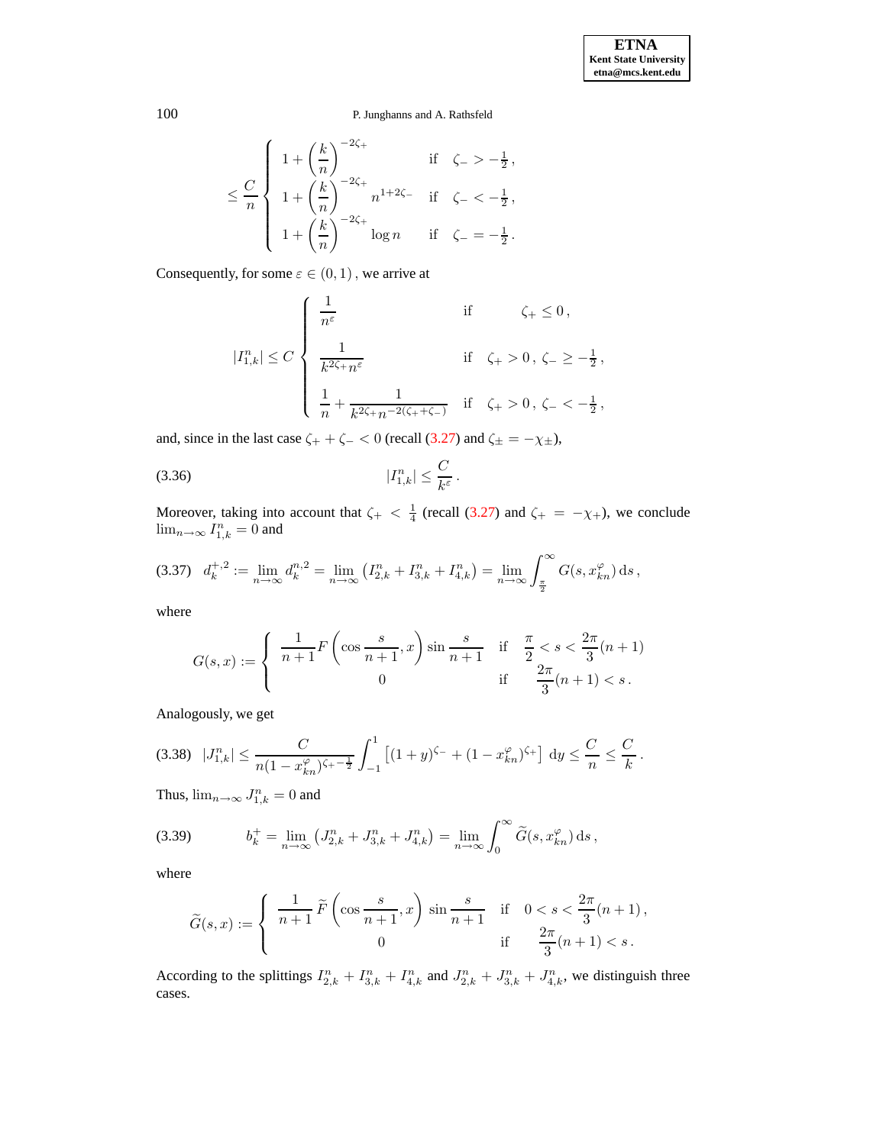$$
\leq \frac{C}{n} \left\{ \begin{array}{lll} 1 + \left(\frac{k}{n}\right)^{-2\zeta_{+}} & \mbox{if} & \zeta_{-} > -\frac{1}{2} \, , \\[10pt] 1 + \left(\frac{k}{n}\right)^{-2\zeta_{+}} n^{1+2\zeta_{-}} & \mbox{if} & \zeta_{-} < -\frac{1}{2} \, , \\[10pt] 1 + \left(\frac{k}{n}\right)^{-2\zeta_{+}} \log n & \mbox{if} & \zeta_{-} = -\frac{1}{2} \, . \end{array} \right.
$$

Consequently, for some  $\varepsilon \in (0,1)$ , we arrive at

$$
|I_{1,k}^n| \le C \begin{cases} \frac{1}{n^{\varepsilon}} & \text{if } \zeta_+ \le 0 \,, \\ \\ \frac{1}{k^{2\zeta_+} n^{\varepsilon}} & \text{if } \zeta_+ > 0 \,, \, \zeta_- \ge -\frac{1}{2} \,, \\ \\ \frac{1}{n} + \frac{1}{k^{2\zeta_+} n^{-2(\zeta_+ + \zeta_-)}} & \text{if } \zeta_+ > 0 \,, \, \zeta_- < -\frac{1}{2} \,, \end{cases}
$$

and, since in the last case  $\zeta_+ + \zeta_- < 0$  (recall [\(3.27\)](#page-18-0) and  $\zeta_{\pm} = -\chi_{\pm}$ ),

<span id="page-21-2"></span>
$$
|I_{1,k}^n| \leq \frac{C}{k^{\varepsilon}}.
$$

Moreover, taking into account that  $\zeta_+ < \frac{1}{4}$  (recall [\(3.27\)](#page-18-0) and  $\zeta_+ = -\chi_+$ ), we conclude  $\lim_{n\to\infty} I_{1,k}^n = 0$  and

<span id="page-21-0"></span>
$$
(3.37) \quad d_k^{+,2} := \lim_{n \to \infty} d_k^{n,2} = \lim_{n \to \infty} \left( I_{2,k}^n + I_{3,k}^n + I_{4,k}^n \right) = \lim_{n \to \infty} \int_{\frac{\pi}{2}}^{\infty} G(s, x_{kn}^{\varphi}) \, \mathrm{d}s \,,
$$

where

$$
G(s,x) := \begin{cases} \frac{1}{n+1} F\left(\cos\frac{s}{n+1}, x\right) \sin\frac{s}{n+1} & \text{if } \frac{\pi}{2} < s < \frac{2\pi}{3}(n+1) \\ 0 & \text{if } \frac{2\pi}{3}(n+1) < s \,. \end{cases}
$$

Analogously, we get

<span id="page-21-3"></span>
$$
(3.38) \ \ |J_{1,k}^n| \leq \frac{C}{n(1-x_{kn}^{\varphi})^{\zeta_+-\frac{1}{2}}} \int_{-1}^1 \left[ (1+y)^{\zeta_-} + (1-x_{kn}^{\varphi})^{\zeta_+} \right] \, \mathrm{d}y \leq \frac{C}{n} \leq \frac{C}{k} \, .
$$

Thus,  $\lim_{n\to\infty} J_{1,k}^n = 0$  and

<span id="page-21-1"></span>(3.39) 
$$
b_k^+ = \lim_{n \to \infty} (J_{2,k}^n + J_{3,k}^n + J_{4,k}^n) = \lim_{n \to \infty} \int_0^\infty \widetilde{G}(s, x_{kn}^\varphi) \, ds,
$$

where

$$
\widetilde{G}(s,x) := \begin{cases}\n\frac{1}{n+1} \widetilde{F}\left(\cos\frac{s}{n+1}, x\right) \sin\frac{s}{n+1} & \text{if } 0 < s < \frac{2\pi}{3}(n+1), \\
0 & \text{if } \frac{2\pi}{3}(n+1) < s.\n\end{cases}
$$

According to the splittings  $I_{2,k}^n + I_{3,k}^n + I_{4,k}^n$  and  $J_{2,k}^n + J_{3,k}^n + J_{4,k}^n$ , we distinguish three cases.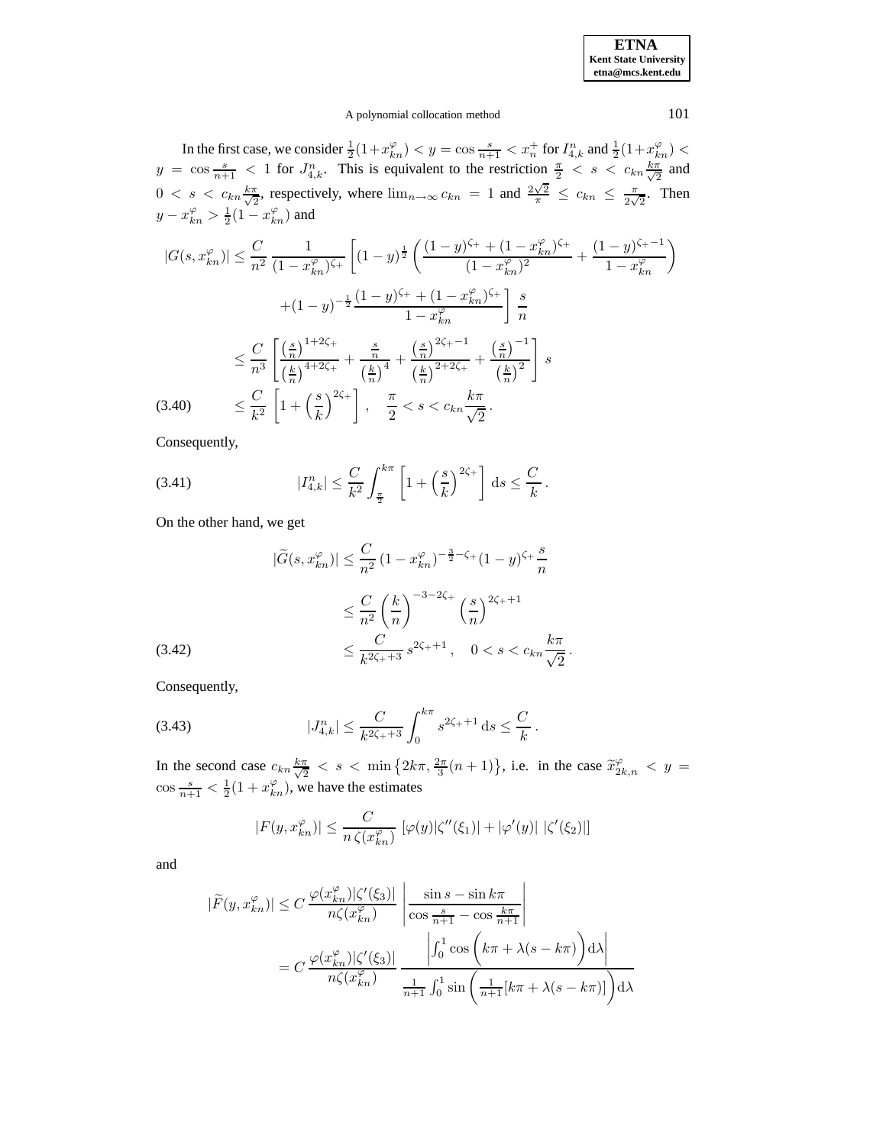# A polynomial collocation method 101

In the first case, we consider  $\frac{1}{2}(1+x_{kn}^{\varphi}) < y = \cos{\frac{s}{n+1}} < x_n^+$  for  $I_{4,k}^n$  and  $\frac{1}{2}(1+x_{kn}^{\varphi}) <$  $y = \cos \frac{s}{n+1}$  < 1 for  $J_{4,k}^n$ . This is equivalent to the restriction  $\frac{\pi}{2}$  < s <  $c_{kn}\frac{k\pi}{\sqrt{2}}$  $rac{\pi}{2}$  and  $0 \leq s \leq c_{kn} \frac{k \pi}{\sqrt{2}}$  $\frac{\pi}{2}$ , respectively, where  $\lim_{n\to\infty} c_{kn} = 1$  and  $\frac{2\sqrt{2}}{\pi} \leq c_{kn} \leq \frac{\pi}{2\sqrt{2}}$  $\frac{\pi}{2\sqrt{2}}$ . Then  $y - x_{kn}^{\varphi} > \frac{1}{2}(1 - x_{kn}^{\varphi})$  and

<span id="page-22-0"></span>
$$
|G(s, x_{kn}^{\varphi})| \leq \frac{C}{n^2} \frac{1}{(1 - x_{kn}^{\varphi})^{\zeta_{+}}} \left[ (1 - y)^{\frac{1}{2}} \left( \frac{(1 - y)^{\zeta_{+}} + (1 - x_{kn}^{\varphi})^{\zeta_{+}}}{(1 - x_{kn}^{\varphi})^2} + \frac{(1 - y)^{\zeta_{+} - 1}}{1 - x_{kn}^{\varphi}} \right) \right]
$$
  
+ 
$$
(1 - y)^{-\frac{1}{2}} \frac{(1 - y)^{\zeta_{+}} + (1 - x_{kn}^{\varphi})^{\zeta_{+}}}{1 - x_{kn}^{\varphi}} \left] \frac{s}{n}
$$
  

$$
\leq \frac{C}{n^3} \left[ \frac{\left(\frac{s}{n}\right)^{1 + 2\zeta_{+}}}{\left(\frac{k}{n}\right)^{4 + 2\zeta_{+}}} + \frac{\frac{s}{n}}{\left(\frac{k}{n}\right)^{4}} + \frac{\left(\frac{s}{n}\right)^{2\zeta_{+} - 1}}{\left(\frac{k}{n}\right)^{2 + 2\zeta_{+}}} + \frac{\left(\frac{s}{n}\right)^{-1}}{\left(\frac{k}{n}\right)^{2}} \right] s
$$
  
(3.40) 
$$
\leq \frac{C}{k^2} \left[ 1 + \left(\frac{s}{k}\right)^{2\zeta_{+}} \right], \quad \frac{\pi}{2} < s < c_{kn} \frac{k\pi}{\sqrt{2}}.
$$

Consequently,

<span id="page-22-2"></span>(3.41) 
$$
|I_{4,k}^n| \leq \frac{C}{k^2} \int_{\frac{\pi}{2}}^{k\pi} \left[1 + \left(\frac{s}{k}\right)^{2\zeta_+}\right] ds \leq \frac{C}{k}.
$$

On the other hand, we get

<span id="page-22-1"></span>
$$
|\tilde{G}(s, x_{kn}^{\varphi})| \leq \frac{C}{n^2} (1 - x_{kn}^{\varphi})^{-\frac{3}{2} - \zeta_+} (1 - y)^{\zeta_+} \frac{s}{n}
$$
  

$$
\leq \frac{C}{n^2} \left(\frac{k}{n}\right)^{-3 - 2\zeta_+} \left(\frac{s}{n}\right)^{2\zeta_+ + 1}
$$
  

$$
\leq \frac{C}{k^{2\zeta_+ + 3}} s^{2\zeta_+ + 1}, \quad 0 < s < c_{kn} \frac{k\pi}{\sqrt{2}}.
$$

Consequently,

<span id="page-22-3"></span>(3.43) 
$$
|J_{4,k}^n| \leq \frac{C}{k^{2\zeta_++3}} \int_0^{k\pi} s^{2\zeta_++1} ds \leq \frac{C}{k}.
$$

In the second case  $c_{kn} \frac{k\pi}{\sqrt{2}}$  $\frac{\pi}{2} < s < \min\left\{2k\pi, \frac{2\pi}{3}(n+1)\right\}$ , i.e. in the case  $\tilde{x}_{2k,n}^{\varphi} < y =$  $\cos \frac{s}{n+1} < \frac{1}{2}(1 + x_{kn}^{\varphi})$ , we have the estimates

$$
|F(y, x_{kn}^{\varphi})| \le \frac{C}{n \zeta(x_{kn}^{\varphi})} \left[ \varphi(y) |\zeta''(\xi_1)| + |\varphi'(y)| \right] |\zeta'(\xi_2)|
$$

and

$$
|\widetilde{F}(y, x_{kn}^{\varphi})| \le C \frac{\varphi(x_{kn}^{\varphi})|\zeta'(\xi_3)|}{n\zeta(x_{kn}^{\varphi})} \frac{\left|\frac{\sin s - \sin k\pi}{\cos \frac{s}{n+1} - \cos \frac{k\pi}{n+1}}\right|}{\left|\int_0^1 \cos \left(k\pi + \lambda(s - k\pi)\right) d\lambda\right|}
$$

$$
= C \frac{\varphi(x_{kn}^{\varphi})|\zeta'(\xi_3)|}{n\zeta(x_{kn}^{\varphi})} \frac{\left|\int_0^1 \cos \left(k\pi + \lambda(s - k\pi)\right) d\lambda\right|}{\frac{1}{n+1} \int_0^1 \sin \left(\frac{1}{n+1}[k\pi + \lambda(s - k\pi)]\right) d\lambda}
$$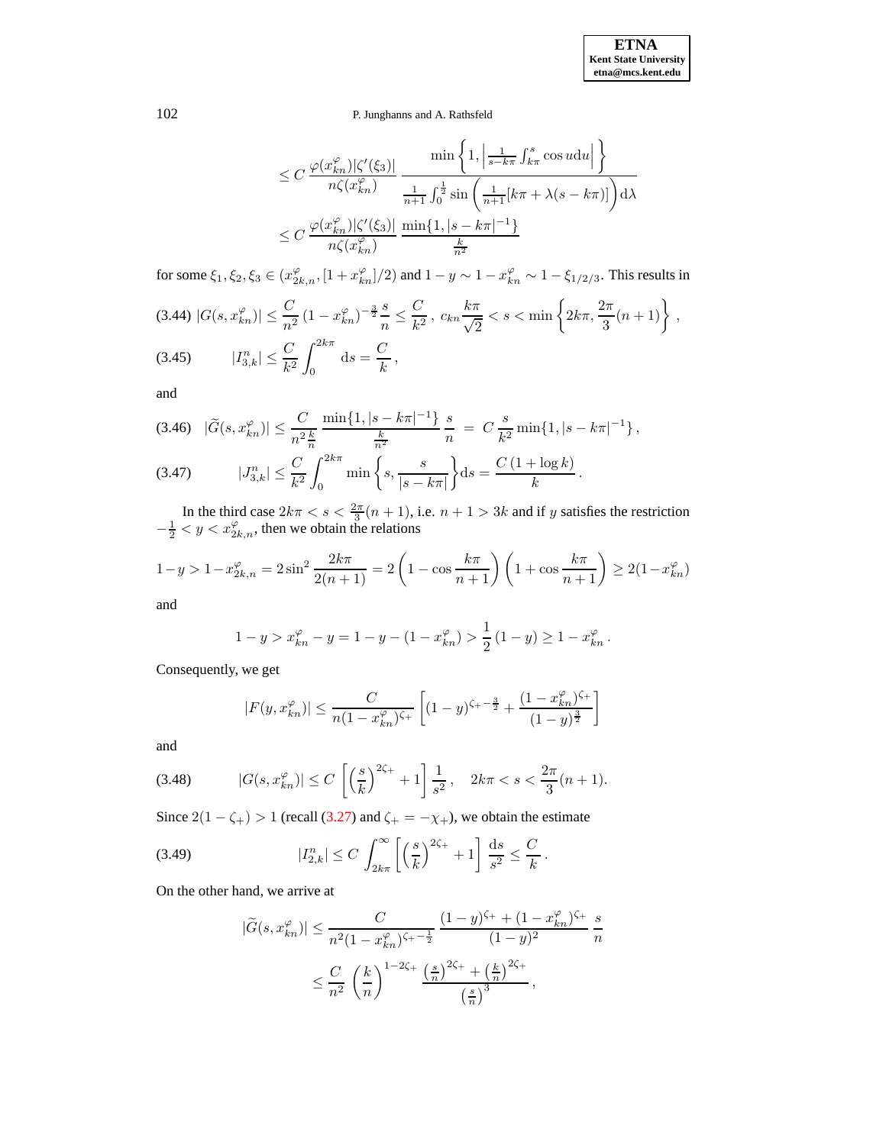$$
\leq C \frac{\varphi(x_{kn}^{\varphi})|\zeta'(\xi_3)|}{n\zeta(x_{kn}^{\varphi})} \frac{\min\left\{1, \left|\frac{1}{s-k\pi}\int_{k\pi}^s \cos u du\right|\right\}}{\frac{1}{n+1}\int_0^{\frac{1}{2}} \sin\left(\frac{1}{n+1}[k\pi + \lambda(s-k\pi)]\right) d\lambda}
$$
  

$$
\leq C \frac{\varphi(x_{kn}^{\varphi})|\zeta'(\xi_3)|}{n\zeta(x_{kn}^{\varphi})} \frac{\min\{1, |s-k\pi|^{-1}\}}{\frac{k}{n^2}}
$$

for some  $\xi_1, \xi_2, \xi_3 \in (x_{2k,n}^{\varphi}, [1+x_{kn}^{\varphi}]/2)$  and  $1-y \sim 1-x_{kn}^{\varphi} \sim 1-\xi_{1/2/3}$ . This results in

<span id="page-23-0"></span>
$$
(3.44) |G(s, x_{kn}^{\varphi})| \le \frac{C}{n^2} (1 - x_{kn}^{\varphi})^{-\frac{3}{2}} \frac{s}{n} \le \frac{C}{k^2}, \ c_{kn} \frac{k\pi}{\sqrt{2}} < s < \min\left\{2k\pi, \frac{2\pi}{3}(n+1)\right\},\
$$
\n
$$
(3.45) \qquad |I_{3,k}^n| \le \frac{C}{k^2} \int_0^{2k\pi} ds = \frac{C}{k},
$$

and

<span id="page-23-2"></span>
$$
(3.46) \quad |\tilde{G}(s, x_{kn}^{\varphi})| \leq \frac{C}{n^2 \frac{k}{n}} \frac{\min\{1, |s - k\pi|^{-1}\}}{\frac{k}{n^2}} \frac{s}{n} = C \frac{s}{k^2} \min\{1, |s - k\pi|^{-1}\},
$$
\n
$$
(3.47) \qquad |J_{3,k}^n| \leq \frac{C}{k^2} \int_0^{2k\pi} \min\left\{s, \frac{s}{|s - k\pi|}\right\} ds = \frac{C\left(1 + \log k\right)}{k}.
$$

In the third case  $2k\pi < s < \frac{2\pi}{3}(n+1)$ , i.e.  $n+1 > 3k$  and if y satisfies the restriction  $-\frac{1}{2} < y < x_{2k,n}^{\varphi}$ , then we obtain the relations

$$
1 - y > 1 - x_{2k,n}^{\varphi} = 2\sin^2\frac{2k\pi}{2(n+1)} = 2\left(1 - \cos\frac{k\pi}{n+1}\right)\left(1 + \cos\frac{k\pi}{n+1}\right) \ge 2(1 - x_{kn}^{\varphi})
$$

and

$$
1 - y > x_{kn}^{\varphi} - y = 1 - y - (1 - x_{kn}^{\varphi}) > \frac{1}{2} (1 - y) \ge 1 - x_{kn}^{\varphi}.
$$

Consequently, we get

$$
|F(y, x_{kn}^{\varphi})| \le \frac{C}{n(1 - x_{kn}^{\varphi})^{\zeta_{+}}} \left[ (1 - y)^{\zeta_{+} - \frac{3}{2}} + \frac{(1 - x_{kn}^{\varphi})^{\zeta_{+}}}{(1 - y)^{\frac{3}{2}}} \right]
$$

and

<span id="page-23-1"></span>(3.48) 
$$
|G(s, x_{kn}^{\varphi})| \le C \left[ \left( \frac{s}{k} \right)^{2\zeta_{+}} + 1 \right] \frac{1}{s^{2}}, \quad 2k\pi < s < \frac{2\pi}{3}(n+1).
$$

Since  $2(1 - \zeta_+) > 1$  (recall [\(3.27\)](#page-18-0) and  $\zeta_+ = -\chi_+$ ), we obtain the estimate

<span id="page-23-3"></span>(3.49) 
$$
|I_{2,k}^n| \le C \int_{2k\pi}^{\infty} \left[ \left( \frac{s}{k} \right)^{2\zeta_+} + 1 \right] \frac{ds}{s^2} \le \frac{C}{k}.
$$

On the other hand, we arrive at

$$
|\tilde{G}(s, x_{kn}^{\varphi})| \le \frac{C}{n^2 (1 - x_{kn}^{\varphi})^{\zeta_+ - \frac{1}{2}}} \frac{(1 - y)^{\zeta_+} + (1 - x_{kn}^{\varphi})^{\zeta_+}}{(1 - y)^2} \frac{s}{n}
$$
  

$$
\le \frac{C}{n^2} \left(\frac{k}{n}\right)^{1 - 2\zeta_+} \frac{\left(\frac{s}{n}\right)^{2\zeta_+} + \left(\frac{k}{n}\right)^{2\zeta_+}}{\left(\frac{s}{n}\right)^3},
$$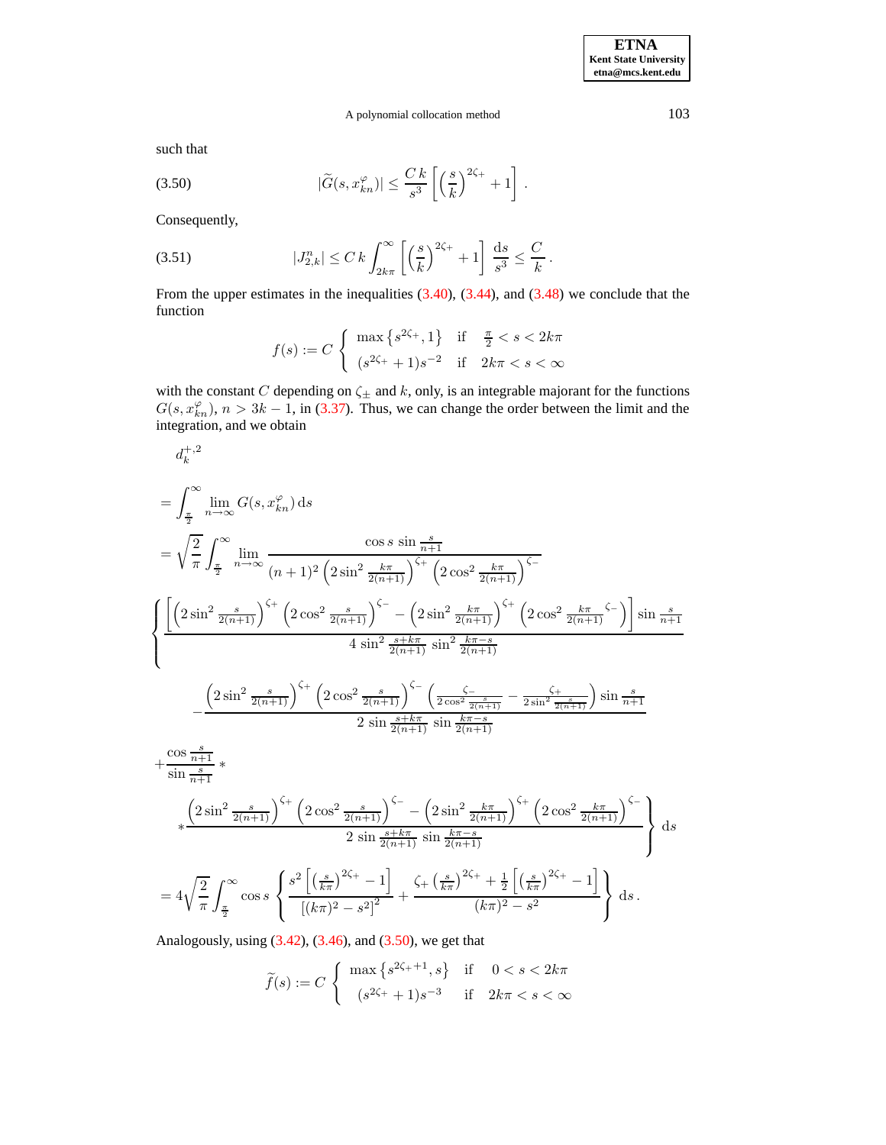# A polynomial collocation method 103

such that

<span id="page-24-0"></span>(3.50) 
$$
|\widetilde{G}(s,x_{kn}^{\varphi})| \leq \frac{C k}{s^3} \left[ \left(\frac{s}{k}\right)^{2\zeta_+} + 1 \right].
$$

Consequently,

<span id="page-24-1"></span>(3.51) 
$$
|J_{2,k}^n| \leq C k \int_{2k\pi}^{\infty} \left[ \left( \frac{s}{k} \right)^{2\zeta_+} + 1 \right] \frac{ds}{s^3} \leq \frac{C}{k}.
$$

From the upper estimates in the inequalities  $(3.40)$ ,  $(3.44)$ , and  $(3.48)$  we conclude that the function

$$
f(s) := C \begin{cases} \max \left\{ s^{2\zeta_+}, 1 \right\} & \text{if } \frac{\pi}{2} < s < 2k\pi \\ (s^{2\zeta_+} + 1)s^{-2} & \text{if } 2k\pi < s < \infty \end{cases}
$$

with the constant C depending on  $\zeta_{\pm}$  and k, only, is an integrable majorant for the functions  $G(s, x_{kn}^{\varphi}), n > 3k - 1$ , in [\(3.37\)](#page-21-0). Thus, we can change the order between the limit and the integration, and we obtain

$$
d_{k}^{+2}
$$
\n=
$$
\int_{\frac{\pi}{2}}^{\infty} \lim_{n \to \infty} G(s, x_{kn}^{\varphi}) ds
$$
\n=
$$
\sqrt{\frac{2}{\pi}} \int_{\frac{\pi}{2}}^{\infty} \lim_{n \to \infty} \frac{\cos s \sin \frac{s}{n+1}}{(n+1)^2 (2 \sin^2 \frac{k\pi}{2(n+1)})^{\zeta_{+}} (2 \cos^2 \frac{k\pi}{2(n+1)})^{\zeta_{-}}}
$$
\n
$$
\left\{ \frac{\left[ (2 \sin^2 \frac{s}{2(n+1)})^{\zeta_{+}} (2 \cos^2 \frac{s}{2(n+1)})^{\zeta_{-}} - (2 \sin^2 \frac{k\pi}{2(n+1)})^{\zeta_{+}} (2 \cos^2 \frac{k\pi}{2(n+1)})^{\zeta_{-}} \right] \sin \frac{s}{n+1}}{4 \sin^2 \frac{s+k\pi}{2(n+1)} \sin^2 \frac{k\pi-s}{2(n+1)}}
$$
\n
$$
- \frac{\left( 2 \sin^2 \frac{s}{2(n+1)} \right)^{\zeta_{+}} (2 \cos^2 \frac{s}{2(n+1)})^{\zeta_{-}} \left( \frac{\zeta_{-}}{2 \cos^2 \frac{s}{2(n+1)}} - \frac{\zeta_{+}}{2 \sin^2 \frac{s}{2(n+1)}} \right) \sin \frac{s}{n+1}}{2 \sin \frac{s+k\pi}{2(n+1)} \sin \frac{k\pi-s}{2(n+1)}}
$$
\n+ 
$$
\frac{\cos \frac{s}{n+1}}{\sin \frac{s}{n+1}} *
$$
\n
$$
+ \frac{\left( 2 \sin^2 \frac{s}{2(n+1)} \right)^{\zeta_{+}} (2 \cos^2 \frac{s}{2(n+1)})^{\zeta_{-}} - \left( 2 \sin^2 \frac{k\pi}{2(n+1)} \right)^{\zeta_{+}} (2 \cos^2 \frac{k\pi}{2(n+1)})^{\zeta_{-}}}{2 \sin \frac{s+k\pi}{2(n+1)} \sin \frac{k\pi-s}{2(n+1)}}
$$
\n+ 
$$
4 \sqrt{\frac{2}{\pi}} \int_{\frac{\pi}{2}}^{\infty} \cos s \begin{cases} s^{2} \left[ \left( \frac{s}{k\pi} \right)^{2\zeta_{+}} - 1 \right] + \frac{\zeta_{+} \left( \frac{s}{k\pi} \
$$

Analogously, using  $(3.42)$ ,  $(3.46)$ , and  $(3.50)$ , we get that

$$
\widetilde{f}(s) := C \begin{cases} \max \left\{ s^{2\zeta_+ + 1}, s \right\} & \text{if } 0 < s < 2k\pi \\ (s^{2\zeta_+} + 1)s^{-3} & \text{if } 2k\pi < s < \infty \end{cases}
$$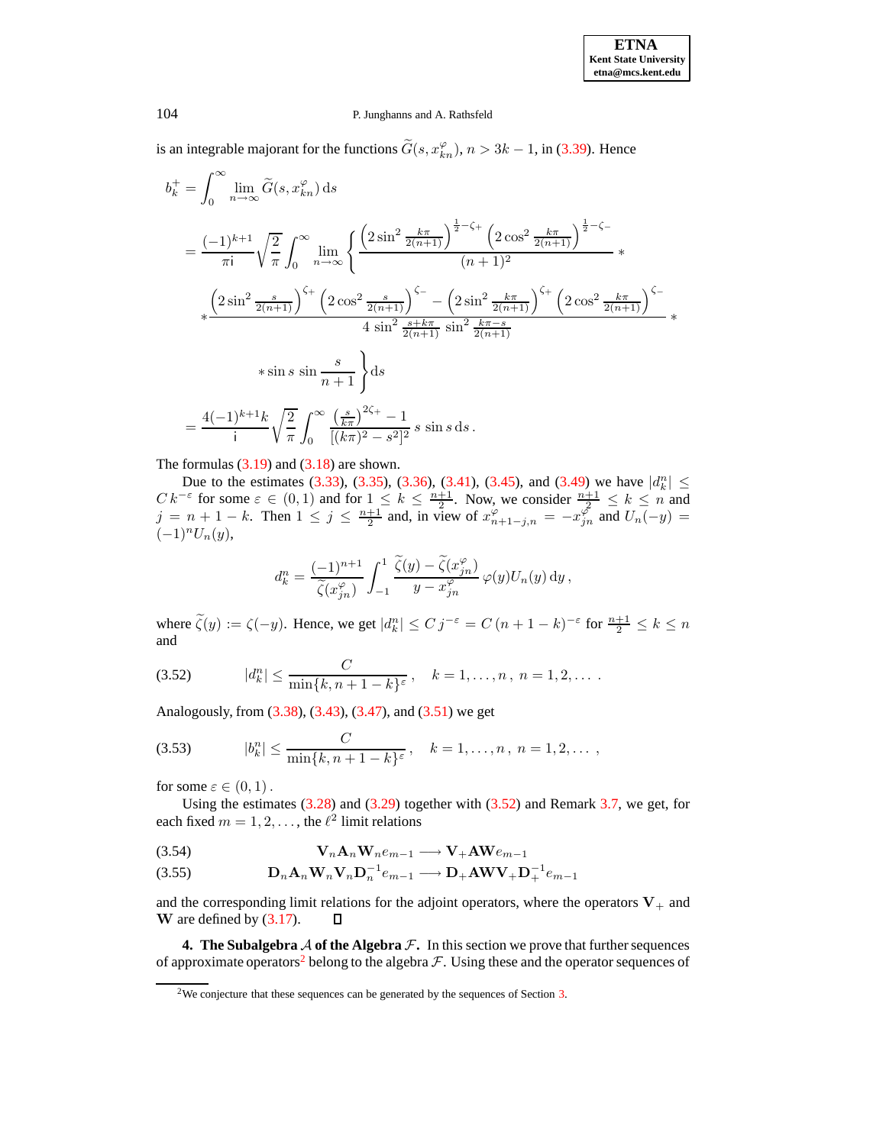is an integrable majorant for the functions  $\widetilde{G}(s, x_{kn}^{\varphi}), n > 3k - 1$ , in [\(3.39\)](#page-21-1). Hence

$$
b_k^+ = \int_0^\infty \lim_{n \to \infty} \tilde{G}(s, x_{kn}^\varphi) \, ds
$$
  
\n
$$
= \frac{(-1)^{k+1}}{\pi i} \sqrt{\frac{2}{\pi}} \int_0^\infty \lim_{n \to \infty} \left\{ \frac{\left(2 \sin^2 \frac{k\pi}{2(n+1)}\right)^{\frac{1}{2} - \zeta_+} \left(2 \cos^2 \frac{k\pi}{2(n+1)}\right)^{\frac{1}{2} - \zeta_-}}{(n+1)^2} \right. \times
$$
  
\n
$$
\left. \left(2 \sin^2 \frac{s}{2(n+1)}\right)^{\zeta_+} \left(2 \cos^2 \frac{s}{2(n+1)}\right)^{\zeta_-} - \left(2 \sin^2 \frac{k\pi}{2(n+1)}\right)^{\zeta_+} \left(2 \cos^2 \frac{k\pi}{2(n+1)}\right)^{\zeta_-} \right\}
$$
  
\n
$$
+ \sin s \sin \frac{s}{n+1} \right\} ds
$$
  
\n
$$
= \frac{4(-1)^{k+1}k}{i} \sqrt{\frac{2}{\pi}} \int_0^\infty \frac{\left(\frac{s}{k\pi}\right)^{2\zeta_+} - 1}{[(k\pi)^2 - s^2]^2} s \sin s \, ds \, .
$$

The formulas  $(3.19)$  and  $(3.18)$  are shown.

Due to the estimates [\(3.33\)](#page-19-0), [\(3.35\)](#page-20-0), [\(3.36\)](#page-21-2), [\(3.41\)](#page-22-2), [\(3.45\)](#page-23-0), and [\(3.49\)](#page-23-3) we have  $|d_k^n| \le$  $C k^{-\varepsilon}$  for some  $\varepsilon \in (0,1)$  and for  $1 \leq k \leq \frac{n+1}{2}$ . Now, we consider  $\frac{n+1}{2} \leq k \leq n$  and  $j = n + 1 - k$ . Then  $1 \le j \le \frac{n+1}{2}$  and, in view of  $x_{n+1-j,n}^{\varphi} = -x_{jn}^{\varphi}$  and  $U_n(-y) =$  $(-1)^n U_n(y),$ 

$$
d_k^n = \frac{(-1)^{n+1}}{\widetilde{\zeta}(x_{jn}^{\varphi})} \int_{-1}^1 \frac{\widetilde{\zeta}(y) - \widetilde{\zeta}(x_{jn}^{\varphi})}{y - x_{jn}^{\varphi}} \varphi(y) U_n(y) \, dy,
$$

where  $\tilde{\zeta}(y) := \zeta(-y)$ . Hence, we get  $|d_k^n| \le C j^{-\varepsilon} = C(n+1-k)^{-\varepsilon}$  for  $\frac{n+1}{2} \le k \le n$ and

<span id="page-25-1"></span>(3.52) 
$$
|d_k^n| \le \frac{C}{\min\{k, n+1-k\}^{\varepsilon}}, \quad k = 1, ..., n, n = 1, 2, ...
$$

Analogously, from [\(3.38\)](#page-21-3), [\(3.43\)](#page-22-3), [\(3.47\)](#page-23-2), and [\(3.51\)](#page-24-1) we get

(3.53) 
$$
|b_k^n| \leq \frac{C}{\min\{k, n+1-k\}^{\varepsilon}}, \quad k = 1, ..., n, n = 1, 2, ...
$$

for some  $\varepsilon \in (0,1)$ .

Using the estimates  $(3.28)$  and  $(3.29)$  together with  $(3.52)$  and Remark [3.7,](#page-10-1) we get, for each fixed  $m = 1, 2, \dots$ , the  $\ell^2$  limit relations

(3.54) VnAnWnem−<sup>1</sup> −→ V+AWem−<sup>1</sup>

DnAnWnVnD−<sup>1</sup> n <sup>e</sup>m−<sup>1</sup> −→ <sup>D</sup>+AWV+D−<sup>1</sup> (3.55) <sup>+</sup> em−<sup>1</sup>

and the corresponding limit relations for the adjoint operators, where the operators  $V_+$  and W are defined by [\(3.17\)](#page-13-1). О

<span id="page-25-2"></span><span id="page-25-0"></span>**4.** The Subalgebra A of the Algebra  $\mathcal{F}$ . In this section we prove that further sequences of approximate operators<sup>[2](#page-25-2)</sup> belong to the algebra  $\mathcal F$ . Using these and the operator sequences of

<sup>&</sup>lt;sup>2</sup>We conjecture that these sequences can be generated by the sequences of Section [3.](#page-8-1)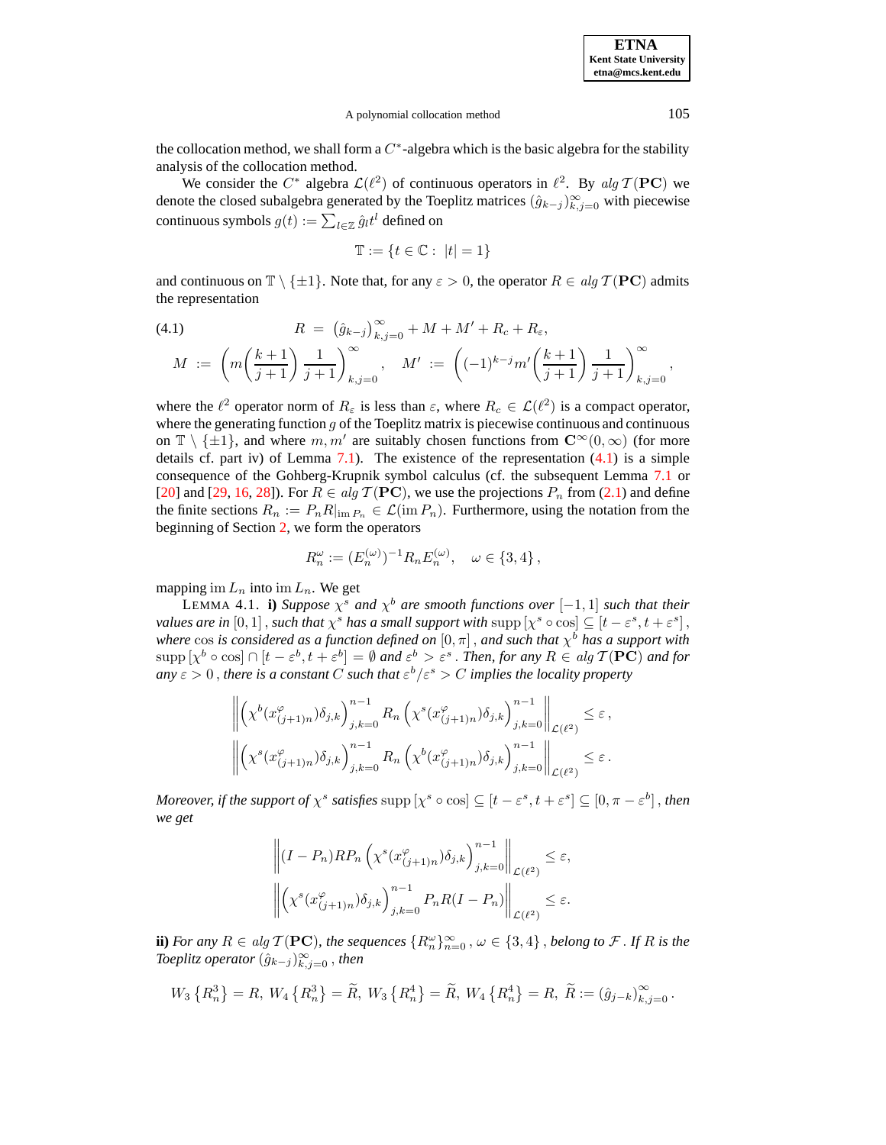A polynomial collocation method 105

the collocation method, we shall form a  $C^*$ -algebra which is the basic algebra for the stability analysis of the collocation method.

We consider the  $C^*$  algebra  $\mathcal{L}(\ell^2)$  of continuous operators in  $\ell^2$ . By alg  $\mathcal{T}(\mathbf{PC})$  we denote the closed subalgebra generated by the Toeplitz matrices  $(\hat{g}_{k-j})_{k,j=0}^{\infty}$  with piecewise continuous symbols  $g(t) := \sum_{l \in \mathbb{Z}} \hat{g}_l t^l$  defined on

$$
\mathbb{T}:=\{t\in\mathbb{C}:\ |t|=1\}
$$

and continuous on  $\mathbb{T} \setminus {\pm 1}$ . Note that, for any  $\varepsilon > 0$ , the operator  $R \in \text{alg } T(\mathbf{PC})$  admits the representation

<span id="page-26-0"></span>(4.1) 
$$
R = (\hat{g}_{k-j})_{k,j=0}^{\infty} + M + M' + R_c + R_{\varepsilon},
$$

$$
M := \left( m \left( \frac{k+1}{j+1} \right) \frac{1}{j+1} \right)_{k,j=0}^{\infty}, \quad M' := \left( (-1)^{k-j} m' \left( \frac{k+1}{j+1} \right) \frac{1}{j+1} \right)_{k,j=0}^{\infty},
$$

where the  $\ell^2$  operator norm of  $R_{\varepsilon}$  is less than  $\varepsilon$ , where  $R_c \in \mathcal{L}(\ell^2)$  is a compact operator, where the generating function  $g$  of the Toeplitz matrix is piecewise continuous and continuous on  $\mathbb{T} \setminus \{\pm 1\}$ , and where  $m, m'$  are suitably chosen functions from  $\mathbb{C}^{\infty}(0, \infty)$  (for more details cf. part iv) of Lemma [7.1\)](#page-36-1). The existence of the representation [\(4.1\)](#page-26-0) is a simple consequence of the Gohberg-Krupnik symbol calculus (cf. the subsequent Lemma [7.1](#page-36-1) or [\[20\]](#page-46-19) and [\[29,](#page-46-24) [16,](#page-46-21) [28\]](#page-46-9)). For  $R \in alg \mathcal{T}(\mathbf{PC})$ , we use the projections  $P_n$  from [\(2.1\)](#page-5-3) and define the finite sections  $R_n := P_n R|_{\text{im } P_n} \in \mathcal{L}(\text{im } P_n)$ . Furthermore, using the notation from the beginning of Section [2,](#page-4-0) we form the operators

<span id="page-26-1"></span>
$$
R_n^{\omega} := (E_n^{(\omega)})^{-1} R_n E_n^{(\omega)}, \quad \omega \in \{3, 4\},
$$

mapping im  $L_n$  into im  $L_n$ . We get

LEMMA 4.1. **i**) *Suppose*  $\chi^s$  *and*  $\chi^b$  *are smooth functions over*  $[-1, 1]$  *such that their values are in*  $[0,1]$ , *such that*  $\chi^s$  *has a small support with*  $\sup p[\chi^s \circ \cos] \subseteq [t - \varepsilon^s, t + \varepsilon^s]$ , *where*  $\cos$  *is considered as a function defined on*  $[0, \pi]$  , *and such that*  $\chi^b$  *has a support with*  $\sup p\left[\chi^{b}\circ\cos\right] \cap \left[t-\varepsilon^{b},t+\varepsilon^{b}\right] = \emptyset$  and  $\varepsilon^{b} > \varepsilon^{s}$ . *Then, for any*  $R \in alg \mathcal{T}(\mathbf{PC})$  and for  $a_n y \varepsilon > 0$  , there is a constant C such that  $\varepsilon^b/\varepsilon^s > C$  implies the locality property

$$
\left\| \left( \chi^b(x_{(j+1)n}^{\varphi}) \delta_{j,k} \right)_{j,k=0}^{n-1} R_n \left( \chi^s(x_{(j+1)n}^{\varphi}) \delta_{j,k} \right)_{j,k=0}^{n-1} \right\|_{\mathcal{L}(\ell^2)} \leq \varepsilon,
$$
  

$$
\left\| \left( \chi^s(x_{(j+1)n}^{\varphi}) \delta_{j,k} \right)_{j,k=0}^{n-1} R_n \left( \chi^b(x_{(j+1)n}^{\varphi}) \delta_{j,k} \right)_{j,k=0}^{n-1} \right\|_{\mathcal{L}(\ell^2)} \leq \varepsilon.
$$

*Moreover, if the support of*  $\chi^s$  *satisfies*  $\text{supp} [\chi^s \circ \text{cos}] \subseteq [t - \varepsilon^s, t + \varepsilon^s] \subseteq [0, \pi - \varepsilon^b]$ , then *we get*

$$
\left\| (I - P_n) R P_n \left( \chi^s(x_{(j+1)n}^\varphi) \delta_{j,k} \right)_{j,k=0}^{n-1} \right\|_{\mathcal{L}(\ell^2)} \leq \varepsilon,
$$
  

$$
\left\| \left( \chi^s(x_{(j+1)n}^\varphi) \delta_{j,k} \right)_{j,k=0}^{n-1} P_n R (I - P_n) \right\|_{\mathcal{L}(\ell^2)} \leq \varepsilon.
$$

**ii**) *For any*  $R \in alg \mathcal{T}(\mathbf{PC})$ , the sequences  $\{R_n^{\omega}\}_{n=0}^{\infty}$ ,  $\omega \in \{3,4\}$ , *belong to*  $\mathcal{F}$ . If  $R$  is the  $\textit{Toeplitz operator } (\hat{g}_{k-j})_{k,j=0}^\infty$  , then

$$
W_3\left\{R_n^3\right\} = R, \ W_4\left\{R_n^3\right\} = \widetilde{R}, \ W_3\left\{R_n^4\right\} = \widetilde{R}, \ W_4\left\{R_n^4\right\} = R, \ \widetilde{R} := \left(\hat{g}_{j-k}\right)_{k,j=0}^{\infty}.
$$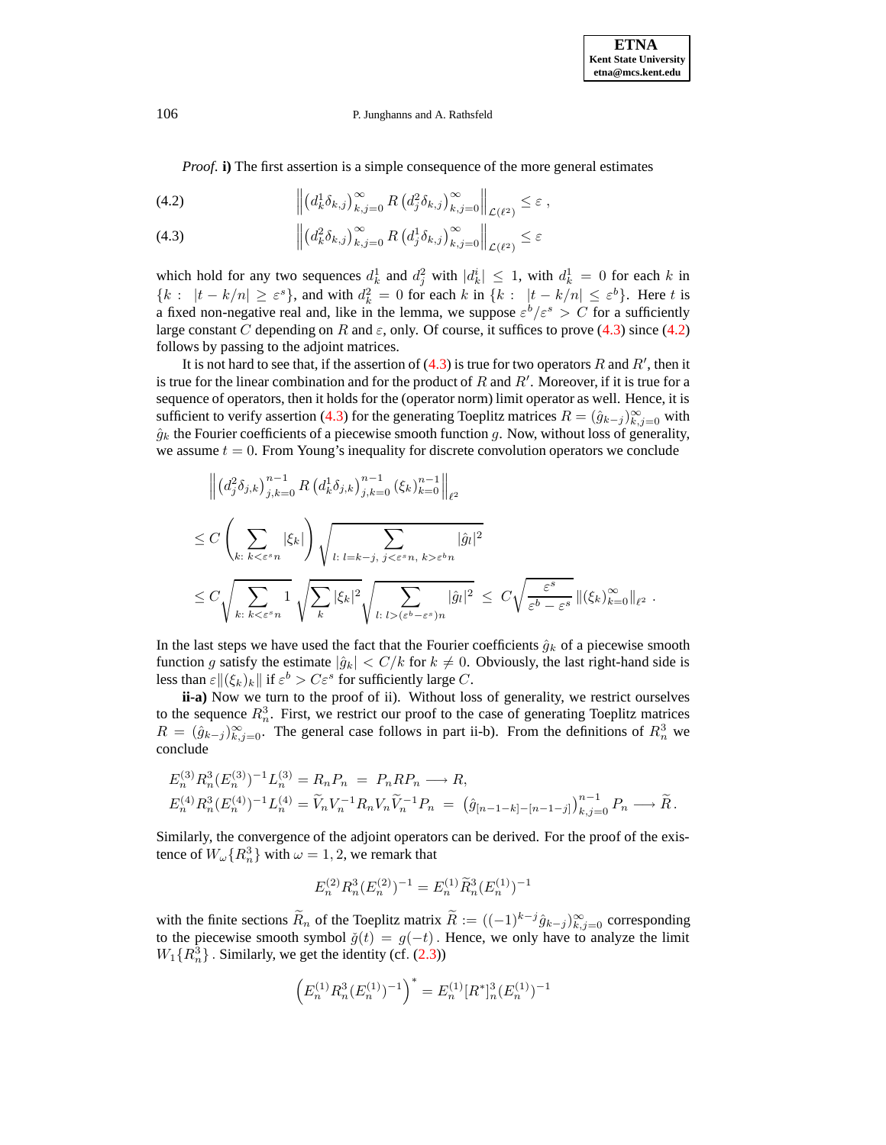<span id="page-27-0"></span>*Proof.* **i**) The first assertion is a simple consequence of the more general estimates

(4.2) 
$$
\left\| \left( d_k^1 \delta_{k,j} \right)_{k,j=0}^{\infty} R \left( d_j^2 \delta_{k,j} \right)_{k,j=0}^{\infty} \right\|_{\mathcal{L}(\ell^2)} \leq \varepsilon,
$$

(4.3) 
$$
\left\| \left( d_k^2 \delta_{k,j} \right)_{k,j=0}^{\infty} R \left( d_j^1 \delta_{k,j} \right)_{k,j=0}^{\infty} \right\|_{\mathcal{L}(\ell^2)} \leq \varepsilon
$$

which hold for any two sequences  $d_k^1$  and  $d_j^2$  with  $|d_k^i| \leq 1$ , with  $d_k^1 = 0$  for each k in  ${k: |t-k/n| \ge \varepsilon^{s}}$ , and with  $d_k^2 = 0$  for each k in  ${k: |t-k/n| \le \varepsilon^{b}}$ . Here t is a fixed non-negative real and, like in the lemma, we suppose  $\varepsilon^b/\varepsilon^s > C$  for a sufficiently large constant C depending on R and  $\varepsilon$ , only. Of course, it suffices to prove [\(4.3\)](#page-27-0) since [\(4.2\)](#page-27-0) follows by passing to the adjoint matrices.

It is not hard to see that, if the assertion of  $(4.3)$  is true for two operators R and R', then it is true for the linear combination and for the product of R and R'. Moreover, if it is true for a sequence of operators, then it holds for the (operator norm) limit operator as well. Hence, it is sufficient to verify assertion [\(4.3\)](#page-27-0) for the generating Toeplitz matrices  $R = (\hat{g}_{k-j})_{k,j=0}^{\infty}$  with  $\hat{g}_k$  the Fourier coefficients of a piecewise smooth function g. Now, without loss of generality, we assume  $t = 0$ . From Young's inequality for discrete convolution operators we conclude

$$
\| (d_j^2 \delta_{j,k})_{j,k=0}^{n-1} R (d_k^1 \delta_{j,k})_{j,k=0}^{n-1} (\xi_k)_{k=0}^{n-1} \|_{\ell^2}
$$
  
\n
$$
\leq C \left( \sum_{k:\; k < \varepsilon^s n} |\xi_k| \right) \sqrt{\sum_{l:\; l = k - j,\; j < \varepsilon^s n,\; k > \varepsilon^b n}} |\hat{g}_l|^2
$$
  
\n
$$
\leq C \sqrt{\sum_{k:\; k < \varepsilon^s n} 1} \sqrt{\sum_k |\xi_k|^2} \sqrt{\sum_{l:\; l > (\varepsilon^b - \varepsilon^s) n}} |\hat{g}_l|^2} \leq C \sqrt{\frac{\varepsilon^s}{\varepsilon^b - \varepsilon^s}} \| (\xi_k)_{k=0}^\infty \|_{\ell^2} .
$$

In the last steps we have used the fact that the Fourier coefficients  $\hat{g}_k$  of a piecewise smooth function g satisfy the estimate  $|\hat{g}_k| < C/k$  for  $k \neq 0$ . Obviously, the last right-hand side is less than  $\varepsilon \|(\xi_k)_k\|$  if  $\varepsilon^b > C\varepsilon^s$  for sufficiently large C.

**ii-a)** Now we turn to the proof of ii). Without loss of generality, we restrict ourselves to the sequence  $R_n^3$ . First, we restrict our proof to the case of generating Toeplitz matrices  $R = (\hat{g}_{k-j})_{k,j=0}^{\infty}$ . The general case follows in part ii-b). From the definitions of  $R_n^3$  we conclude

$$
E_n^{(3)} R_n^3 (E_n^{(3)})^{-1} L_n^{(3)} = R_n P_n = P_n R P_n \longrightarrow R,
$$
  
\n
$$
E_n^{(4)} R_n^3 (E_n^{(4)})^{-1} L_n^{(4)} = \widetilde{V}_n V_n^{-1} R_n V_n \widetilde{V}_n^{-1} P_n = (\hat{g}_{[n-1-k]-[n-1-j]})_{k,j=0}^{n-1} P_n \longrightarrow \widetilde{R}.
$$

Similarly, the convergence of the adjoint operators can be derived. For the proof of the existence of  $W_{\omega}\lbrace R_n^3 \rbrace$  with  $\omega = 1, 2$ , we remark that

$$
E_n^{(2)} R_n^3 (E_n^{(2)})^{-1} = E_n^{(1)} \widetilde{R}_n^3 (E_n^{(1)})^{-1}
$$

with the finite sections  $R_n$  of the Toeplitz matrix  $R := ((-1)^{k-j} \hat{g}_{k-j})_{k,j=0}^{\infty}$  corresponding to the piecewise smooth symbol  $\check{g}(t) = g(-t)$ . Hence, we only have to analyze the limit  $W_1\{R_n^3\}$ . Similarly, we get the identity (cf. [\(2.3\)](#page-5-0))

$$
\left(E_n^{(1)}R_n^3(E_n^{(1)})^{-1}\right)^* = E_n^{(1)}[R^*]_n^3(E_n^{(1)})^{-1}
$$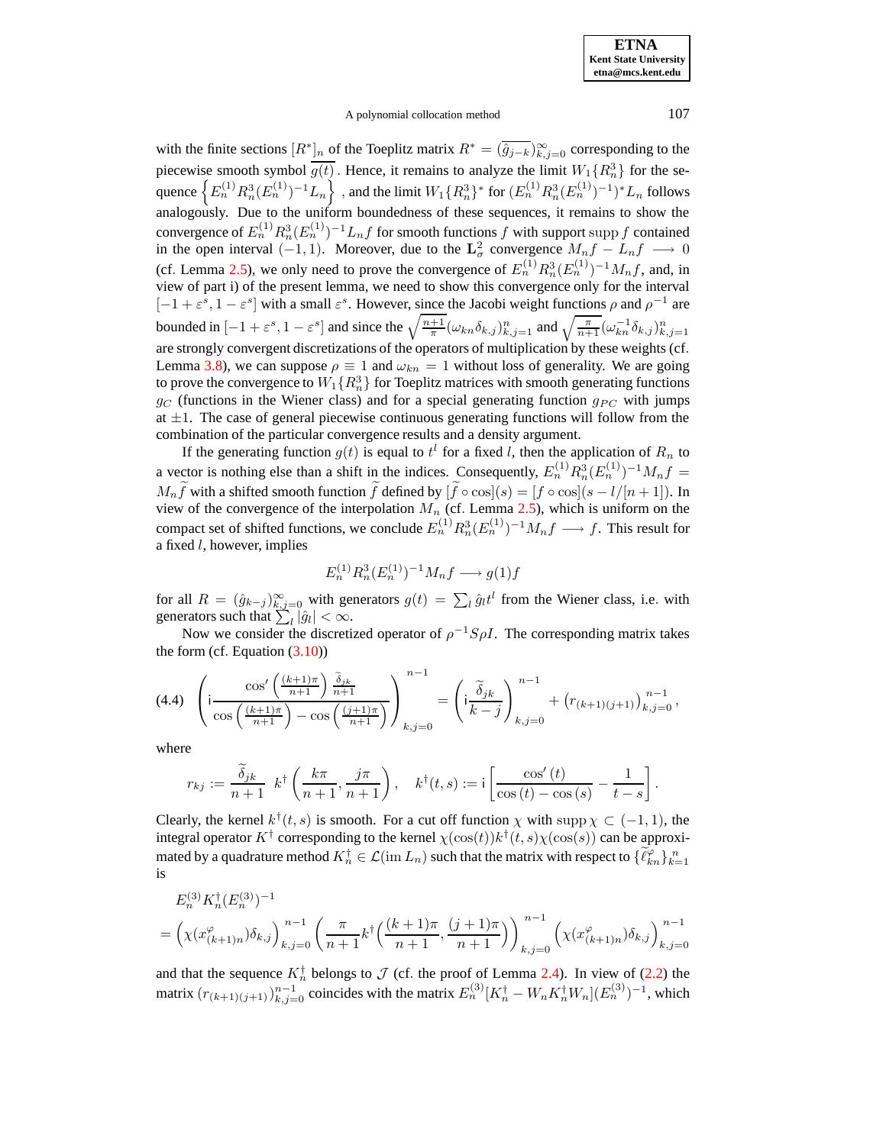### A polynomial collocation method 107

with the finite sections  $[R^*]_n$  of the Toeplitz matrix  $R^* = (\hat{g}_{j-k})_{k,j=0}^{\infty}$  corresponding to the piecewise smooth symbol  $\overline{g(t)}$ . Hence, it remains to analyze the limit  $W_1\{R_n^3\}$  for the sequence  $\left\{E_n^{(1)}R_n^3(E_n^{(1)})^{-1}L_n\right\}$  , and the limit  $W_1\{R_n^3\}^*$  for  $(E_n^{(1)}R_n^3(E_n^{(1)})^{-1})^*L_n$  follows analogously. Due to the uniform boundedness of these sequences, it remains to show the convergence of  $E_n^{(1)} R_n^3 (E_n^{(1)})^{-1} L_n f$  for smooth functions  $f$  with support supp  $f$  contained in the open interval  $(-1, 1)$ . Moreover, due to the  $\mathbf{L}^2_{\sigma}$  convergence  $M_n f - L_n f \longrightarrow 0$ (cf. Lemma [2.5\)](#page-8-2), we only need to prove the convergence of  $E_n^{(1)} R_n^3 (E_n^{(1)})^{-1} M_n f$ , and, in view of part i) of the present lemma, we need to show this convergence only for the interval  $[-1+\varepsilon^s, 1-\varepsilon^s]$  with a small  $\varepsilon^s$ . However, since the Jacobi weight functions  $\rho$  and  $\rho^{-1}$  are bounded in  $[-1+\varepsilon^s, 1-\varepsilon^s]$  and since the  $\sqrt{\frac{n+1}{\pi}} (\omega_{kn} \delta_{k,j})_{k,j=1}^n$  and  $\sqrt{\frac{\pi}{n+1}} (\omega_{kn}^{-1} \delta_{k,j})_{k,j=1}^n$ are strongly convergent discretizations of the operators of multiplication by these weights (cf. Lemma [3.8\)](#page-10-0), we can suppose  $\rho \equiv 1$  and  $\omega_{kn} = 1$  without loss of generality. We are going to prove the convergence to  $W_1\{R_n^3\}$  for Toeplitz matrices with smooth generating functions  $g_C$  (functions in the Wiener class) and for a special generating function  $g_{PC}$  with jumps at  $\pm 1$ . The case of general piecewise continuous generating functions will follow from the combination of the particular convergence results and a density argument.

If the generating function  $g(t)$  is equal to  $t^l$  for a fixed l, then the application of  $R_n$  to a vector is nothing else than a shift in the indices. Consequently,  $E_n^{(1)} R_n^3 (E_n^{(1)})^{-1} M_n f =$  $M_n \tilde{f}$  with a shifted smooth function  $\tilde{f}$  defined by  $[\tilde{f} \circ \cos](s) = [f \circ \cos](s - l/[n + 1])$ . In view of the convergence of the interpolation  $M_n$  (cf. Lemma [2.5\)](#page-8-2), which is uniform on the compact set of shifted functions, we conclude  $E_n^{(1)} R_n^3 (E_n^{(1)})^{-1} M_n f \longrightarrow f$ . This result for a fixed l, however, implies

$$
E_n^{(1)}R_n^3(E_n^{(1)})^{-1}M_nf \longrightarrow g(1)f
$$

for all  $R = (\hat{g}_{k-j})_{k,j=0}^{\infty}$  with generators  $g(t) = \sum_l \hat{g}_l t^l$  from the Wiener class, i.e. with generators such that  $\sum_{l} |\hat{g}_l| < \infty$ .

Now we consider the discretized operator of  $\rho^{-1}S\rho I$ . The corresponding matrix takes the form (cf. Equation  $(3.10)$ )

<span id="page-28-0"></span>
$$
(4.4) \quad \left(\mathrm{i}\frac{\cos'\left(\frac{(k+1)\pi}{n+1}\right)\frac{\tilde{\delta}_{jk}}{n+1}}{\cos\left(\frac{(k+1)\pi}{n+1}\right)-\cos\left(\frac{(j+1)\pi}{n+1}\right)}\right)_{k,j=0}^{n-1} = \left(\mathrm{i}\frac{\tilde{\delta}_{jk}}{k-j}\right)_{k,j=0}^{n-1} + \left(r_{(k+1)(j+1)}\right)_{k,j=0}^{n-1},
$$

where

$$
r_{kj} := \frac{\widetilde{\delta}_{jk}}{n+1} \ k^{\dagger} \left( \frac{k\pi}{n+1}, \frac{j\pi}{n+1} \right), \quad k^{\dagger}(t,s) := i \left[ \frac{\cos'(t)}{\cos(t) - \cos(s)} - \frac{1}{t-s} \right].
$$

Clearly, the kernel  $k^{\dagger}(t, s)$  is smooth. For a cut off function  $\chi$  with supp  $\chi \subset (-1, 1)$ , the integral operator  $K^{\dagger}$  corresponding to the kernel  $\chi(\cos(t))k^{\dagger}(t,s)\chi(\cos(s))$  can be approximated by a quadrature method  $K_n^{\dagger} \in \mathcal{L}(\mathrm{im}\, L_n)$  such that the matrix with respect to  $\{\widetilde{\ell}_{kn}^{\varphi}\}_{k=1}^n$ is

$$
E_n^{(3)} K_n^{\dagger} (E_n^{(3)})^{-1}
$$
  
=  $\left(\chi(x_{(k+1)n}^{\varphi}) \delta_{k,j}\right)_{k,j=0}^{n-1} \left(\frac{\pi}{n+1} k^{\dagger} \left(\frac{(k+1)\pi}{n+1}, \frac{(j+1)\pi}{n+1}\right)\right)_{k,j=0}^{n-1} \left(\chi(x_{(k+1)n}^{\varphi}) \delta_{k,j}\right)_{k,j=0}^{n-1}$ 

and that the sequence  $K_n^{\dagger}$  belongs to  $\mathcal J$  (cf. the proof of Lemma [2.4\)](#page-7-1). In view of [\(2.2\)](#page-5-2) the matrix  $(r_{(k+1)(j+1)})_{k,j=0}^{n-1}$  coincides with the matrix  $E_n^{(3)}[K_n^{\dagger} - W_n K_n^{\dagger} W_n](E_n^{(3)})^{-1}$ , which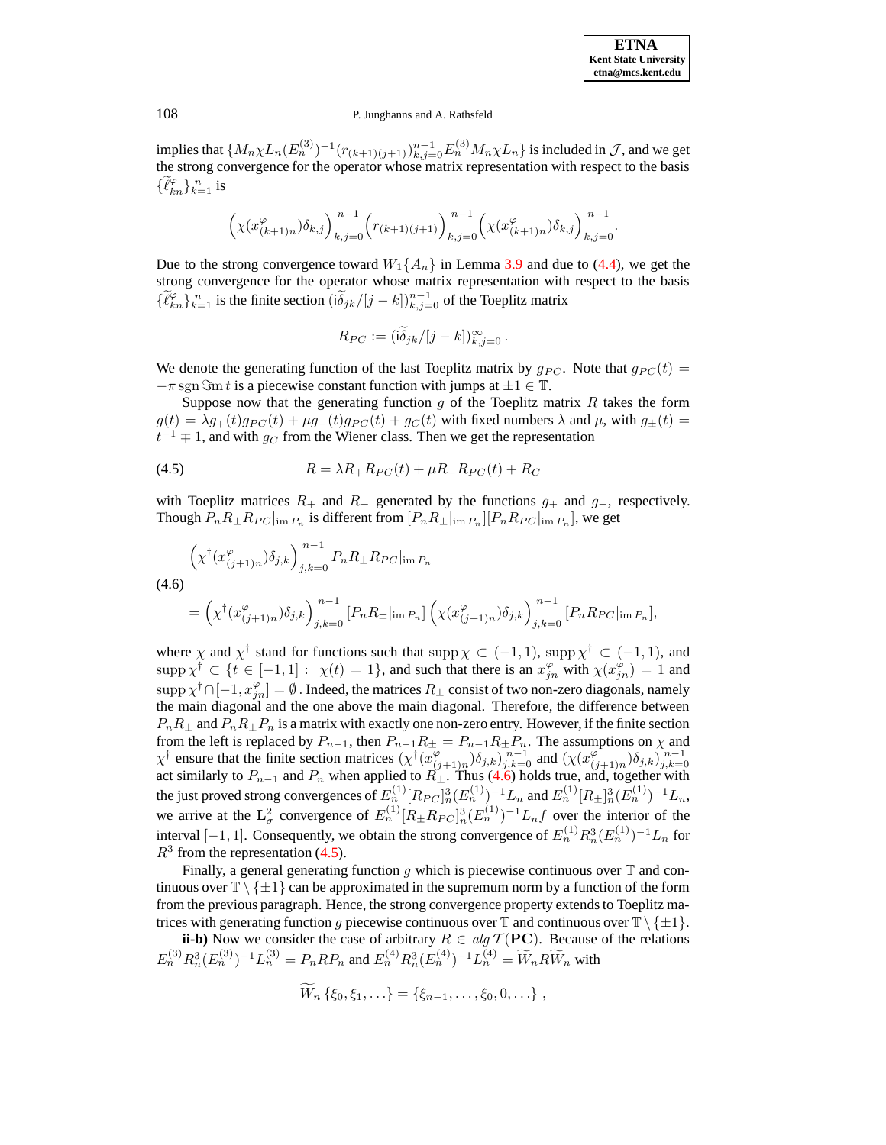implies that  $\{M_n\chi L_n(E_n^{(3)})^{-1}(r_{(k+1)(j+1)})_{k,j=0}^{n-1}E_n^{(3)}M_n\chi L_n\}$  is included in  $\mathcal{J}$ , and we get the strong convergence for the operator whose matrix representation with respect to the basis  $\{\widetilde{\ell}_{kn}^{\varphi}\}_{k=1}^n$  is

$$
\Big(\chi(x_{(k+1)n}^\varphi)\delta_{k,j}\Big)_{k,j=0}^{n-1}\Big(r_{(k+1)(j+1)}\Big)_{k,j=0}^{n-1}\Big(\chi(x_{(k+1)n}^\varphi)\delta_{k,j}\Big)_{k,j=0}^{n-1}.
$$

Due to the strong convergence toward  $W_1\{A_n\}$  in Lemma [3.9](#page-10-5) and due to [\(4.4\)](#page-28-0), we get the strong convergence for the operator whose matrix representation with respect to the basis  $\{\tilde{\ell}_{kn}^{\varphi}\}_{k=1}^n$  is the finite section  $(i\tilde{\delta}_{jk}/[j-k])_{k,j=0}^{n-1}$  of the Toeplitz matrix

$$
R_{PC} := (i \widetilde{\delta}_{jk}/[j-k])_{k,j=0}^{\infty}.
$$

We denote the generating function of the last Toeplitz matrix by  $g_{PC}$ . Note that  $g_{PC}(t) =$  $-\pi$  sgn  $\Im$ m t is a piecewise constant function with jumps at  $\pm 1 \in \mathbb{T}$ .

Suppose now that the generating function  $g$  of the Toeplitz matrix  $R$  takes the form  $g(t) = \lambda g_{+}(t)g_{PC}(t) + \mu g_{-}(t)g_{PC}(t) + g_{C}(t)$  with fixed numbers  $\lambda$  and  $\mu$ , with  $g_{\pm}(t) =$  $t^{-1} \mp 1$ , and with  $g_C$  from the Wiener class. Then we get the representation

<span id="page-29-1"></span>
$$
(4.5) \t\t R = \lambda R_+ R_{PC}(t) + \mu R_- R_{PC}(t) + R_C
$$

with Toeplitz matrices  $R_+$  and  $R_-\$  generated by the functions  $g_+$  and  $g_-,$  respectively. Though  $P_n R_{\pm} R_{PC}|_{\text{im } P_n}$  is different from  $[P_n R_{\pm}|_{\text{im } P_n}] [P_n R_{PC}|_{\text{im } P_n}]$ , we get

<span id="page-29-0"></span>
$$
\left(\chi^{\dagger}(x_{(j+1)n}^{\varphi})\delta_{j,k}\right)_{j,k=0}^{n-1} P_n R_{\pm} R_{PC}|_{\text{im } P_n}
$$
\n
$$
(4.6)
$$
\n
$$
= \left(\chi^{\dagger}(x_{(j+1)n}^{\varphi})\delta_{j,k}\right)_{j,k=0}^{n-1} [P_n R_{\pm}|_{\text{im } P_n}] \left(\chi(x_{(j+1)n}^{\varphi})\delta_{j,k}\right)_{j,k=0}^{n-1} [P_n R_{PC}|_{\text{im } P_n}],
$$

where  $\chi$  and  $\chi^{\dagger}$  stand for functions such that supp  $\chi \subset (-1,1)$ , supp  $\chi^{\dagger} \subset (-1,1)$ , and  $\text{supp }\chi^{\dagger} \subset \{t \in [-1,1]: \chi(t) = 1\}$ , and such that there is an  $x_{jn}^{\varphi}$  with  $\chi(x_{jn}^{\varphi}) = 1$  and  $\text{supp}\,\chi^\dagger\cap[-1,x_{jn}^\varphi]=\emptyset$  . Indeed, the matrices  $R_\pm$  consist of two non-zero diagonals, namely the main diagonal and the one above the main diagonal. Therefore, the difference between  $P_nR_{\pm}$  and  $P_nR_{\pm}P_n$  is a matrix with exactly one non-zero entry. However, if the finite section from the left is replaced by  $P_{n-1}$ , then  $P_{n-1}R_{\pm} = P_{n-1}R_{\pm}P_n$ . The assumptions on  $\chi$  and  $\chi^{\dagger}$  ensure that the finite section matrices  $(\chi^{\dagger}(x))$  $(\widetilde{y}_{(j+1)n})\delta_{j,k}$ ) $\overline{\widetilde{y}_{j,k=0}}$  and  $(\chi(x_{(j+1)n})\delta_{j,k})$  $\chi^{\dagger}$  ensure that the finite section matrices  $(\chi^{\dagger}(x_{(j+1)n}^{\varphi})\delta_{j,k})_{j,k=0}^{n-1}$  and  $(\chi(x_{(j+1)n}^{\varphi})\delta_{j,k})_{j,k=0}^{n-1}$  act similarly to  $P_{n-1}$  and  $P_n$  when applied to  $R_{\pm}$ . Thus [\(4.6\)](#page-29-0) holds true, and, toge the just proved strong convergences of  $E_n^{(1)} [R_{PC}]_n^3 (E_n^{(1)})^{-1} L_n$  and  $E_n^{(1)} [R_{\pm}]_n^3 (E_n^{(1)})^{-1} L_n$ , we arrive at the  $\mathbf{L}^2_\sigma$  convergence of  $E_n^{(1)} [R_\pm R_{PC}]_n^3 (E_n^{(1)})^{-1} L_n f$  over the interior of the interval [-1, 1]. Consequently, we obtain the strong convergence of  $E_n^{(1)} R_n^3 (E_n^{(1)})^{-1} L_n$  for  $R<sup>3</sup>$  from the representation [\(4.5\)](#page-29-1).

Finally, a general generating function g which is piecewise continuous over  $\mathbb T$  and continuous over  $\mathbb{T} \setminus \{\pm 1\}$  can be approximated in the supremum norm by a function of the form from the previous paragraph. Hence, the strong convergence property extends to Toeplitz matrices with generating function g piecewise continuous over  $\mathbb{T}$  and continuous over  $\mathbb{T}\setminus\{\pm 1\}$ .

**ii-b**) Now we consider the case of arbitrary  $R \in alg \mathcal{T}(\mathbf{PC})$ . Because of the relations  $E_n^{(3)}R_n^3(E_n^{(3)})^{-1}L_n^{(3)} = P_nRP_n$  and  $E_n^{(4)}R_n^3(E_n^{(4)})^{-1}L_n^{(4)} = \widetilde{W}_nR\widetilde{W}_n$  with

$$
W_n \{\xi_0, \xi_1, \ldots\} = \{\xi_{n-1}, \ldots, \xi_0, 0, \ldots\} ,
$$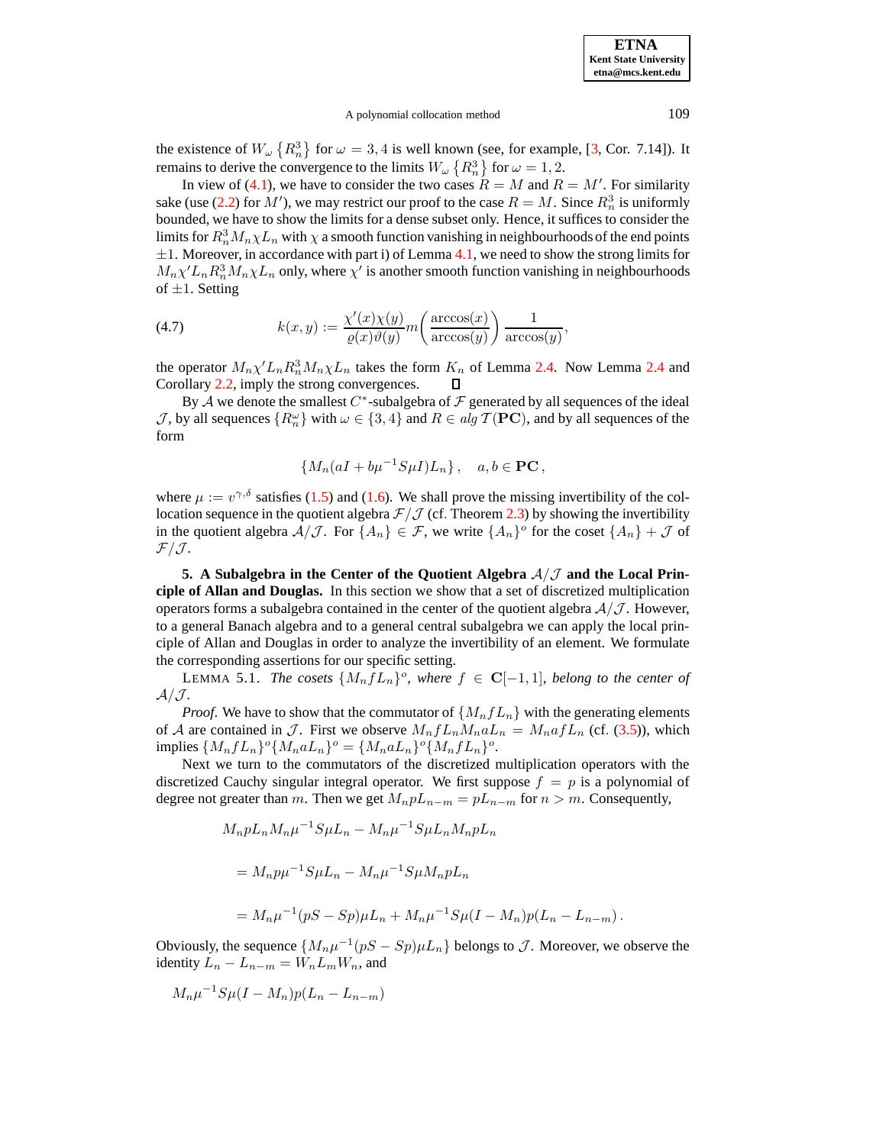#### A polynomial collocation method 109

the existence of  $W_{\omega} \{R_n^3\}$  for  $\omega = 3, 4$  is well known (see, for example, [\[3,](#page-46-25) Cor. 7.14]). It remains to derive the convergence to the limits  $W_{\omega}$   $\left\{R_n^3\right\}$  for  $\omega = 1, 2$ .

In view of [\(4.1\)](#page-26-0), we have to consider the two cases  $R = M$  and  $R = M'$ . For similarity sake (use [\(2.2\)](#page-5-2) for  $M'$ ), we may restrict our proof to the case  $R = M$ . Since  $R_n^3$  is uniformly bounded, we have to show the limits for a dense subset only. Hence, it suffices to consider the limits for  $R_n^3 M_n \chi L_n$  with  $\chi$  a smooth function vanishing in neighbourhoods of the end points  $\pm 1$ . Moreover, in accordance with part i) of Lemma [4.1,](#page-26-1) we need to show the strong limits for  $M_n \chi' L_n R_n^3 M_n \chi L_n$  only, where  $\chi'$  is another smooth function vanishing in neighbourhoods of  $\pm 1$ . Setting

<span id="page-30-1"></span>(4.7) 
$$
k(x,y) := \frac{\chi'(x)\chi(y)}{\varrho(x)\vartheta(y)} m\left(\frac{\arccos(x)}{\arccos(y)}\right) \frac{1}{\arccos(y)},
$$

the operator  $M_n \chi' L_n R_n^3 M_n \chi L_n$  takes the form  $K_n$  of Lemma [2.4.](#page-7-1) Now Lemma [2.4](#page-7-1) and Corollary [2.2,](#page-7-0) imply the strong convergences. O

By A we denote the smallest  $C^*$ -subalgebra of  $\mathcal F$  generated by all sequences of the ideal  $\mathcal{J}$ , by all sequences  $\{R_n^{\omega}\}\$  with  $\omega \in \{3, 4\}$  and  $R \in alg \mathcal{T}(\mathbf{PC})$ , and by all sequences of the form

<span id="page-30-2"></span>
$$
\{M_n(aI + b\mu^{-1}S\mu I)L_n\}, \quad a, b \in \mathbf{PC},
$$

where  $\mu := v^{\gamma,\delta}$  satisfies [\(1.5\)](#page-2-0) and [\(1.6\)](#page-2-1). We shall prove the missing invertibility of the collocation sequence in the quotient algebra  $\mathcal{F}/\mathcal{J}$  (cf. Theorem [2.3\)](#page-7-2) by showing the invertibility in the quotient algebra  $A/\mathcal{J}$ . For  $\{A_n\} \in \mathcal{F}$ , we write  $\{A_n\}^{\circ}$  for the coset  $\{A_n\} + \mathcal{J}$  of  $\mathcal{F}/\mathcal{J}.$ 

<span id="page-30-0"></span>**5. A** Subalgebra in the Center of the Quotient Algebra  $A/J$  and the Local Prin**ciple of Allan and Douglas.** In this section we show that a set of discretized multiplication operators forms a subalgebra contained in the center of the quotient algebra  $A/J$ . However, to a general Banach algebra and to a general central subalgebra we can apply the local principle of Allan and Douglas in order to analyze the invertibility of an element. We formulate the corresponding assertions for our specific setting.

 $\mathbf{L}$ **EMMA 5.1.** *The cosets*  $\{M_n f L_n\}^o$ *, where*  $f \in \mathbf{C}[-1,1]$ *, belong to the center of*  $A/\mathcal{J}$ *.* 

*Proof.* We have to show that the commutator of  $\{M_n f L_n\}$  with the generating elements of A are contained in J. First we observe  $M_n f L_n M_n a L_n = M_n a f L_n$  (cf. [\(3.5\)](#page-10-3)), which implies  $\{M_n f L_n\}^\circ \{M_n a L_n\}^\circ = \{M_n a L_n\}^\circ \{M_n f L_n\}^\circ.$ 

Next we turn to the commutators of the discretized multiplication operators with the discretized Cauchy singular integral operator. We first suppose  $f = p$  is a polynomial of degree not greater than m. Then we get  $M_n p L_{n-m} = p L_{n-m}$  for  $n > m$ . Consequently,

$$
M_{n}pL_{n}M_{n}\mu^{-1}S\mu L_{n} - M_{n}\mu^{-1}S\mu L_{n}M_{n}pL_{n}
$$
  
=  $M_{n}p\mu^{-1}S\mu L_{n} - M_{n}\mu^{-1}S\mu M_{n}pL_{n}$   
=  $M_{n}\mu^{-1}(pS - Sp)\mu L_{n} + M_{n}\mu^{-1}S\mu(I - M_{n})p(L_{n} - L_{n-m}).$ 

Obviously, the sequence  $\{M_n\mu^{-1}(pS - Sp)\mu L_n\}$  belongs to  $J$ . Moreover, we observe the identity  $L_n - L_{n-m} = W_n L_m W_n$ , and

$$
M_n\mu^{-1}S\mu(I-M_n)p(L_n-L_{n-m})
$$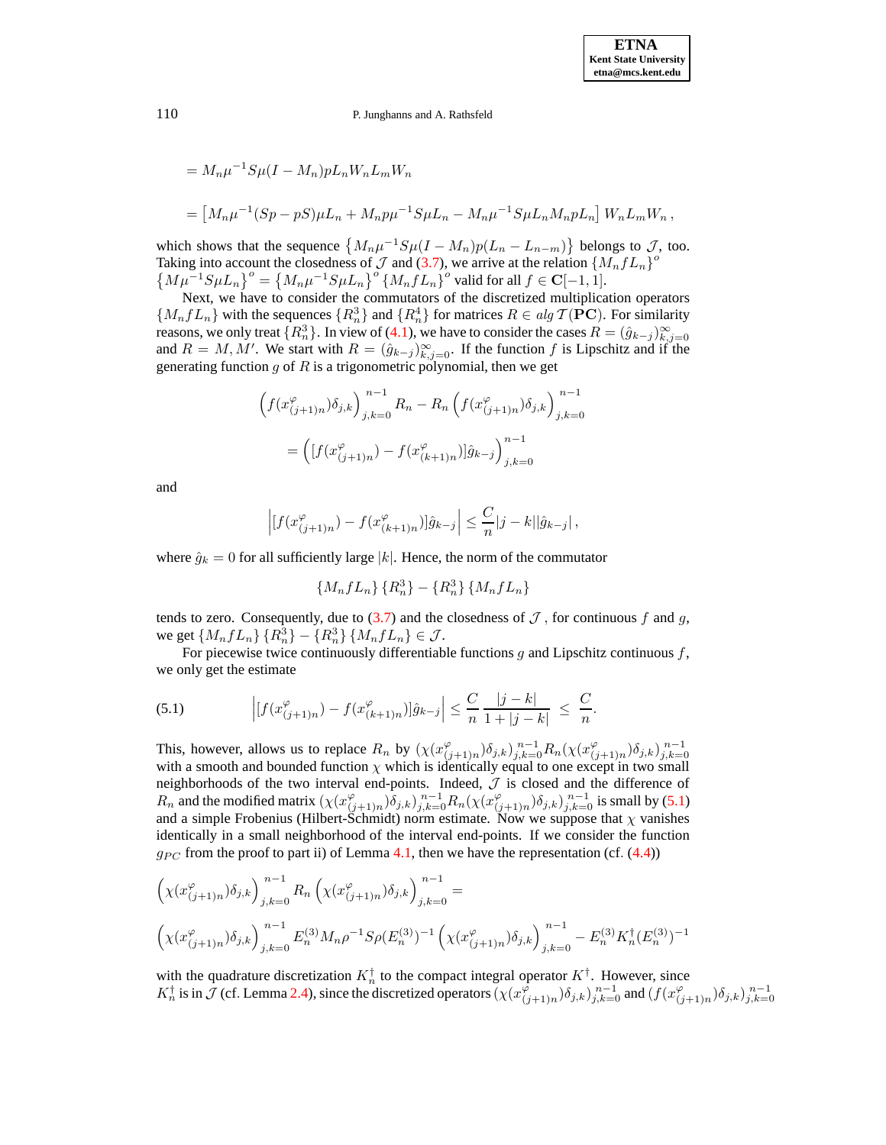$$
= M_n \mu^{-1} S \mu (I - M_n) p L_n W_n L_m W_n
$$
  
= 
$$
[M_n \mu^{-1} (Sp - pS) \mu L_n + M_n p \mu^{-1} S \mu L_n - M_n \mu^{-1} S \mu L_n M_n p L_n] W_n L_m W_n,
$$

which shows that the sequence  $\{M_n\mu^{-1}S\mu(I-M_n)p(L_n-L_{n-m})\}$  belongs to  $\mathcal{J}$ , too. Taking into account the closedness of  $J$  and [\(3.7\)](#page-10-6), we arrive at the relation  $\{M_n f L_n\}^{\circ}$  $\left\{M\mu^{-1}S\mu L_n\right\}^{\circ} = \left\{M_n\mu^{-1}S\mu L_n\right\}^{\circ} \left\{M_nfL_n\right\}^{\circ}$  valid for all  $f \in \mathbf{C}[-1,1]$ .

Next, we have to consider the commutators of the discretized multiplication operators  ${M_n f L_n}$  with the sequences  ${R_n^3}$  and  ${R_n^4}$  for matrices  $R \in alg \mathcal{T}(PC)$ . For similarity reasons, we only treat  $\{R_n^3\}$ . In view of [\(4.1\)](#page-26-0), we have to consider the cases  $R = (\hat{g}_{k-j})_{k,j=0}^{\infty}$ and  $R = M, M'$ . We start with  $R = (\hat{g}_{k-j})_{k,j=0}^{\infty}$ . If the function f is Lipschitz and if the generating function  $g$  of  $R$  is a trigonometric polynomial, then we get

$$
\left(f(x_{(j+1)n}^{\varphi})\delta_{j,k}\right)_{j,k=0}^{n-1}R_{n} - R_{n}\left(f(x_{(j+1)n}^{\varphi})\delta_{j,k}\right)_{j,k=0}^{n-1}
$$

$$
= \left([f(x_{(j+1)n}^{\varphi}) - f(x_{(k+1)n}^{\varphi})]\hat{g}_{k-j}\right)_{j,k=0}^{n-1}
$$

and

$$
\left| [f(x_{(j+1)n}^{\varphi}) - f(x_{(k+1)n}^{\varphi})] \hat{g}_{k-j} \right| \leq \frac{C}{n} |j-k| |\hat{g}_{k-j}|,
$$

where  $\hat{g}_k = 0$  for all sufficiently large |k|. Hence, the norm of the commutator

$$
\{M_n f L_n\} \{R_n^3\} - \{R_n^3\} \{M_n f L_n\}
$$

tends to zero. Consequently, due to  $(3.7)$  and the closedness of  $\mathcal J$ , for continuous f and g, we get  $\{M_nfL_n\}\{R_n^3\} - \{R_n^3\}\{M_nfL_n\} \in \mathcal{J}$ .

For piecewise twice continuously differentiable functions  $g$  and Lipschitz continuous  $f$ , we only get the estimate

<span id="page-31-0"></span>(5.1) 
$$
\left| [f(x^{\varphi}_{(j+1)n}) - f(x^{\varphi}_{(k+1)n})] \hat{g}_{k-j} \right| \leq \frac{C}{n} \frac{|j-k|}{1+|j-k|} \leq \frac{C}{n}.
$$

This, however, allows us to replace  $R_n$  by  $(\chi(x_i^{\varphi}))$  $_{(j+1)n}^{\varphi}$  $\delta_{j,k}$ )<sub>j,k=0</sub> $R_n$ ( $\chi$ ( $x_{(j)}^{\varphi}$ This, however, allows us to replace  $R_n$  by  $(\chi(x_{(j+1)n}^{\varphi})\delta_{j,k})_{j,k=0}^{n-1}R_n(\chi(x_{(j+1)n}^{\varphi})\delta_{j,k})_{j,k=0}^{n-1}$  with a smooth and bounded function  $\chi$  which is identically equal to one except in two small neighborhoods of the two interval end-points. Indeed,  $J$  is closed and the difference of  $R_n$  and the modified matrix  $(\chi(x_i^{\varphi}))$  $(\zeta_{(j+1)n})\delta_{j,k})_{j,k=0}^{n-1}R_n(\chi(x_{(j+1)n}^{\varphi}))$  $_{(j+1)n}^{\varphi}$   $\delta_{j,k}$   $\Big)_{j,k=0}^{n-1}$  is small by [\(5.1\)](#page-31-0) and a simple Frobenius (Hilbert-Schmidt) norm estimate. Now we suppose that  $\chi$  vanishes identically in a small neighborhood of the interval end-points. If we consider the function  $g_{PC}$  from the proof to part ii) of Lemma [4.1,](#page-26-1) then we have the representation (cf. [\(4.4\)](#page-28-0))

$$
\left(\chi(x_{(j+1)n}^{\varphi})\delta_{j,k}\right)_{j,k=0}^{n-1} R_n \left(\chi(x_{(j+1)n}^{\varphi})\delta_{j,k}\right)_{j,k=0}^{n-1} =
$$
\n
$$
\left(\chi(x_{(j+1)n}^{\varphi})\delta_{j,k}\right)_{j,k=0}^{n-1} E_n^{(3)} M_n \rho^{-1} S \rho(E_n^{(3)})^{-1} \left(\chi(x_{(j+1)n}^{\varphi})\delta_{j,k}\right)_{j,k=0}^{n-1} - E_n^{(3)} K_n^{\dagger}(E_n^{(3)})^{-1}
$$

with the quadrature discretization  $K_n^{\dagger}$  to the compact integral operator  $K^{\dagger}$ . However, since  $K_n^{\dagger}$  is in  $\hat{J}$  (cf. Lemma [2.4\)](#page-7-1), since the discretized operators  $(\chi(x_i^{\hat{\varphi}})$  $(\widetilde{\varphi}_{(j+1)n})\delta_{j,k})_{j,k=0}^{\,n-1}$  and  $(f(x_{(j+1)n}^{\varphi})$  $_{(j+1)n}^{(\varphi)}\big)\delta_{j,k}\big)_{j,k=0}^{n-1}$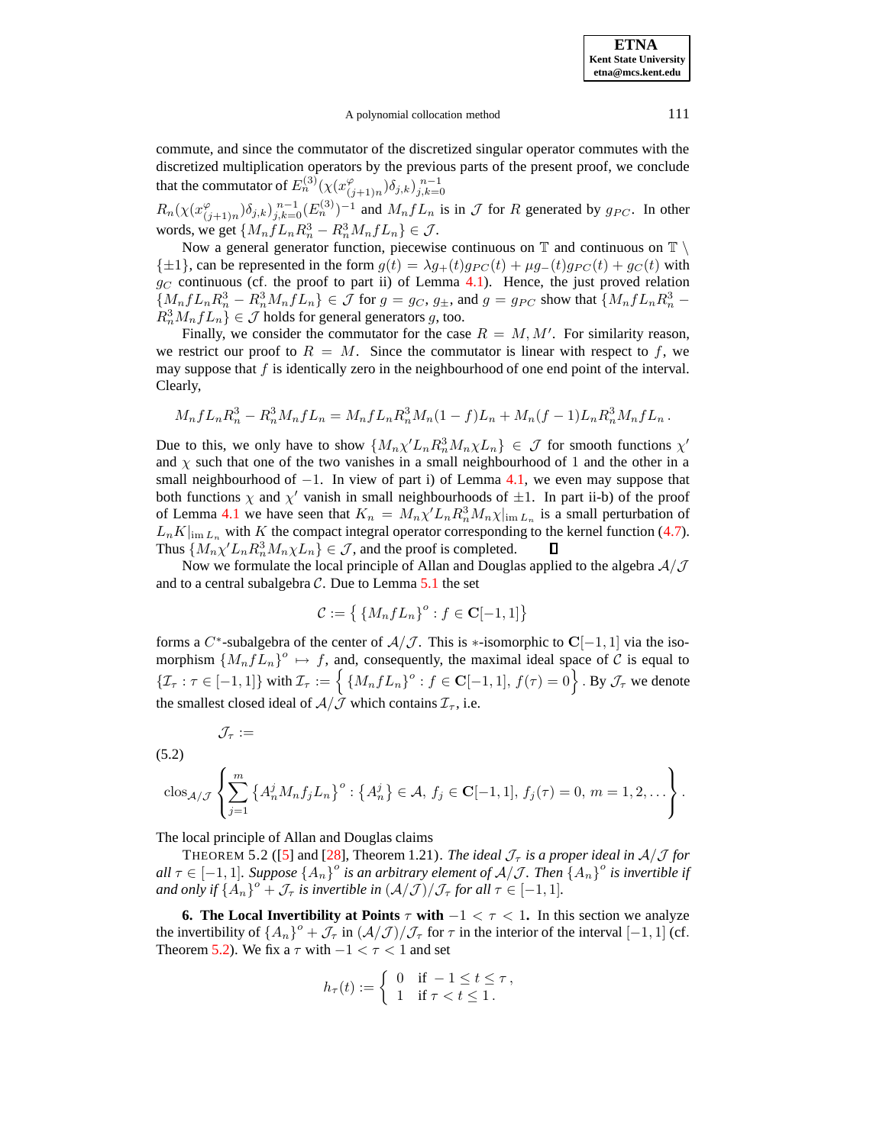A polynomial collocation method 111

commute, and since the commutator of the discretized singular operator commutes with the discretized multiplication operators by the previous parts of the present proof, we conclude that the commutator of  $E_n^{(3)}(\chi(x_i^{\varphi}))$  $_{(j+1)n}^{\varphi}$  $(\delta_{j,k})_{j,k=0}^{n-1}$ 

 $R_n(\chi(x_i^{\varphi}))$  $(\varphi_{(j+1)n})(\delta_{j,k})_{j,k=0}^{n-1} (E_n^{(3)})^{-1}$  and  $M_n f L_n$  is in  $\mathcal J$  for R generated by  $g_{PC}$ . In other words, we get  $\{M_nfL_nR_n^3 - R_n^3M_nfL_n\} \in \mathcal{J}$ .

Now a general generator function, piecewise continuous on  $\mathbb T$  and continuous on  $\mathbb T \setminus \mathbb T$  $\{\pm 1\}$ , can be represented in the form  $g(t) = \lambda g_+(t)g_{PC}(t) + \mu g_-(t)g_{PC}(t) + g_C(t)$  with  $g_C$  continuous (cf. the proof to part ii) of Lemma [4.1\)](#page-26-1). Hence, the just proved relation  $\{M_n f L_n R_n^3 - R_n^3 M_n f L_n\} \in \mathcal{J}$  for  $g = g_C, g_{\pm}$ , and  $g = g_{PC}$  show that  $\{M_n f L_n R_n^3 - R_n^3 M_n f L_n\} \in \mathcal{J}$  holds for general generators  $g$ , too.

Finally, we consider the commutator for the case  $R = M, M'$ . For similarity reason, we restrict our proof to  $R = M$ . Since the commutator is linear with respect to f, we may suppose that  $f$  is identically zero in the neighbourhood of one end point of the interval. Clearly,

$$
M_n f L_n R_n^3 - R_n^3 M_n f L_n = M_n f L_n R_n^3 M_n (1 - f) L_n + M_n (f - 1) L_n R_n^3 M_n f L_n.
$$

Due to this, we only have to show  $\{M_n\chi' L_n R_n^3 M_n\chi L_n\} \in \mathcal{J}$  for smooth functions  $\chi'$ and  $\chi$  such that one of the two vanishes in a small neighbourhood of 1 and the other in a small neighbourhood of  $-1$ . In view of part i) of Lemma [4.1,](#page-26-1) we even may suppose that both functions  $\chi$  and  $\chi'$  vanish in small neighbourhoods of  $\pm 1$ . In part ii-b) of the proof of Lemma [4.1](#page-26-1) we have seen that  $K_n = M_n \chi' L_n R_n^3 M_n \chi |_{\text{im }L_n}$  is a small perturbation of  $L_n K|_{\text{im } L_n}$  with K the compact integral operator corresponding to the kernel function [\(4.7\)](#page-30-1).<br>Thus  $\{M_n \chi' L_n R_n^3 M_n \chi L_n\} \in \mathcal{J}$ , and the proof is completed.  $\Box$ Thus  $\{M_n \chi' L_n R_n^3 M_n \chi L_n\} \in \mathcal{J}$ , and the proof is completed.

Now we formulate the local principle of Allan and Douglas applied to the algebra  $A/\mathcal{J}$ and to a central subalgebra  $\mathcal C$ . Due to Lemma [5.1](#page-30-2) the set

$$
\mathcal{C} := \left\{ \left\{ M_n f L_n \right\}^o : f \in \mathbf{C}[-1,1] \right\}
$$

forms a  $C^*$ -subalgebra of the center of  $\mathcal{A}/\mathcal{J}$ . This is  $*$ -isomorphic to  $\mathbb{C}[-1,1]$  via the isomorphism  $\{M_n f L_n\}^o \mapsto f$ , and, consequently, the maximal ideal space of C is equal to  $\{\mathcal{I}_{\tau} : \tau \in [-1,1]\}$  with  $\mathcal{I}_{\tau} := \left\{\{M_nfL_n\}^o : f \in \mathbf{C}[-1,1], f(\tau) = 0\right\}$ . By  $\mathcal{J}_{\tau}$  we denote the smallest closed ideal of  $A/\overline{\mathcal{J}}$  which contains  $\mathcal{I}_{\tau}$ , i.e.

$$
\mathcal{J}_\tau :=
$$

<span id="page-32-2"></span>(5.2)

$$
\cos_{\mathcal{A}/\mathcal{J}}\left\{\sum_{j=1}^{m} \left\{A_n^j M_n f_j L_n\right\}^o : \left\{A_n^j\right\} \in \mathcal{A}, f_j \in \mathbf{C}[-1,1], f_j(\tau) = 0, m = 1,2,\ldots\right\}.
$$

The local principle of Allan and Douglas claims

THEOREM 5.2 ([\[5\]](#page-46-26) and [\[28\]](#page-46-9), Theorem 1.21). *The ideal*  $\mathcal{J}_{\tau}$  *is a proper ideal in*  $\mathcal{A}/\mathcal{J}$  *for*  $all \tau \in [-1,1]$ . Suppose  $\{A_n\}^o$  is an arbitrary element of  $A/J$ . Then  $\{A_n\}^o$  is invertible if *and only if*  $\{A_n\}$ <sup>o</sup> +  $\mathcal{J}_{\tau}$  *is invertible in*  $(\mathcal{A}/\mathcal{J})/\mathcal{J}_{\tau}$  *for all*  $\tau \in [-1, 1]$ *.* 

<span id="page-32-1"></span>**6.** The Local Invertibility at Points  $\tau$  with  $-1 < \tau < 1$ . In this section we analyze the invertibility of  $\{A_n\}^{\circ} + \mathcal{J}_{\tau}$  in  $(\mathcal{A}/\mathcal{J})/\mathcal{J}_{\tau}$  for  $\tau$  in the interior of the interval  $[-1, 1]$  (cf. Theorem [5.2\)](#page-32-0). We fix a  $\tau$  with  $-1 < \tau < 1$  and set

<span id="page-32-0"></span>
$$
h_{\tau}(t) := \begin{cases} 0 & \text{if } -1 \leq t \leq \tau, \\ 1 & \text{if } \tau < t \leq 1. \end{cases}
$$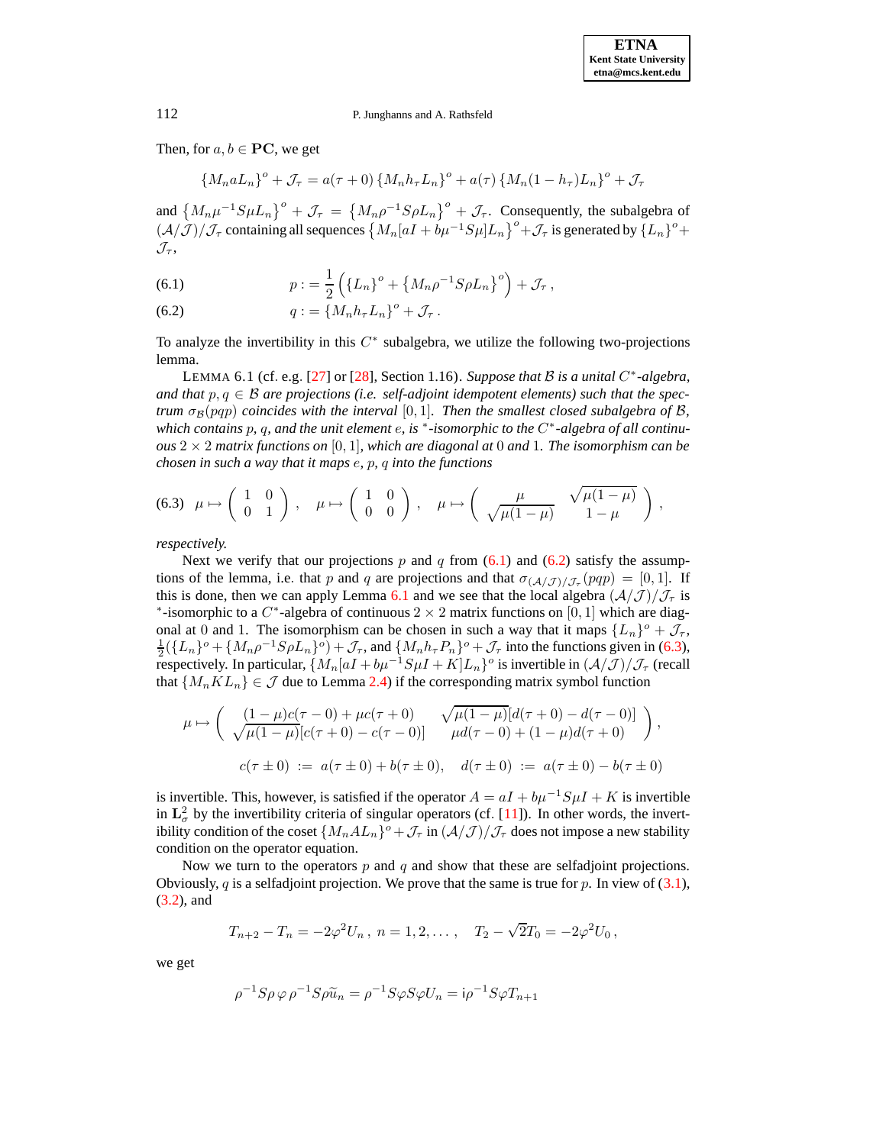Then, for  $a, b \in PC$ , we get

 ${M_n a L_n}^o + \mathcal{J}_{\tau} = a(\tau + 0) {M_n h_{\tau} L_n}^o + a(\tau) {M_n (1 - h_{\tau}) L_n}^o + \mathcal{J}_{\tau}$ 

and  $\left\{M_n\mu^{-1}S\mu L_n\right\}^o + \mathcal{J}_\tau = \left\{M_n\rho^{-1}S\rho L_n\right\}^o + \mathcal{J}_\tau$ . Consequently, the subalgebra of  $(\mathcal{A}/\mathcal{J})/\mathcal{J}_{\tau}$  containing all sequences  $\{M_n[aI+b\mu^{-1}S\mu]L_n\}^o + \mathcal{J}_{\tau}$  is generated by  $\{L_n\}^o +$  $\mathcal{J}_{\tau}$ ,

<span id="page-33-0"></span>(6.1) 
$$
p := \frac{1}{2} \left( \{ L_n \}^o + \{ M_n \rho^{-1} S \rho L_n \}^o \right) + \mathcal{J}_\tau,
$$

(6.2) 
$$
q := \left\{ M_n h_\tau L_n \right\}^o + \mathcal{J}_\tau.
$$

<span id="page-33-1"></span>To analyze the invertibility in this  $C^*$  subalgebra, we utilize the following two-projections lemma.

LEMMA 6.1 (cf. e.g. [\[27\]](#page-46-27) or [\[28\]](#page-46-9), Section 1.16). *Suppose that* B *is a unital* C ∗ *-algebra, and* that  $p, q \in \mathcal{B}$  are projections (i.e. self-adjoint idempotent elements) such that the spec*trum*  $\sigma_B(pqp)$  *coincides* with the *interval* [0, 1]. *Then the smallest closed subalgebra of* B, *which contains* p*,* q*, and the unit element* e*, is* <sup>∗</sup> *-isomorphic to the* C ∗ *-algebra of all continuous*  $2 \times 2$  *matrix functions on* [0, 1]*, which are diagonal at* 0 *and* 1*. The isomorphism can be chosen in such a way that it maps* e*,* p*,* q *into the functions*

<span id="page-33-2"></span>
$$
(6.3) \ \mu \mapsto \left(\begin{array}{cc} 1 & 0 \\ 0 & 1 \end{array}\right), \quad \mu \mapsto \left(\begin{array}{cc} 1 & 0 \\ 0 & 0 \end{array}\right), \quad \mu \mapsto \left(\begin{array}{cc} \mu & \sqrt{\mu(1-\mu)} \\ \sqrt{\mu(1-\mu)} & 1-\mu \end{array}\right),
$$

*respectively.*

Next we verify that our projections p and q from  $(6.1)$  and  $(6.2)$  satisfy the assumptions of the lemma, i.e. that p and q are projections and that  $\sigma_{(A/\mathcal{J})/\mathcal{J}_{\tau}}(pqp) = [0, 1]$ . If this is done, then we can apply Lemma [6.1](#page-33-1) and we see that the local algebra  $(\mathcal{A}/\mathcal{J})/\mathcal{J}_{\tau}$  is \*-isomorphic to a  $C^*$ -algebra of continuous 2 × 2 matrix functions on [0, 1] which are diagonal at 0 and 1. The isomorphism can be chosen in such a way that it maps  $\{L_n\}^\circ + \mathcal{J}_\tau$ ,  $\frac{1}{2}(\{L_n\}^\circ + \{M_n\rho^{-1}S\rho L_n\}^\circ) + \mathcal{J}_\tau$ , and  $\{M_n h_\tau P_n\}^\circ + \mathcal{J}_\tau$  into the functions given in [\(6.3\)](#page-33-2), respectively. In particular,  $\{M_n[aI+b\mu^{-1}S\mu I + K]L_n\}$ <sup>o</sup> is invertible in  $(A/J)/J_\tau$  (recall that  $\{M_n KL_n\} \in \mathcal{J}$  due to Lemma [2.4\)](#page-7-1) if the corresponding matrix symbol function

$$
\mu \mapsto \begin{pmatrix} \left(1 - \mu\right)c(\tau - 0) + \mu c(\tau + 0) & \sqrt{\mu(1 - \mu)}[d(\tau + 0) - d(\tau - 0)] \\ \sqrt{\mu(1 - \mu)}[c(\tau + 0) - c(\tau - 0)] & \mu d(\tau - 0) + (1 - \mu)d(\tau + 0) \end{pmatrix},
$$
  

$$
c(\tau \pm 0) := a(\tau \pm 0) + b(\tau \pm 0), \quad d(\tau \pm 0) := a(\tau \pm 0) - b(\tau \pm 0)
$$

is invertible. This, however, is satisfied if the operator  $A = aI + bu^{-1}S\mu I + K$  is invertible in  $\mathbf{L}^2_{\sigma}$  by the invertibility criteria of singular operators (cf. [\[11\]](#page-46-17)). In other words, the invertibility condition of the coset  $\{M_nAL_n\}^o + \mathcal{J}_\tau$  in  $(\mathcal{A}/\mathcal{J})/\mathcal{J}_\tau$  does not impose a new stability condition on the operator equation.

Now we turn to the operators  $p$  and  $q$  and show that these are selfadjoint projections. Obviously,  $q$  is a selfadjoint projection. We prove that the same is true for  $p$ . In view of [\(3.1\)](#page-8-3), [\(3.2\)](#page-8-4), and

$$
T_{n+2} - T_n = -2\varphi^2 U_n, \ n = 1, 2, \dots, \quad T_2 - \sqrt{2}T_0 = -2\varphi^2 U_0,
$$

we get

$$
\rho^{-1}S\rho\varphi\rho^{-1}S\rho\tilde{u}_n = \rho^{-1}S\varphi S\varphi U_n = i\rho^{-1}S\varphi T_{n+1}
$$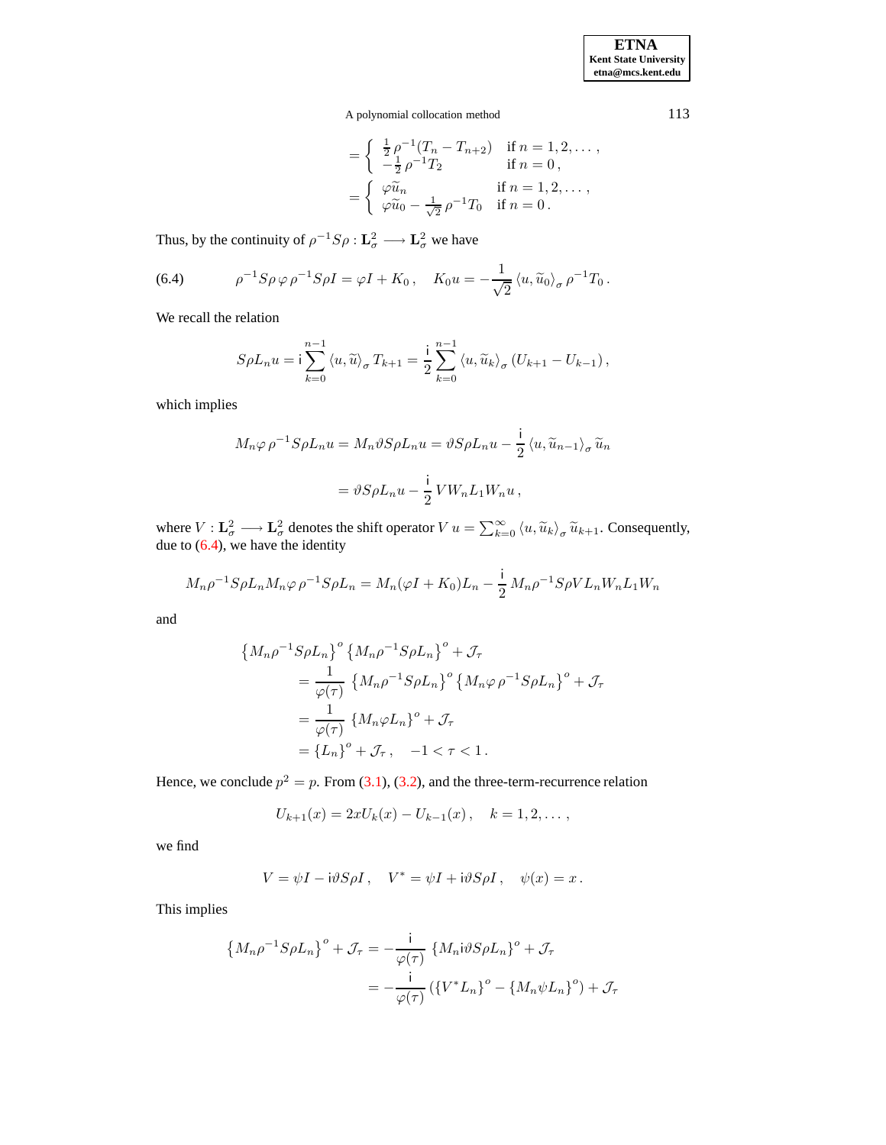A polynomial collocation method 113

$$
= \begin{cases} \frac{1}{2}\rho^{-1}(T_n - T_{n+2}) & \text{if } n = 1, 2, \dots, \\ -\frac{1}{2}\rho^{-1}T_2 & \text{if } n = 0, \end{cases}
$$

$$
= \begin{cases} \varphi \widetilde{u}_n & \text{if } n = 1, 2, \dots, \\ \varphi \widetilde{u}_0 - \frac{1}{\sqrt{2}}\rho^{-1}T_0 & \text{if } n = 0. \end{cases}
$$

Thus, by the continuity of  $\rho^{-1}S\rho : \mathbf{L}^2_{\sigma} \longrightarrow \mathbf{L}^2_{\sigma}$  we have

<span id="page-34-0"></span>(6.4) 
$$
\rho^{-1} S \rho \varphi \rho^{-1} S \rho I = \varphi I + K_0, \quad K_0 u = -\frac{1}{\sqrt{2}} \langle u, \widetilde{u}_0 \rangle_{\sigma} \rho^{-1} T_0.
$$

We recall the relation

$$
S\rho L_n u = \mathbf{i} \sum_{k=0}^{n-1} \langle u, \widetilde{u} \rangle_{\sigma} T_{k+1} = \frac{\mathbf{i}}{2} \sum_{k=0}^{n-1} \langle u, \widetilde{u}_k \rangle_{\sigma} (U_{k+1} - U_{k-1}),
$$

which implies

$$
M_n \varphi \rho^{-1} S \rho L_n u = M_n \vartheta S \rho L_n u = \vartheta S \rho L_n u - \frac{i}{2} \langle u, \widetilde{u}_{n-1} \rangle_{\sigma} \widetilde{u}_n
$$

$$
= \vartheta S \rho L_n u - \frac{i}{2} V W_n L_1 W_n u,
$$

where  $V : \mathbf{L}_{\sigma}^2 \longrightarrow \mathbf{L}_{\sigma}^2$  denotes the shift operator  $V u = \sum_{k=0}^{\infty} \langle u, \widetilde{u}_k \rangle_{\sigma} \widetilde{u}_{k+1}$ . Consequently, due to [\(6.4\)](#page-34-0), we have the identity

$$
M_n \rho^{-1} S \rho L_n M_n \varphi \rho^{-1} S \rho L_n = M_n (\varphi I + K_0) L_n - \frac{i}{2} M_n \rho^{-1} S \rho V L_n W_n L_1 W_n
$$

and

$$
\begin{aligned} \left\{ M_n \rho^{-1} S \rho L_n \right\}^o & \left\{ M_n \rho^{-1} S \rho L_n \right\}^o + \mathcal{J}_\tau \\ &= \frac{1}{\varphi(\tau)} \left\{ M_n \rho^{-1} S \rho L_n \right\}^o \left\{ M_n \varphi \rho^{-1} S \rho L_n \right\}^o + \mathcal{J}_\tau \\ &= \frac{1}{\varphi(\tau)} \left\{ M_n \varphi L_n \right\}^o + \mathcal{J}_\tau \\ &= \left\{ L_n \right\}^o + \mathcal{J}_\tau, \quad -1 < \tau < 1 \,. \end{aligned}
$$

Hence, we conclude  $p^2 = p$ . From [\(3.1\)](#page-8-3), [\(3.2\)](#page-8-4), and the three-term-recurrence relation

$$
U_{k+1}(x) = 2xU_k(x) - U_{k-1}(x), \quad k = 1, 2, \dots,
$$

we find

$$
V = \psi I - i\vartheta S \rho I, \quad V^* = \psi I + i\vartheta S \rho I, \quad \psi(x) = x.
$$

This implies

$$
\left\{ M_n \rho^{-1} S \rho L_n \right\}^o + \mathcal{J}_\tau = -\frac{i}{\varphi(\tau)} \left\{ M_n i \vartheta S \rho L_n \right\}^o + \mathcal{J}_\tau
$$
  
= 
$$
-\frac{i}{\varphi(\tau)} \left( \left\{ V^* L_n \right\}^o - \left\{ M_n \psi L_n \right\}^o \right) + \mathcal{J}_\tau
$$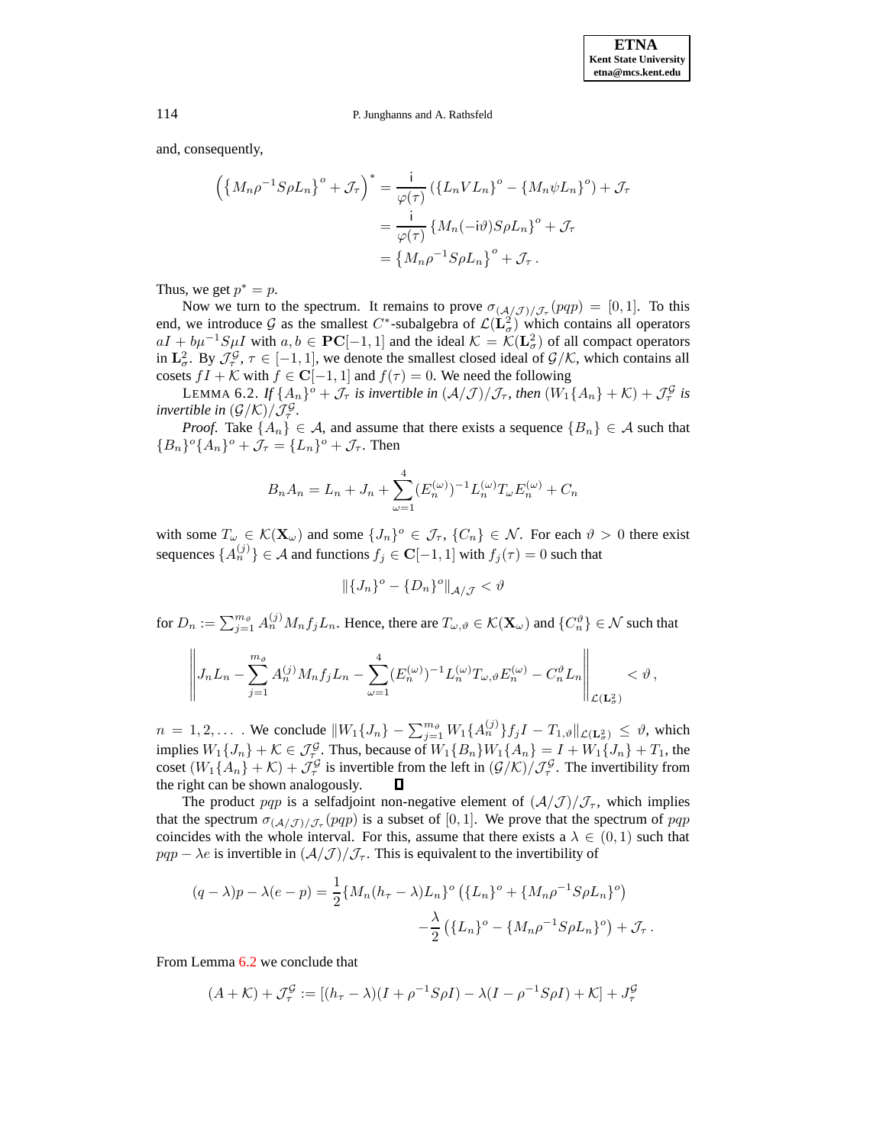and, consequently,

$$
\left(\left\{M_n \rho^{-1} S \rho L_n\right\}^o + \mathcal{J}_\tau\right)^* = \frac{i}{\varphi(\tau)} \left(\left\{L_n V L_n\right\}^o - \left\{M_n \psi L_n\right\}^o\right) + \mathcal{J}_\tau
$$

$$
= \frac{i}{\varphi(\tau)} \left\{M_n(-i\vartheta) S \rho L_n\right\}^o + \mathcal{J}_\tau
$$

$$
= \left\{M_n \rho^{-1} S \rho L_n\right\}^o + \mathcal{J}_\tau.
$$

Thus, we get  $p^* = p$ .

Now we turn to the spectrum. It remains to prove  $\sigma_{(A/J)/J_{\tau}}(pqp) = [0, 1]$ . To this end, we introduce G as the smallest C<sup>\*</sup>-subalgebra of  $\mathcal{L}(\mathbf{L}^2)$  which contains all operators  $aI + b\mu^{-1}S\mu I$  with  $a, b \in PC[-1, 1]$  and the ideal  $\mathcal{K} = \mathcal{K}(L^2_\sigma)$  of all compact operators in  $\mathbf{L}^2_{\sigma}$ . By  $\mathcal{J}^{\mathcal{G}}_{\tau}$ ,  $\tau \in [-1,1]$ , we denote the smallest closed ideal of  $\mathcal{G}/\mathcal{K}$ , which contains all cosets  $fI + \mathcal{K}$  with  $f \in \mathbb{C}[-1,1]$  and  $f(\tau) = 0$ . We need the following

LEMMA 6.2. If  $\{A_n\}^o + \mathcal{J}_{\tau}$  is invertible in  $(\mathcal{A}/\mathcal{J})/\mathcal{J}_{\tau}$ , then  $(W_1\{A_n\} + \mathcal{K}) + \mathcal{J}_{\tau}^{\mathcal{G}}$  is *invertible in*  $(G/K)/\mathcal{J}_{\tau}^{\mathcal{G}}$ *.* 

*Proof.* Take  $\{A_n\} \in \mathcal{A}$ , and assume that there exists a sequence  $\{B_n\} \in \mathcal{A}$  such that  ${B_n}^\circ{A_n}^\circ + \mathcal{J}_\tau = {L_n}^\circ + \mathcal{J}_\tau$ . Then

<span id="page-35-0"></span>
$$
B_n A_n = L_n + J_n + \sum_{\omega=1}^4 (E_n^{(\omega)})^{-1} L_n^{(\omega)} T_\omega E_n^{(\omega)} + C_n
$$

with some  $T_{\omega} \in \mathcal{K}(\mathbf{X}_{\omega})$  and some  $\{J_n\}^o \in \mathcal{J}_{\tau}, \{C_n\} \in \mathcal{N}$ . For each  $\vartheta > 0$  there exist sequences  $\{A_n^{(j)}\} \in \mathcal{A}$  and functions  $f_j \in \mathbf{C}[-1,1]$  with  $f_j(\tau) = 0$  such that

$$
\|\{J_n\}^o - \{D_n\}^o\|_{\mathcal{A}/\mathcal{J}} < \vartheta
$$

for  $D_n := \sum_{j=1}^{m_{\vartheta}} A_n^{(j)} M_n f_j L_n$ . Hence, there are  $T_{\omega,\vartheta} \in \mathcal{K}(\mathbf{X}_{\omega})$  and  $\{C_n^{\vartheta}\} \in \mathcal{N}$  such that

$$
\left\|J_nL_n-\sum_{j=1}^{m_{\vartheta}}A_n^{(j)}M_nf_jL_n-\sum_{\omega=1}^4(E_n^{(\omega)})^{-1}L_n^{(\omega)}T_{\omega,\vartheta}E_n^{(\omega)}-C_n^{\vartheta}L_n\right\|_{\mathcal{L}(\mathbf{L}^2_{\sigma})}<\vartheta,
$$

 $n = 1, 2, \dots$  We conclude  $||W_1\{J_n\} - \sum_{j=1}^{m_{\vartheta}} W_1\{A_n^{(j)}\}f_jI - T_{1,\vartheta}||_{\mathcal{L}(\mathbf{L}^2_{\sigma})} \leq \vartheta$ , which implies  $W_1\{J_n\} + \mathcal{K} \in \mathcal{J}_{\tau}^{\mathcal{G}}$ . Thus, because of  $W_1\{B_n\}W_1\{A_n\} = I + W_1\{J_n\} + T_1$ , the coset  $(W_1{A_n} + \mathcal{K}) + \mathcal{J}^{\mathcal{G}}_{\tau}$  is invertible from the left in  $(\mathcal{G}/\mathcal{K})/\mathcal{J}^{\mathcal{G}}_{\tau}$ . The invertibility from the right can be shown analogously.

The product pqp is a selfadjoint non-negative element of  $(\mathcal{A}/\mathcal{J})/\mathcal{J}_{\tau}$ , which implies that the spectrum  $\sigma(\frac{A}{J})/\mathcal{J}_{\tau}(pqp)$  is a subset of [0, 1]. We prove that the spectrum of  $pqp$ coincides with the whole interval. For this, assume that there exists a  $\lambda \in (0,1)$  such that  $pqp - \lambda e$  is invertible in  $(\lambda/\mathcal{J})/\mathcal{J}_{\tau}$ . This is equivalent to the invertibility of

$$
(q - \lambda)p - \lambda(e - p) = \frac{1}{2} \{ M_n (h_\tau - \lambda) L_n \}^o \left( \{ L_n \}^o + \{ M_n \rho^{-1} S \rho L_n \}^o \right) - \frac{\lambda}{2} \left( \{ L_n \}^o - \{ M_n \rho^{-1} S \rho L_n \}^o \right) + \mathcal{J}_\tau.
$$

From Lemma [6.2](#page-35-0) we conclude that

$$
(A + \mathcal{K}) + \mathcal{J}_{\tau}^{\mathcal{G}} := [(h_{\tau} - \lambda)(I + \rho^{-1}S\rho I) - \lambda(I - \rho^{-1}S\rho I) + \mathcal{K}] + J_{\tau}^{\mathcal{G}}
$$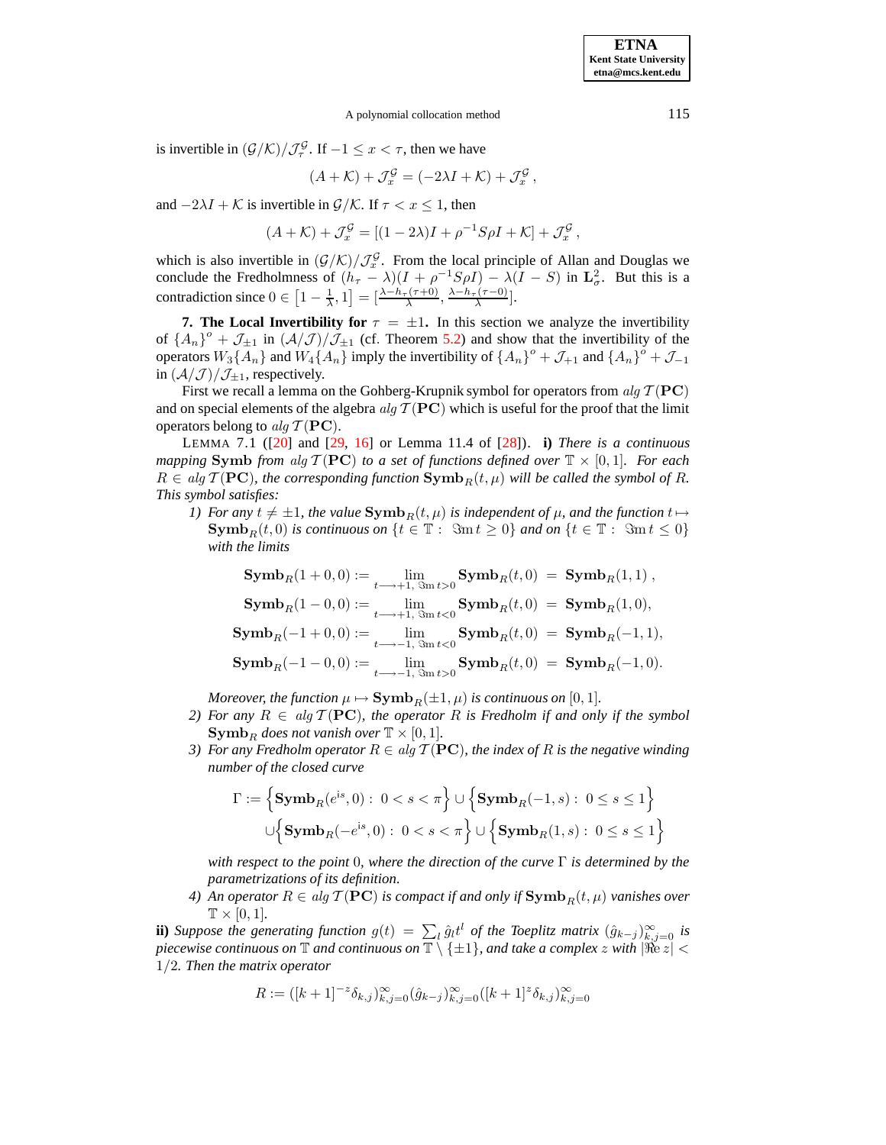A polynomial collocation method 115

is invertible in  $(\mathcal{G}/\mathcal{K})/\mathcal{J}^{\mathcal{G}}_{\tau}$ . If  $-1 \leq x < \tau$ , then we have

$$
(A + \mathcal{K}) + \mathcal{J}_x^{\mathcal{G}} = (-2\lambda I + \mathcal{K}) + \mathcal{J}_x^{\mathcal{G}},
$$

and  $-2\lambda I + \mathcal{K}$  is invertible in  $\mathcal{G}/\mathcal{K}$ . If  $\tau < x \leq 1$ , then

$$
(A + \mathcal{K}) + \mathcal{J}_x^{\mathcal{G}} = [(1 - 2\lambda)I + \rho^{-1}S\rho I + \mathcal{K}] + \mathcal{J}_x^{\mathcal{G}},
$$

which is also invertible in  $(\mathcal{G}/\mathcal{K})/\mathcal{J}_x^{\mathcal{G}}$ . From the local principle of Allan and Douglas we conclude the Fredholmness of  $(h_{\tau} - \lambda)(I + \rho^{-1}S\rho I) - \lambda(I - S)$  in  $\mathbf{L}^2_{\sigma}$ . But this is a contradiction since  $0 \in \left[1 - \frac{1}{\lambda}, 1\right] = \left[\frac{\lambda - h_{\tau}(\tau + 0)}{\lambda}, \frac{\lambda - h_{\tau}(\tau - 0)}{\lambda}\right]$ .

<span id="page-36-0"></span>**7.** The Local Invertibility for  $\tau = \pm 1$ . In this section we analyze the invertibility of  $\{A_n\}^{\circ}$  +  $\mathcal{J}_{\pm 1}$  in  $(\mathcal{A}/\mathcal{J})/\mathcal{J}_{\pm 1}$  (cf. Theorem [5.2\)](#page-32-0) and show that the invertibility of the operators  $W_3\{\overline{A}_n\}$  and  $W_4\{\overline{A}_n\}$  imply the invertibility of  $\{\overline{A}_n\}^o + \mathcal{J}_{+1}$  and  $\{\overline{A}_n\}^o + \mathcal{J}_{-1}$ in  $(\mathcal{A}/\mathcal{J})/\mathcal{J}_{\pm 1}$ , respectively.

<span id="page-36-1"></span>First we recall a lemma on the Gohberg-Krupnik symbol for operators from  $\mathfrak{a} \mathfrak{l} q \mathcal{T}(\mathbf{PC})$ and on special elements of the algebra  $alq \mathcal{T} (PC)$  which is useful for the proof that the limit operators belong to alg  $\mathcal{T}(\mathbf{PC})$ .

LEMMA 7.1 ([\[20\]](#page-46-19) and [\[29,](#page-46-24) [16\]](#page-46-21) or Lemma 11.4 of [\[28\]](#page-46-9)). **i)** *There is a continuous mapping* **Symb** *from* alg  $\mathcal{T}(\mathbf{PC})$  *to a set of functions defined over*  $\mathbb{T} \times [0, 1]$ *. For each*  $R \in alg \mathcal{T}(\textbf{PC})$ , the corresponding function  $\textbf{Symb}_R(t,\mu)$  will be called the symbol of R. *This symbol satisfies:*

*1) For* any  $t \neq \pm 1$ *, the value*  $\text{Symb}_R(t,\mu)$  *is independent of*  $\mu$ *, and the function*  $t \mapsto$  $\text{Symb}_R(t,0)$  *is continuous on*  $\{t \in \mathbb{T} : \mathcal{S}m t \geq 0\}$  *and on*  $\{t \in \mathbb{T} : \mathcal{S}m t \leq 0\}$ *with the limits*

$$
\begin{aligned} \mathbf{Symb}_R(1+0,0) &:= \lim_{t \longrightarrow +1, \text{ } \text{Sm}\,t > 0} \mathbf{Symb}_R(t,0) = \mathbf{Symb}_R(1,1) \,, \\ \mathbf{Symb}_R(1-0,0) &:= \lim_{t \longrightarrow +1, \text{ } \text{Sm}\,t < 0} \mathbf{Symb}_R(t,0) = \mathbf{Symb}_R(1,0), \\ \mathbf{Symb}_R(-1+0,0) &:= \lim_{t \longrightarrow -1, \text{ } \text{Sm}\,t < 0} \mathbf{Symb}_R(t,0) = \mathbf{Symb}_R(-1,1), \\ \mathbf{Symb}_R(-1-0,0) &:= \lim_{t \longrightarrow -1, \text{ } \text{Sm}\,t > 0} \mathbf{Symb}_R(t,0) = \mathbf{Symb}_R(-1,0). \end{aligned}
$$

*Moreover, the function*  $\mu \mapsto \textbf{Symb}_R(\pm 1, \mu)$  *is continuous on* [0, 1]*.* 

- *2)* For any  $R \in alg \mathcal{T}(\mathbf{PC})$ , the operator R is Fredholm if and only if the symbol **Symb**<sub>R</sub> does not vanish over  $\mathbb{T} \times [0, 1]$ .
- *3)* For any Fredholm operator  $R \in alg \mathcal{T}(\mathbf{PC})$ , the index of R is the negative winding *number of the closed curve*

$$
\Gamma:=\Big\{\mathbf{Symb}_R(e^{\mathrm{i} s},0):\ 0
$$

*with respect to the point* 0*, where the direction of the curve* Γ *is determined by the parametrizations of its definition.*

*4) An operator*  $R \in alg \mathcal{T}(\mathbf{PC})$  *is compact if and only if*  $\mathbf{Symb}_R(t,\mu)$  *vanishes over*  $\mathbb{T} \times [0,1]$ .

**ii**) *Suppose the generating function*  $g(t) = \sum_l \hat{g}_l t^l$  *of the Toeplitz matrix*  $(\hat{g}_{k-j})_{k,j=0}^{\infty}$  *is piecewise continuous on*  $\mathbb{T}$  *and continuous on*  $\mathbb{T} \setminus \{\pm 1\}$ *, and take a complex z with*  $|\Re z|$  < 1/2*. Then the matrix operator*

$$
R := (k+1)^{-z} \delta_{k,j} \}_{k,j=0}^{\infty} (\hat{g}_{k-j})_{k,j=0}^{\infty} ([k+1]^z \delta_{k,j} )_{k,j=0}^{\infty}
$$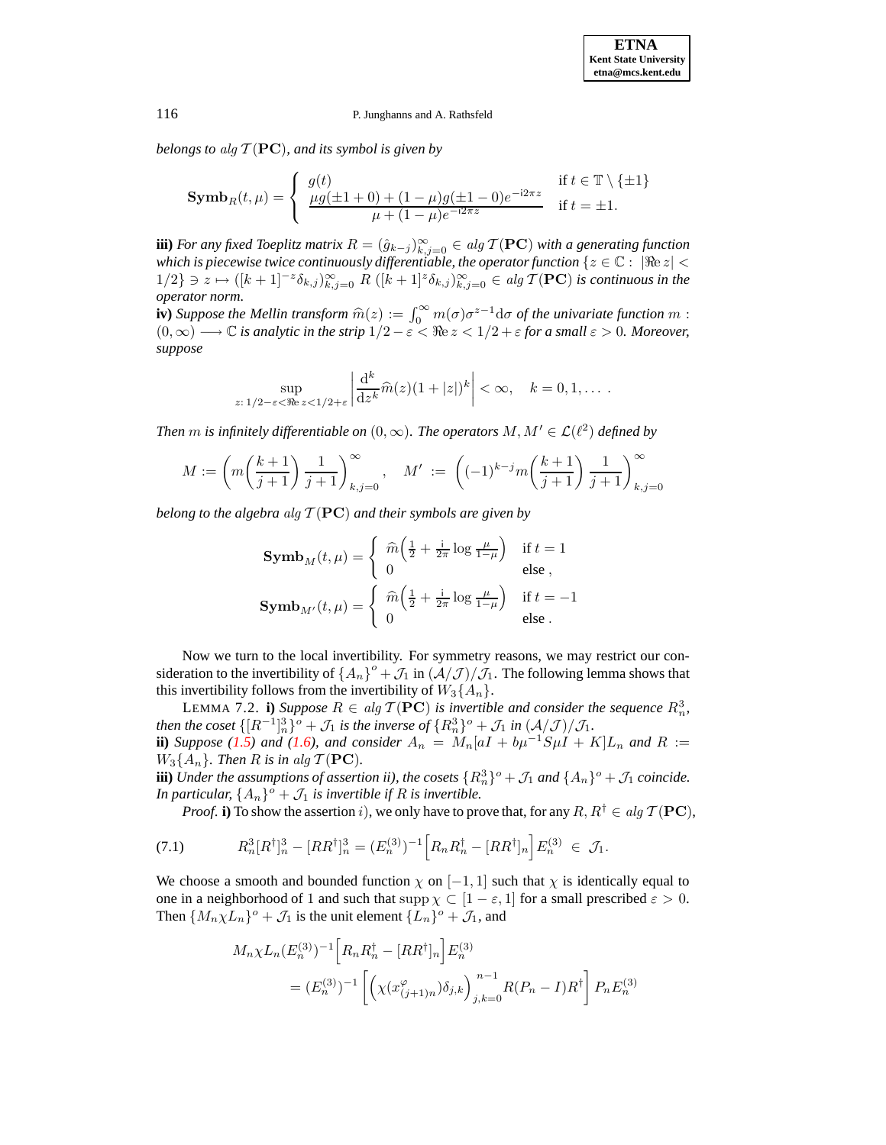*belongs to* alg  $\mathcal{T}(\mathbf{PC})$ *, and its symbol is given by* 

$$
\mathbf{Symb}_R(t,\mu) = \begin{cases} g(t) & \text{if } t \in \mathbb{T} \setminus \{ \pm 1 \} \\ \frac{\mu g(\pm 1 + 0) + (1 - \mu)g(\pm 1 - 0)e^{-i2\pi z}}{\mu + (1 - \mu)e^{-i2\pi z}} & \text{if } t = \pm 1. \end{cases}
$$

 $\bf{iii)}$  *For any fixed Toeplitz matrix*  $R = (\hat{g}_{k-j})_{k,j=0}^\infty \in alg \, \mathcal{T}(\mathbf{PC})$  *with a generating function which is piecewise twice continuously differentiable, the operator function*  $\{z \in \mathbb{C} : |\Re\epsilon z|$  $1/2$ } ∋ z  $\mapsto ([k + 1]^{-z} \delta_{k,j})_{k,j=0}^{\infty}$  R  $([k + 1]^{z} \delta_{k,j})_{k,j=0}^{\infty}$  ∈ alg T(PC) is continuous in the *operator norm.*

**iv)** *Suppose the Mellin transform*  $\widehat{m}(z) := \int_0^\infty m(\sigma) \sigma^{z-1} d\sigma$  *of the univariate function* m :  $(0, \infty) \in \mathbb{C}$  is much the strip  $1/2 \leq \infty$ . The strip  $(1/2) \times 0$  of the space of  $z > 0$ . Measurement  $(0, \infty) \longrightarrow \mathbb{C}$  *is analytic in the strip*  $1/2 - \varepsilon < \Re e \, z < 1/2 + \varepsilon$  *for a small*  $\varepsilon > 0$ *. Moreover, suppose*

$$
\sup_{z:\,1/2-\varepsilon<\Re\varepsilon} \sup_{z\,<\,1/2+\varepsilon} \left|\frac{\mathrm{d}^k}{\mathrm{d}z^k}\widehat{m}(z)(1+|z|)^k\right| < \infty, \quad k=0,1,\ldots.
$$

*Then*  $m$  *is infinitely differentiable on*  $(0, \infty)$ *. The operators*  $M, M' \in \mathcal{L}(\ell^2)$  *defined by* 

$$
M := \left( m \left( \frac{k+1}{j+1} \right) \frac{1}{j+1} \right)_{k,j=0}^{\infty}, \quad M' := \left( (-1)^{k-j} m \left( \frac{k+1}{j+1} \right) \frac{1}{j+1} \right)_{k,j=0}^{\infty}
$$

*belong to the algebra alg*  $\mathcal{T}(\mathbf{PC})$  *and their symbols are given by* 

<span id="page-37-1"></span>
$$
\mathbf{Symb}_M(t,\mu) = \begin{cases} \n\widehat{m}\left(\frac{1}{2} + \frac{i}{2\pi}\log\frac{\mu}{1-\mu}\right) & \text{if } t = 1\\ \n0 & \text{else }, \n\end{cases}
$$
\n
$$
\mathbf{Symb}_{M'}(t,\mu) = \begin{cases} \n\widehat{m}\left(\frac{1}{2} + \frac{i}{2\pi}\log\frac{\mu}{1-\mu}\right) & \text{if } t = -1\\ \n0 & \text{else }. \n\end{cases}
$$

Now we turn to the local invertibility. For symmetry reasons, we may restrict our consideration to the invertibility of  $\{A_n\}^o + \mathcal{J}_1$  in  $(\mathcal{A}/\mathcal{J})/\mathcal{J}_1$ . The following lemma shows that this invertibility follows from the invertibility of  $W_3\{A_n\}$ .

LEMMA 7.2. **i**) *Suppose*  $R \in alg \mathcal{T}(\mathbf{PC})$  *is invertible and consider the sequence*  $R_n^3$ , *then the coset*  $\{[R^{-1}]_n^3\}$ <sup>o</sup> +  $\mathcal{J}_1$  *is the inverse of*  $\{R_n^3\}$ <sup>o</sup> +  $\mathcal{J}_1$  *in*  $(\mathcal{A}/\mathcal{J})/\mathcal{J}_1$ *.* **ii**) *Suppose* [\(1.5\)](#page-2-0) and [\(1.6\)](#page-2-1), and consider  $A_n = M_n[aI + b\mu^{-1}S\mu I + K]L_n$  and  $R :=$  $W_3\{A_n\}$ *. Then R is in alg*  $\mathcal{T}(\mathbf{PC})$ *.* 

**iii**) *Under the assumptions of assertion ii), the cosets*  $\{R_n^3\}$ <sup>o</sup> +  $\mathcal{J}_1$  *and*  $\{A_n\}$ <sup>o</sup> +  $\mathcal{J}_1$  *coincide.* In particular,  $\{A_n\}$ <sup>o</sup> +  $\mathcal{J}_1$  *is invertible if* R *is invertible.* 

*Proof.* **i**) To show the assertion i), we only have to prove that, for any  $R, R^{\dagger} \in alg \mathcal{T}(\mathbf{PC}),$ 

<span id="page-37-0"></span>(7.1) 
$$
R_n^3[R^{\dagger}]_n^3 - [RR^{\dagger}]_n^3 = (E_n^{(3)})^{-1} \Big[ R_n R_n^{\dagger} - [RR^{\dagger}]_n \Big] E_n^{(3)} \in \mathcal{J}_1.
$$

We choose a smooth and bounded function  $\chi$  on [-1, 1] such that  $\chi$  is identically equal to one in a neighborhood of 1 and such that  $\text{supp }\chi \subset [1-\varepsilon,1]$  for a small prescribed  $\varepsilon > 0$ . Then  $\{M_n \chi L_n\}$ <sup>o</sup> +  $\mathcal{J}_1$  is the unit element  $\{L_n\}$ <sup>o</sup> +  $\mathcal{J}_1$ , and

$$
M_n \chi L_n(E_n^{(3)})^{-1} \Big[ R_n R_n^{\dagger} - [RR^{\dagger}]_n \Big] E_n^{(3)}
$$
  
=  $(E_n^{(3)})^{-1} \left[ \left( \chi(x_{(j+1)n}^{\varphi}) \delta_{j,k} \right)_{j,k=0}^{n-1} R(P_n - I) R^{\dagger} \right] P_n E_n^{(3)}$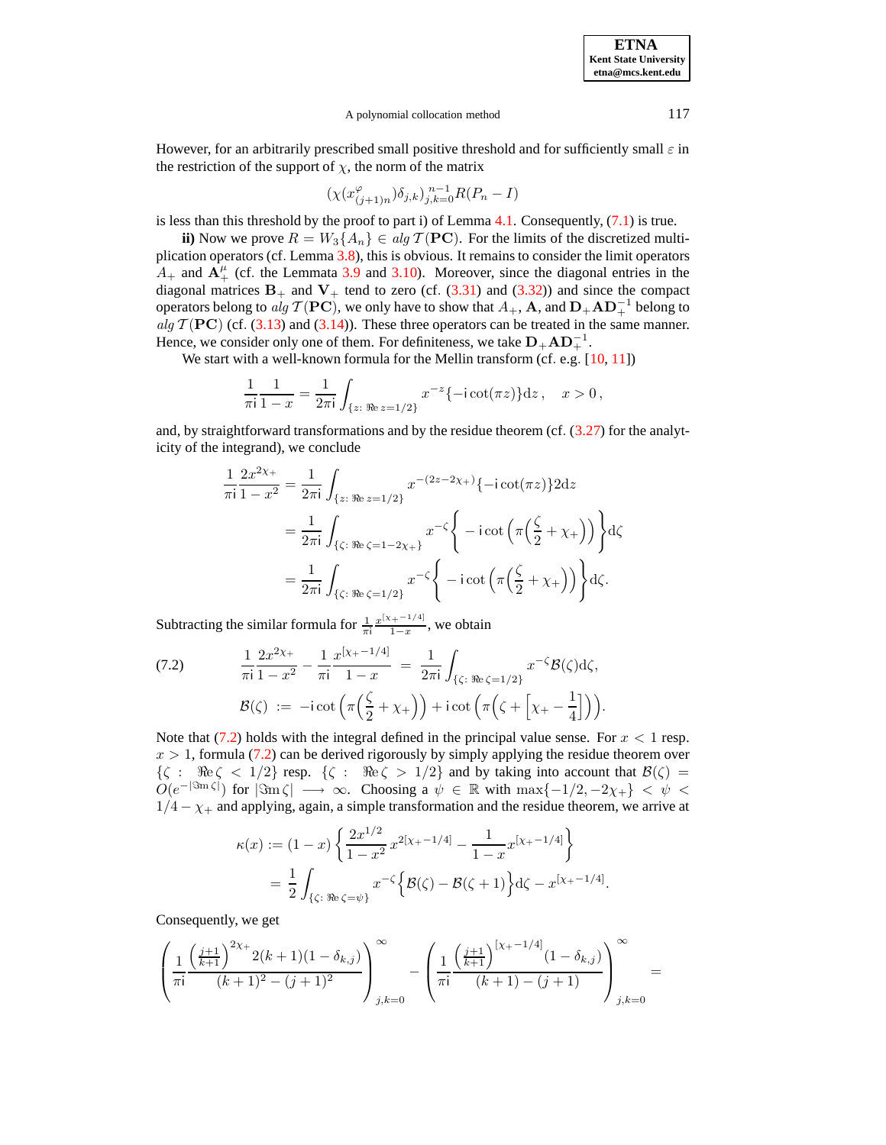A polynomial collocation method 117

However, for an arbitrarily prescribed small positive threshold and for sufficiently small  $\varepsilon$  in the restriction of the support of  $\chi$ , the norm of the matrix

$$
(\chi(x_{(j+1)n}^{\varphi})\delta_{j,k})_{j,k=0}^{n-1}R(P_n - I)
$$

is less than this threshold by the proof to part i) of Lemma [4.1.](#page-26-1) Consequently, [\(7.1\)](#page-37-0) is true.

**ii**) Now we prove  $R = W_3\{A_n\} \in alg \mathcal{T}(\mathbf{PC})$ . For the limits of the discretized multiplication operators (cf. Lemma [3.8\)](#page-10-0), this is obvious. It remains to consider the limit operators  $A_+$  and  $A_+^{\mu}$  (cf. the Lemmata [3.9](#page-10-5) and [3.10\)](#page-13-0). Moreover, since the diagonal entries in the diagonal matrices  $B_+$  and  $V_+$  tend to zero (cf. [\(3.31\)](#page-19-1) and [\(3.32\)](#page-19-2)) and since the compact operators belong to  $alg \mathcal{T}(\mathbf{PC})$ , we only have to show that  $A_+$ ,  $\mathbf{A}$ , and  $\mathbf{D}_+ \mathbf{A} \mathbf{D}_+^{-1}$  belong to alg  $T(PC)$  (cf. [\(3.13\)](#page-13-3) and [\(3.14\)](#page-13-4)). These three operators can be treated in the same manner. Hence, we consider only one of them. For definiteness, we take  $D_+AD_+^{-1}$ .

We start with a well-known formula for the Mellin transform (cf. e.g. [\[10,](#page-46-28) [11\]](#page-46-17))

$$
\frac{1}{\pi i} \frac{1}{1-x} = \frac{1}{2\pi i} \int_{\{z: \Re z = 1/2\}} x^{-z} \{-i \cot(\pi z)\} dz, \quad x > 0,
$$

and, by straightforward transformations and by the residue theorem (cf. [\(3.27\)](#page-18-0) for the analyticity of the integrand), we conclude

$$
\frac{1}{\pi i} \frac{2x^{2\chi_{+}}}{1 - x^{2}} = \frac{1}{2\pi i} \int_{\{z: \Re e z = 1/2\}} x^{-(2z - 2\chi_{+})} \{-i \cot(\pi z)\} 2dz
$$

$$
= \frac{1}{2\pi i} \int_{\{\zeta: \Re e \zeta = 1 - 2\chi_{+}\}} x^{-\zeta} \left\{-i \cot\left(\pi \left(\frac{\zeta}{2} + \chi_{+}\right)\right)\right\} d\zeta
$$

$$
= \frac{1}{2\pi i} \int_{\{\zeta: \Re e \zeta = 1/2\}} x^{-\zeta} \left\{-i \cot\left(\pi \left(\frac{\zeta}{2} + \chi_{+}\right)\right)\right\} d\zeta.
$$

Subtracting the similar formula for  $\frac{1}{\pi i} \frac{x^{[\chi_+ - 1/4]}}{1-x}$  $\frac{1}{1-x}$ , we obtain

<span id="page-38-0"></span>(7.2) 
$$
\frac{1}{\pi i} \frac{2x^{2\chi_+}}{1 - x^2} - \frac{1}{\pi i} \frac{x^{[\chi_+ - 1/4]}}{1 - x} = \frac{1}{2\pi i} \int_{\{\zeta : \Re \epsilon \zeta = 1/2\}} x^{-\zeta} \mathcal{B}(\zeta) d\zeta,
$$

$$
\mathcal{B}(\zeta) := -i \cot \left( \pi \left( \frac{\zeta}{2} + \chi_+ \right) \right) + i \cot \left( \pi \left( \zeta + \left[ \chi_+ - \frac{1}{4} \right] \right) \right).
$$

Note that  $(7.2)$  holds with the integral defined in the principal value sense. For  $x < 1$  resp.  $x > 1$ , formula [\(7.2\)](#page-38-0) can be derived rigorously by simply applying the residue theorem over  $\{\zeta : \Re \epsilon \leq 1/2\}$  resp.  $\{\zeta : \Re \epsilon \geq 1/2\}$  and by taking into account that  $\mathcal{B}(\zeta) =$  $O(e^{-|\Im m \zeta|})$  for  $|\Im m \zeta| \longrightarrow \infty$ . Choosing a  $\psi \in \mathbb{R}$  with  $\max\{-1/2, -2\chi_{+}\} < \psi$  $1/4 - \chi$  and applying, again, a simple transformation and the residue theorem, we arrive at

$$
\kappa(x) := (1-x) \left\{ \frac{2x^{1/2}}{1-x^2} x^{2[x_+-1/4]} - \frac{1}{1-x} x^{[x_+-1/4]} \right\}
$$
  
=  $\frac{1}{2} \int_{\{\zeta: \Re e \, \zeta = \psi\}} x^{-\zeta} \left\{ \mathcal{B}(\zeta) - \mathcal{B}(\zeta + 1) \right\} d\zeta - x^{[x_+-1/4]}.$ 

Consequently, we get

$$
\left(\frac{1}{\pi i} \frac{\left(\frac{j+1}{k+1}\right)^{2\chi_+} 2(k+1)(1-\delta_{k,j})}{(k+1)^2 - (j+1)^2}\right)_{j,k=0}^{\infty} - \left(\frac{1}{\pi i} \frac{\left(\frac{j+1}{k+1}\right)^{[\chi_+-1/4]} (1-\delta_{k,j})}{(k+1)-(j+1)}\right)_{j,k=0}^{\infty} =
$$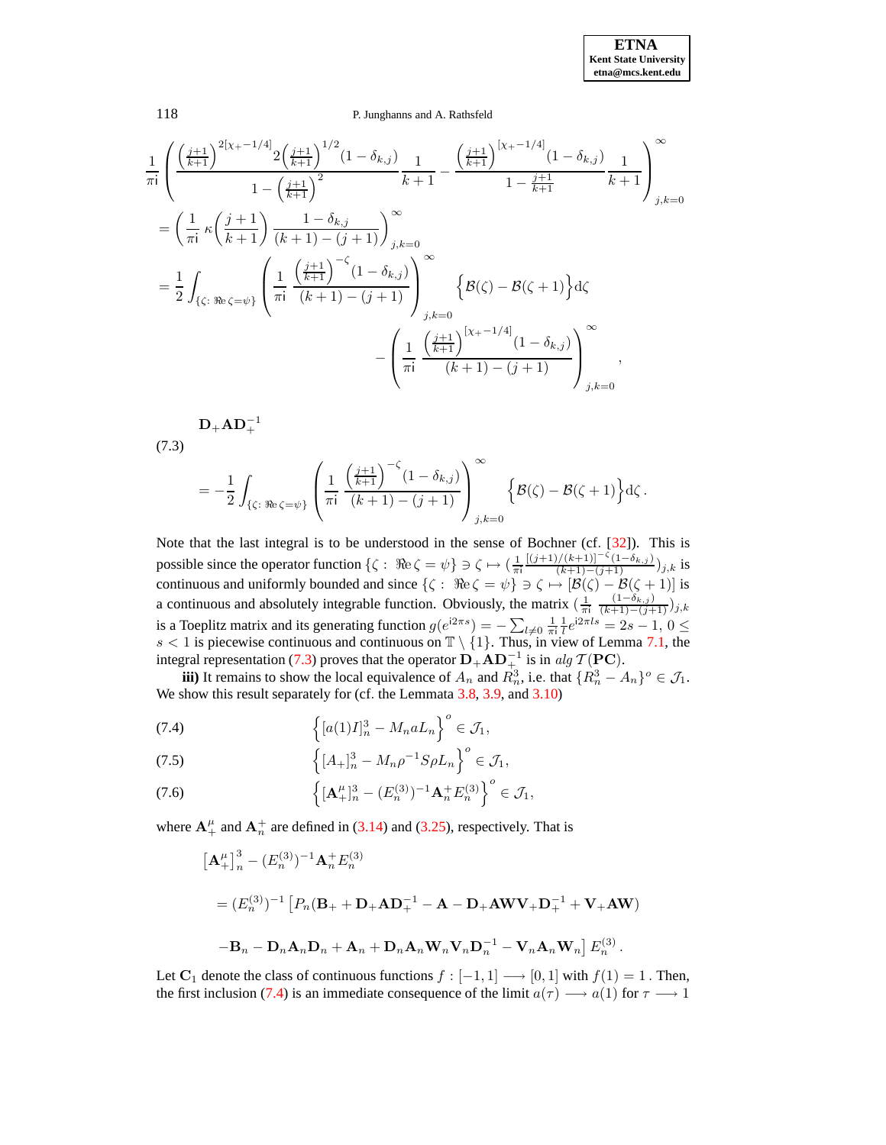#### 118 P. Junghanns and A. Rathsfeld

$$
\frac{1}{\pi i} \left( \frac{\left(\frac{j+1}{k+1}\right)^{2\left[\chi_{+}-1/4\right]} 2\left(\frac{j+1}{k+1}\right)^{1/2} (1-\delta_{k,j})}{1-\left(\frac{j+1}{k+1}\right)^{2}} \frac{1}{k+1} - \frac{\left(\frac{j+1}{k+1}\right)^{\left[\chi_{+}-1/4\right]} (1-\delta_{k,j})}{1-\frac{j+1}{k+1}} \frac{1}{k+1} \right)_{j,k=0}^{\infty}
$$
\n
$$
= \left( \frac{1}{\pi i} \kappa \left(\frac{j+1}{k+1}\right) \frac{1-\delta_{k,j}}{(k+1)-(j+1)} \right)_{j,k=0}^{\infty}
$$
\n
$$
= \frac{1}{2} \int_{\{\zeta: \Re e \, \zeta = \psi\}} \left( \frac{1}{\pi i} \frac{\left(\frac{j+1}{k+1}\right)^{-\zeta} (1-\delta_{k,j})}{(k+1)-(j+1)} \right)_{j,k=0}^{\infty} \left\{ \mathcal{B}(\zeta) - \mathcal{B}(\zeta+1) \right\} d\zeta
$$
\n
$$
- \left( \frac{1}{\pi i} \frac{\left(\frac{j+1}{k+1}\right)^{\left[\chi_{+}-1/4\right]} (1-\delta_{k,j})}{(k+1)-(j+1)} \right)_{j,k=0}^{\infty},
$$

 $\mathbf{D}_+ \mathbf{A} \mathbf{D}_+^{-1}$ 

<span id="page-39-0"></span>(7.3)

$$
= -\frac{1}{2} \int_{\{\zeta: \Re e \zeta = \psi\}} \left( \frac{1}{\pi i} \frac{\left(\frac{j+1}{k+1}\right)^{-\zeta} (1-\delta_{k,j})}{(k+1)-(j+1)} \right)_{j,k=0}^{\infty} \left\{ \mathcal{B}(\zeta) - \mathcal{B}(\zeta+1) \right\} d\zeta.
$$

Note that the last integral is to be understood in the sense of Bochner (cf. [\[32\]](#page-47-2)). This is possible since the operator function  $\{\zeta : \Re e \, \zeta = \psi\} \ni \zeta \mapsto (\frac{1}{\pi i})$  $\frac{[(j+1)/(k+1)]^{-\zeta}(1-\delta_{k,j})}{(k+1)-(j+1)}$ )<sub>j,k</sub> is continuous and uniformly bounded and since  $\{\zeta: \Re \epsilon \zeta = \psi\} \ni \zeta \mapsto [\mathcal{B}(\zeta) - \mathcal{B}(\zeta + 1)]$  is a continuous and absolutely integrable function. Obviously, the matrix  $\left(\frac{1}{\pi i}\right)\frac{(1-\delta_{k,j})}{(k+1)-(j+1)}j_{j,k}$ is a Toeplitz matrix and its generating function  $g(e^{i2\pi s}) = -\sum_{l\neq 0} \frac{1}{\pi i} \frac{1}{l} e^{i2\pi l s} = 2s - 1, 0 \leq$  $s < 1$  is piecewise continuous and continuous on  $\mathbb{T} \setminus \{1\}$ . Thus, in view of Lemma [7.1,](#page-36-1) the integral representation [\(7.3\)](#page-39-0) proves that the operator  $\mathbf{D}_+ \mathbf{A} \mathbf{D}^{-1}_{+}$  is in alg  $\mathcal{T}(\mathbf{P}\mathbf{C})$ .

**iii**) It remains to show the local equivalence of  $A_n$  and  $R_n^3$ , i.e. that  $\{R_n^3 - A_n\}^o \in \mathcal{J}_1$ . We show this result separately for (cf. the Lemmata [3.8,](#page-10-0) [3.9,](#page-10-5) and [3.10\)](#page-13-0)

<span id="page-39-1"></span>(7.4) 
$$
\left\{ [a(1)I]_n^3 - M_n a L_n \right\}^o \in \mathcal{J}_1,
$$

(7.5) 
$$
\left\{ [A_{+}]_{n}^{3} - M_{n}\rho^{-1}S\rho L_{n} \right\}^{o} \in \mathcal{J}_{1},
$$

(7.6) 
$$
\left\{ [\mathbf{A}_{+}^{\mu}]_{n}^{3} - (E_{n}^{(3)})^{-1} \mathbf{A}_{n}^{+} E_{n}^{(3)} \right\}^{o} \in \mathcal{J}_{1},
$$

where  $\mathbf{A}_{+}^{\mu}$  and  $\mathbf{A}_{n}^{+}$  are defined in [\(3.14\)](#page-13-4) and [\(3.25\)](#page-17-0), respectively. That is

$$
\begin{aligned}\n&\left[\mathbf{A}_{+}^{\mu}\right]_{n}^{3} - (E_{n}^{(3)})^{-1}\mathbf{A}_{n}^{+}E_{n}^{(3)}\\
&= (E_{n}^{(3)})^{-1}\left[P_{n}(\mathbf{B}_{+} + \mathbf{D}_{+}\mathbf{A}\mathbf{D}_{+}^{-1} - \mathbf{A} - \mathbf{D}_{+}\mathbf{A}\mathbf{W}\mathbf{V}_{+}\mathbf{D}_{+}^{-1} + \mathbf{V}_{+}\mathbf{A}\mathbf{W})\right.\\
&\left. - \mathbf{B}_{n} - \mathbf{D}_{n}\mathbf{A}_{n}\mathbf{D}_{n} + \mathbf{A}_{n} + \mathbf{D}_{n}\mathbf{A}_{n}\mathbf{W}_{n}\mathbf{V}_{n}\mathbf{D}_{n}^{-1} - \mathbf{V}_{n}\mathbf{A}_{n}\mathbf{W}_{n}\right]E_{n}^{(3)}.\n\end{aligned}
$$

Let  $C_1$  denote the class of continuous functions  $f : [-1, 1] \longrightarrow [0, 1]$  with  $f(1) = 1$ . Then, the first inclusion [\(7.4\)](#page-39-1) is an immediate consequence of the limit  $a(\tau) \rightarrow a(1)$  for  $\tau \rightarrow 1$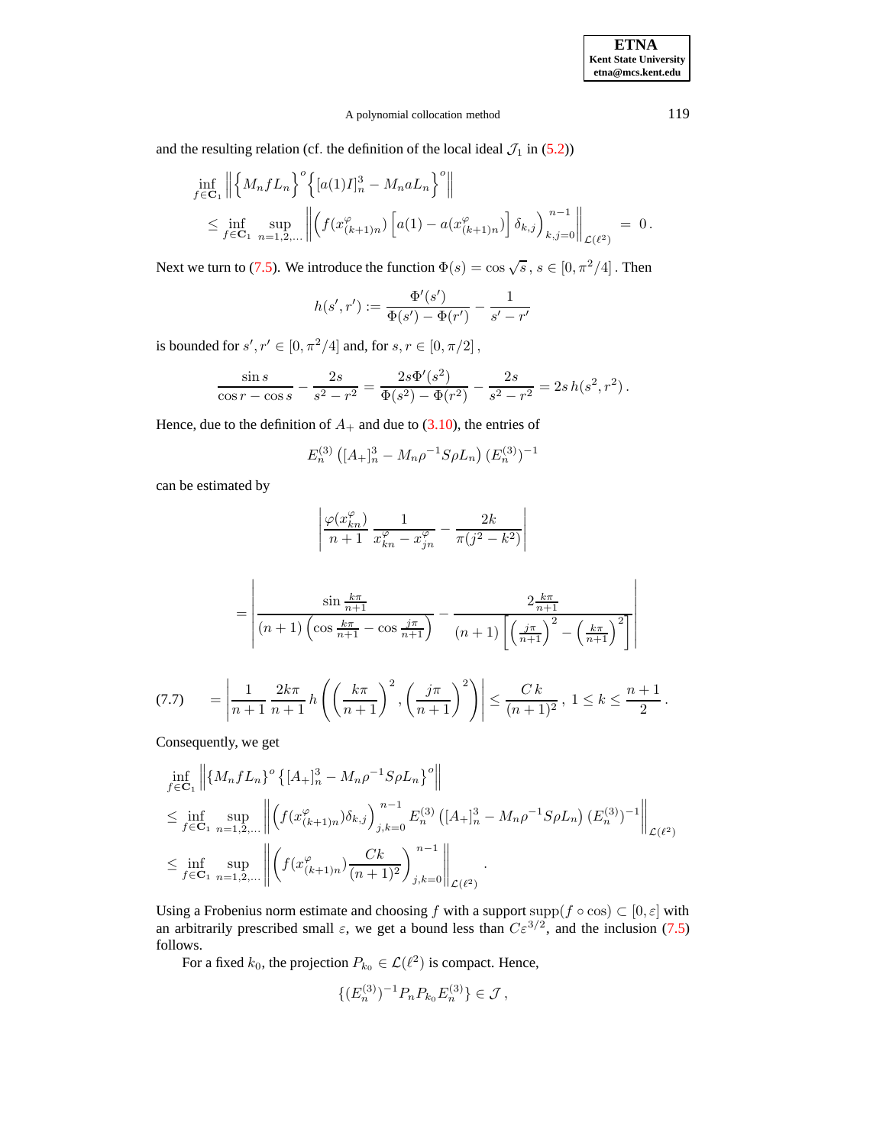## A polynomial collocation method 119

and the resulting relation (cf. the definition of the local ideal  $\mathcal{J}_1$  in [\(5.2\)](#page-32-2))

$$
\inf_{f \in \mathbf{C}_1} \left\| \left\{ M_n f L_n \right\}^o \left\{ [a(1)I]_n^3 - M_n a L_n \right\}^o \right\|
$$
\n
$$
\leq \inf_{f \in \mathbf{C}_1} \sup_{n=1,2,...} \left\| \left( f(x_{(k+1)n}^o) \left[ a(1) - a(x_{(k+1)n}^o) \right] \delta_{k,j} \right)_{k,j=0}^{n-1} \right\|_{\mathcal{L}(\ell^2)} = 0.
$$

Next we turn to [\(7.5\)](#page-39-1). We introduce the function  $\Phi(s) = \cos \sqrt{s}$ ,  $s \in [0, \pi^2/4]$ . Then

$$
h(s',r') := \frac{\Phi'(s')}{\Phi(s') - \Phi(r')} - \frac{1}{s' - r'}
$$

is bounded for  $s', r' \in [0, \pi^2/4]$  and, for  $s, r \in [0, \pi/2]$ ,

$$
\frac{\sin s}{\cos r - \cos s} - \frac{2s}{s^2 - r^2} = \frac{2s\Phi'(s^2)}{\Phi(s^2) - \Phi(r^2)} - \frac{2s}{s^2 - r^2} = 2s h(s^2, r^2).
$$

Hence, due to the definition of  $A_+$  and due to [\(3.10\)](#page-12-2), the entries of

$$
E_n^{(3)}\left([A_+]_n^3 - M_n \rho^{-1} S \rho L_n\right) (E_n^{(3)})^{-1}
$$

can be estimated by

$$
\left| \frac{\varphi(x_{kn}^{\varphi})}{n+1} \frac{1}{x_{kn}^{\varphi} - x_{jn}^{\varphi}} - \frac{2k}{\pi(j^2 - k^2)} \right|
$$

$$
= \left| \frac{\sin \frac{k\pi}{n+1}}{(n+1)\left(\cos \frac{k\pi}{n+1} - \cos \frac{j\pi}{n+1}\right)} - \frac{2\frac{k\pi}{n+1}}{(n+1)\left[\left(\frac{j\pi}{n+1}\right)^2 - \left(\frac{k\pi}{n+1}\right)^2\right]} \right|
$$

<span id="page-40-0"></span>
$$
(7.7) \qquad = \left| \frac{1}{n+1} \frac{2k\pi}{n+1} h\left( \left( \frac{k\pi}{n+1} \right)^2, \left( \frac{j\pi}{n+1} \right)^2 \right) \right| \leq \frac{C k}{(n+1)^2}, \ 1 \leq k \leq \frac{n+1}{2}.
$$

Consequently, we get

$$
\inf_{f \in \mathbf{C}_{1}} \left\| \{ M_{n} f L_{n} \}^{\circ} \{ [A_{+}]_{n}^{3} - M_{n} \rho^{-1} S \rho L_{n} \}^{\circ} \right\|
$$
\n
$$
\leq \inf_{f \in \mathbf{C}_{1}} \sup_{n=1,2,...} \left\| \left( f(x_{(k+1)n}^{\varphi}) \delta_{k,j} \right)_{j,k=0}^{n-1} E_{n}^{(3)} \left( [A_{+}]_{n}^{3} - M_{n} \rho^{-1} S \rho L_{n} \right) (E_{n}^{(3)})^{-1} \right\|_{\mathcal{L}(\ell^{2})}
$$
\n
$$
\leq \inf_{f \in \mathbf{C}_{1}} \sup_{n=1,2,...} \left\| \left( f(x_{(k+1)n}^{\varphi}) \frac{C k}{(n+1)^{2}} \right)_{j,k=0}^{n-1} \right\|_{\mathcal{L}(\ell^{2})}.
$$

Using a Frobenius norm estimate and choosing f with a support supp( $f \circ \cos$ )  $\subset [0, \varepsilon]$  with an arbitrarily prescribed small  $\varepsilon$ , we get a bound less than  $C\varepsilon^{3/2}$ , and the inclusion [\(7.5\)](#page-39-1) follows.

For a fixed  $k_0$ , the projection  $P_{k_0} \in \mathcal{L}(\ell^2)$  is compact. Hence,

$$
\{(E_n^{(3)})^{-1}P_nP_{k_0}E_n^{(3)}\}\in\mathcal{J},\,
$$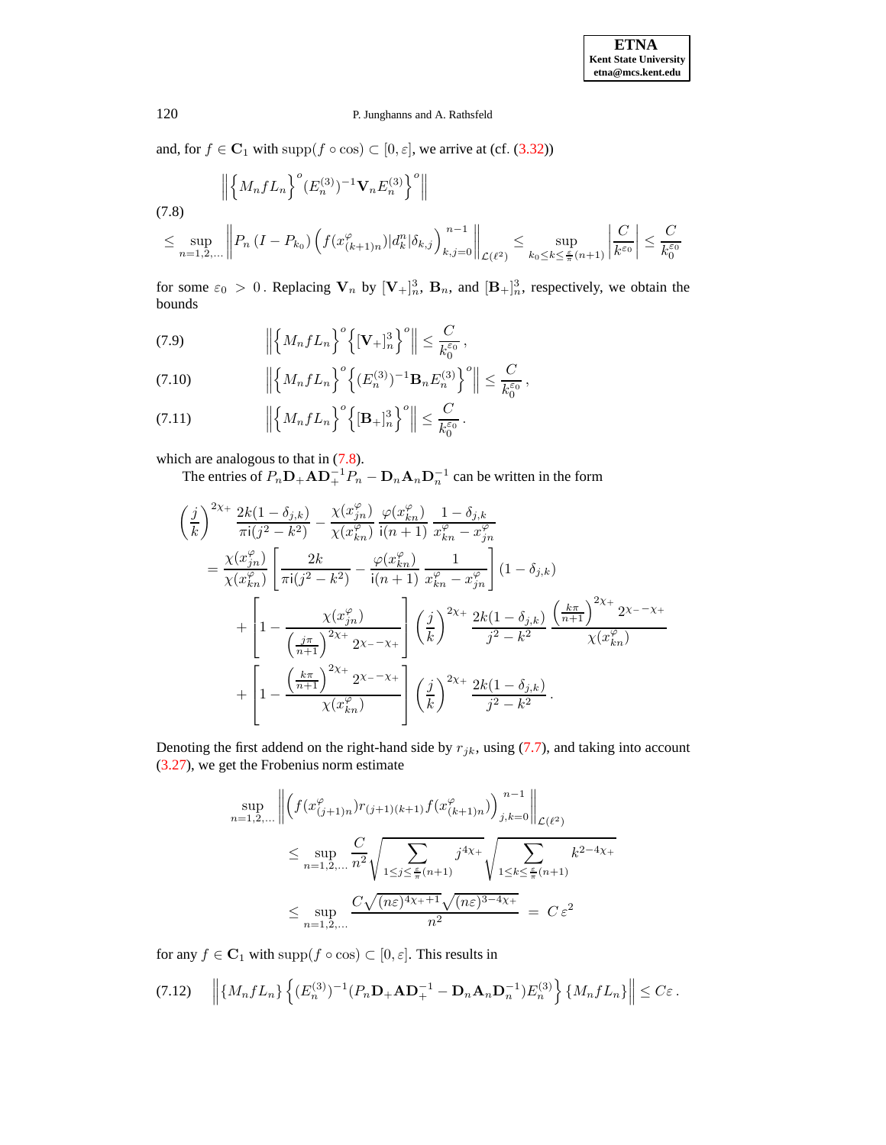and, for  $f \in \mathbf{C}_1$  with  $\text{supp}(f \circ \cos) \subset [0, \varepsilon]$ , we arrive at (cf. [\(3.32\)](#page-19-2))

<span id="page-41-0"></span>
$$
\left\| \left\{ M_n f L_n \right\}^o (E_n^{(3)})^{-1} \mathbf{V}_n E_n^{(3)} \right\}^o \right\|
$$
\n
$$
\leq \sup_{n=1,2,...} \left\| P_n \left( I - P_{k_0} \right) \left( f(x_{(k+1)n}^o) | d_k^n | \delta_{k,j} \right)_{k,j=0}^{n-1} \right\|_{\mathcal{L}(\ell^2)} \leq \sup_{k_0 \leq k \leq \frac{\varepsilon}{\pi} (n+1)} \left| \frac{C}{k^{\varepsilon_0}} \right| \leq \frac{C}{k_0^{\varepsilon_0}}
$$

for some  $\varepsilon_0 > 0$ . Replacing  $V_n$  by  $[V_+]_n^3$ ,  $B_n$ , and  $[B_+]_n^3$ , respectively, we obtain the bounds

(7.9) 
$$
\left\| \left\{ M_n f L_n \right\}^o \left\{ [\mathbf{V}_+]_n^3 \right\}^o \right\| \leq \frac{C}{k_0^{\varepsilon_0}},
$$

(7.10) 
$$
\left\| \left\{ M_n f L_n \right\}^o \left\{ (E_n^{(3)})^{-1} \mathbf{B}_n E_n^{(3)} \right\}^o \right\| \leq \frac{C}{k_0^{\varepsilon_0}},
$$

(7.11) 
$$
\left\| \left\{ M_n f L_n \right\}^o \left\{ [\mathbf{B}_+]_n^3 \right\}^o \right\| \leq \frac{C}{k_0^{\varepsilon_0}}.
$$

which are analogous to that in  $(7.8)$ .

The entries of  $P_n \mathbf{D}_+ \mathbf{A} \mathbf{D}_+^{-1} P_n - \mathbf{D}_n \mathbf{A}_n \mathbf{D}_n^{-1}$  can be written in the form

$$
\begin{split}\n&\left(\frac{j}{k}\right)^{2\chi_{+}} \frac{2k(1-\delta_{j,k})}{\pi i(j^{2}-k^{2})} - \frac{\chi(x_{jn}^{\varphi})}{\chi(x_{kn}^{\varphi})} \frac{\varphi(x_{kn}^{\varphi})}{i(n+1)} \frac{1-\delta_{j,k}}{x_{kn}^{\varphi} - x_{jn}^{\varphi}} \\
&= \frac{\chi(x_{jn}^{\varphi})}{\chi(x_{kn}^{\varphi})} \left[ \frac{2k}{\pi i(j^{2}-k^{2})} - \frac{\varphi(x_{kn}^{\varphi})}{i(n+1)} \frac{1}{x_{kn}^{\varphi} - x_{jn}^{\varphi}} \right] (1-\delta_{j,k}) \\
&+ \left[ 1 - \frac{\chi(x_{jn}^{\varphi})}{\left(\frac{j\pi}{n+1}\right)^{2\chi_{+}} 2\chi_{-} - \chi_{+}} \right] \left(\frac{j}{k}\right)^{2\chi_{+}} \frac{2k(1-\delta_{j,k})}{j^{2}-k^{2}} \frac{\left(\frac{k\pi}{n+1}\right)^{2\chi_{+}} 2\chi_{-} - \chi_{+}}{\chi(x_{kn}^{\varphi})} \\
&+ \left[ 1 - \frac{\left(\frac{k\pi}{n+1}\right)^{2\chi_{+}} 2\chi_{-} - \chi_{+}}{\chi(x_{kn}^{\varphi})} \right] \left(\frac{j}{k}\right)^{2\chi_{+}} \frac{2k(1-\delta_{j,k})}{j^{2}-k^{2}}.\n\end{split}
$$

Denoting the first addend on the right-hand side by  $r_{jk}$ , using [\(7.7\)](#page-40-0), and taking into account [\(3.27\)](#page-18-0), we get the Frobenius norm estimate

$$
\sup_{n=1,2,...} \left\| \left( f(x^{\varphi}_{(j+1)n}) r_{(j+1)(k+1)} f(x^{\varphi}_{(k+1)n}) \right)_{j,k=0}^{n-1} \right\|_{\mathcal{L}(\ell^2)}
$$
\n
$$
\leq \sup_{n=1,2,...} \frac{C}{n^2} \sqrt{\sum_{1 \leq j \leq \frac{\varepsilon}{\pi}(n+1)} j^{4\chi_+}} \sqrt{\sum_{1 \leq k \leq \frac{\varepsilon}{\pi}(n+1)} k^{2-4\chi_+}}
$$
\n
$$
\leq \sup_{n=1,2,...} \frac{C \sqrt{(n\varepsilon)^{4\chi_++1}} \sqrt{(n\varepsilon)^{3-4\chi_+}}}{n^2} = C \varepsilon^2
$$

for any  $f \in \mathbf{C}_1$  with  $\text{supp}(f \circ \cos) \subset [0, \varepsilon]$ . This results in

<span id="page-41-1"></span>
$$
(7.12) \quad \left\| \{M_n f L_n\} \left\{ (E_n^{(3)})^{-1} (P_n \mathbf{D}_+ \mathbf{A} \mathbf{D}_+^{-1} - \mathbf{D}_n \mathbf{A}_n \mathbf{D}_n^{-1}) E_n^{(3)} \right\} \{M_n f L_n\} \right\| \leq C \varepsilon.
$$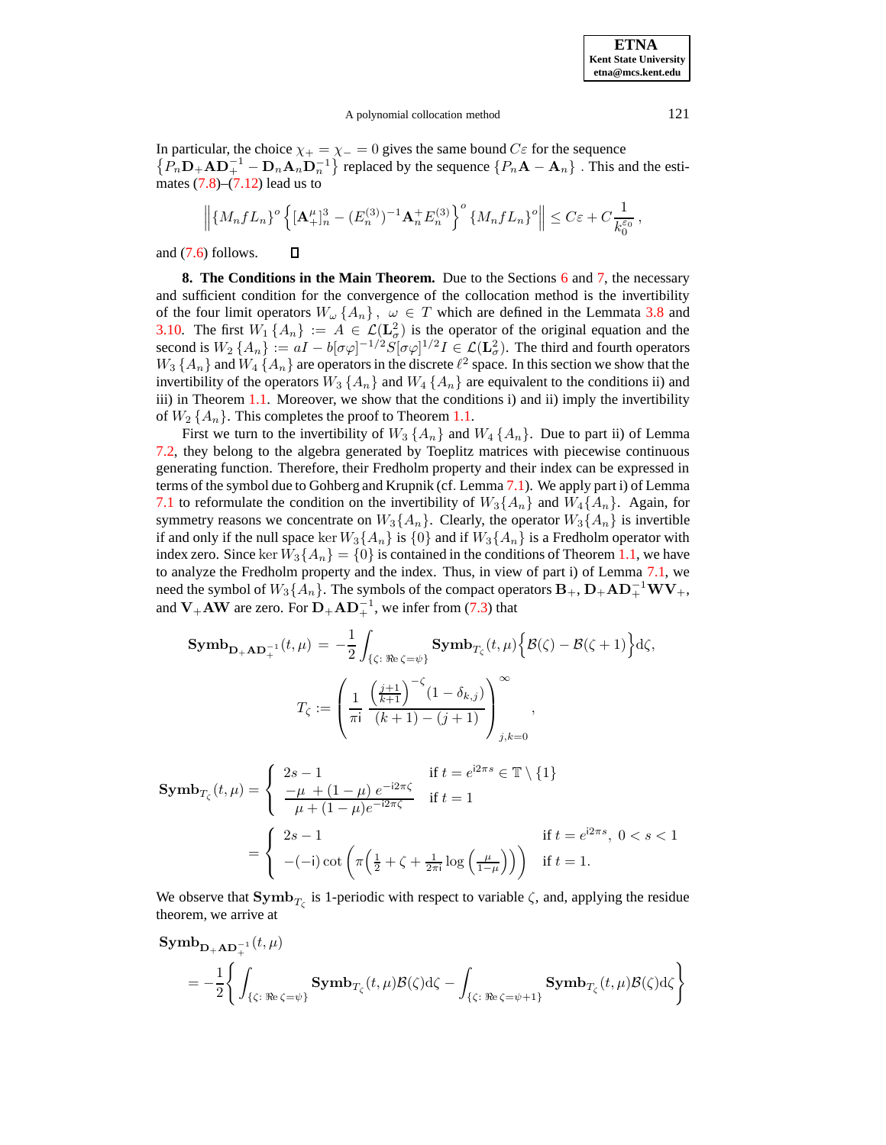A polynomial collocation method 121

In particular, the choice  $\chi_+ = \chi_- = 0$  gives the same bound  $C\varepsilon$  for the sequence  $\{P_n\mathbf{D}_+\mathbf{A}\mathbf{D}_+^{-1} - \mathbf{D}_n\mathbf{A}_n\mathbf{D}_n^{-1}\}\$  replaced by the sequence  $\{P_n\mathbf{A} - \mathbf{A}_n\}\$ . This and the estimates  $(7.8)$ – $(7.12)$  lead us to

$$
\left\| \{M_n f L_n\}^o \left\{ [\mathbf{A}_+^{\mu}]_n^3 - (E_n^{(3)})^{-1} \mathbf{A}_n^+ E_n^{(3)} \right\}^o \{M_n f L_n\}^o \right\| \leq C\varepsilon + C \frac{1}{k_0^{\varepsilon_0}},
$$

<span id="page-42-0"></span>and [\(7.6\)](#page-39-1) follows.  $\Box$ 

**8. The Conditions in the Main Theorem.** Due to the Sections [6](#page-32-1) and [7,](#page-36-0) the necessary and sufficient condition for the convergence of the collocation method is the invertibility of the four limit operators  $W_{\omega}\{A_n\}$ ,  $\omega \in T$  which are defined in the Lemmata [3.8](#page-10-0) and [3.10.](#page-13-0) The first  $W_1\{A_n\} := A \in \mathcal{L}(\mathbf{L}^2_\sigma)$  is the operator of the original equation and the second is  $W_2 \{A_n\} := aI - b[\sigma\varphi]^{-1/2} S[\sigma\varphi]^{1/2} I \in \mathcal{L}(\mathbf{L}^2_{\sigma}).$  The third and fourth operators  $W_3 \{A_n\}$  and  $W_4 \{A_n\}$  are operators in the discrete  $\ell^2$  space. In this section we show that the invertibility of the operators  $W_3 \{A_n\}$  and  $W_4 \{A_n\}$  are equivalent to the conditions ii) and iii) in Theorem [1.1.](#page-2-3) Moreover, we show that the conditions i) and ii) imply the invertibility of  $W_2 \{A_n\}$ . This completes the proof to Theorem [1.1.](#page-2-3)

First we turn to the invertibility of  $W_3 \{A_n\}$  and  $W_4 \{A_n\}$ . Due to part ii) of Lemma [7.2,](#page-37-1) they belong to the algebra generated by Toeplitz matrices with piecewise continuous generating function. Therefore, their Fredholm property and their index can be expressed in terms of the symbol due to Gohberg and Krupnik (cf. Lemma [7.1\)](#page-36-1). We apply part i) of Lemma [7.1](#page-36-1) to reformulate the condition on the invertibility of  $W_3\{A_n\}$  and  $W_4\{A_n\}$ . Again, for symmetry reasons we concentrate on  $W_3\{A_n\}$ . Clearly, the operator  $W_3\{A_n\}$  is invertible if and only if the null space ker  $W_3\{A_n\}$  is  $\{0\}$  and if  $W_3\{A_n\}$  is a Fredholm operator with index zero. Since ker  $W_3\{A_n\} = \{0\}$  is contained in the conditions of Theorem [1.1,](#page-2-3) we have to analyze the Fredholm property and the index. Thus, in view of part i) of Lemma [7.1,](#page-36-1) we need the symbol of  $W_3\{A_n\}$ . The symbols of the compact operators  $\mathbf{B}_+$ ,  $\mathbf{D}_+ \mathbf{A} \mathbf{D}_+^{-1} \mathbf{W} \mathbf{V}_+$ , and  $V_+AW$  are zero. For  $D_+AD_+^{-1}$ , we infer from [\(7.3\)](#page-39-0) that

$$
\mathbf{Symb}_{\mathbf{D}_{+}\mathbf{AD}_{+}^{-1}}(t,\mu) = -\frac{1}{2} \int_{\{\zeta: \Re e \, \zeta = \psi\}} \mathbf{Symb}_{T_{\zeta}}(t,\mu) \Big\{ \mathcal{B}(\zeta) - \mathcal{B}(\zeta + 1) \Big\} d\zeta,
$$

$$
T_{\zeta} := \left( \frac{1}{\pi i} \frac{\left(\frac{j+1}{k+1}\right)^{-\zeta} (1 - \delta_{k,j})}{(k+1) - (j+1)} \right)_{j,k=0}^{\infty},
$$

$$
\begin{aligned} \mathbf{Symb}_{T_{\zeta}}(t,\mu) &= \left\{ \begin{array}{ll} 2s-1 & \text{if } t = e^{i2\pi s} \in \mathbb{T} \setminus \{1\} \\ \frac{-\mu + (1-\mu)e^{-i2\pi\zeta}}{\mu + (1-\mu)e^{-i2\pi\zeta}} & \text{if } t = 1 \end{array} \right. \\ & = \left\{ \begin{array}{ll} 2s-1 & \text{if } t = e^{i2\pi s}, \ 0 < s < 1 \\ -(-\mathrm{i})\cot\left(\pi\left(\frac{1}{2} + \zeta + \frac{1}{2\pi\mathrm{i}}\log\left(\frac{\mu}{1-\mu}\right)\right)\right) & \text{if } t = 1. \end{array} \right. \end{aligned}
$$

We observe that  $\text{Symb}_{T_{\zeta}}$  is 1-periodic with respect to variable  $\zeta$ , and, applying the residue theorem, we arrive at

$$
\begin{aligned} & \text{Symb}_{\mathbf{D}_+\mathbf{AD}_+^{-1}}(t,\mu) \\ & = -\frac{1}{2}\Bigg\{\int_{\{\zeta:\:\:\Re\mathbf{c}=\psi\}} \mathbf{Symb}_{T_\zeta}(t,\mu)\mathcal{B}(\zeta)\mathrm{d}\zeta - \int_{\{\zeta:\:\:\Re\mathbf{c}=\psi+1\}} \mathbf{Symb}_{T_\zeta}(t,\mu)\mathcal{B}(\zeta)\mathrm{d}\zeta \Bigg\} \end{aligned}
$$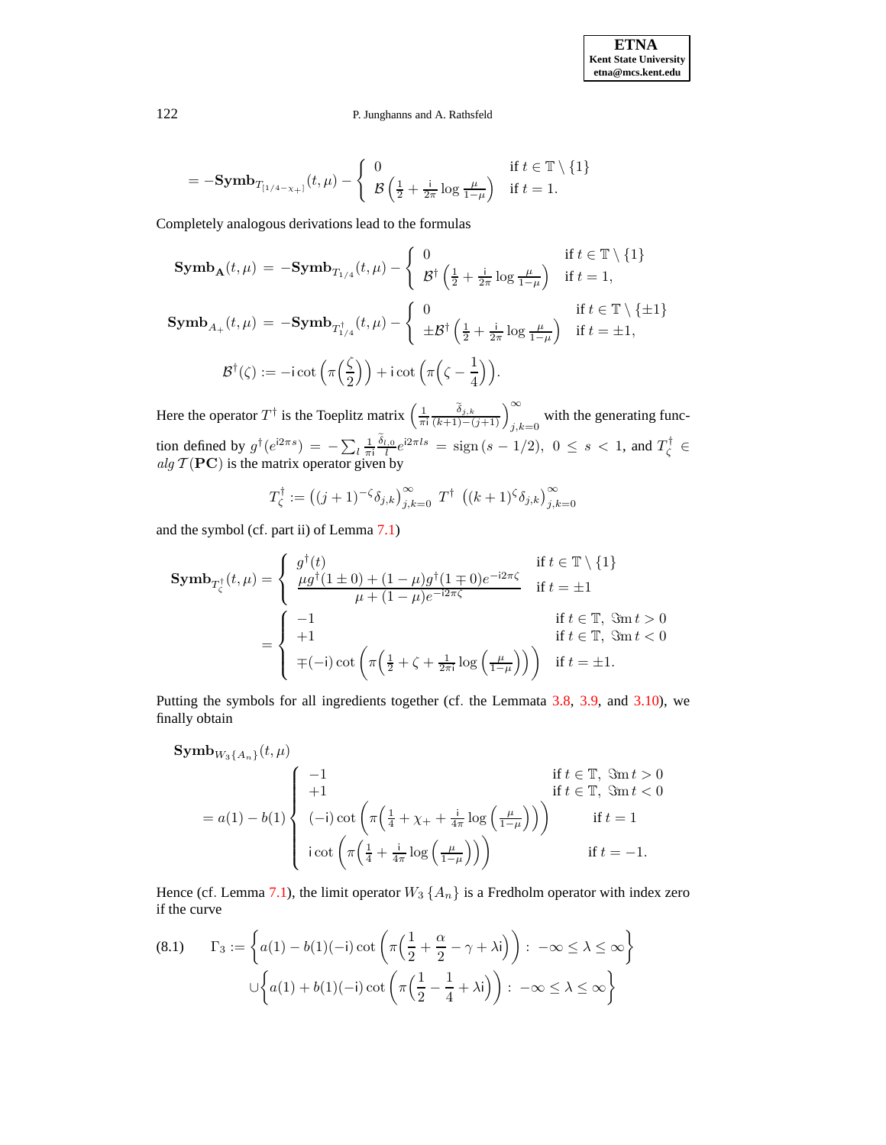$$
= -\text{Symb}_{T_{[1/4-\chi_+]}}(t,\mu) - \begin{cases} 0 & \text{if } t \in \mathbb{T} \setminus \{1\} \\ \mathcal{B}\left(\frac{1}{2} + \frac{i}{2\pi} \log \frac{\mu}{1-\mu}\right) & \text{if } t = 1. \end{cases}
$$

Completely analogous derivations lead to the formulas

$$
\begin{aligned}\n\textbf{Symb}_{\mathbf{A}}(t,\mu) &= -\textbf{Symb}_{T_{1/4}}(t,\mu) - \left\{ \begin{array}{ll} 0 & \text{if } t \in \mathbb{T} \setminus \{1\} \\ \mathcal{B}^{\dagger} \left(\frac{1}{2} + \frac{\mathrm{i}}{2\pi} \log \frac{\mu}{1-\mu}\right) & \text{if } t = 1, \end{array} \right. \\
\textbf{Symb}_{A_{+}}(t,\mu) &= -\textbf{Symb}_{T_{1/4}^{\dagger}}(t,\mu) - \left\{ \begin{array}{ll} 0 & \text{if } t \in \mathbb{T} \setminus \{\pm 1\} \\ \pm \mathcal{B}^{\dagger} \left(\frac{1}{2} + \frac{\mathrm{i}}{2\pi} \log \frac{\mu}{1-\mu}\right) & \text{if } t = \pm 1, \end{array} \right. \\
\mathcal{B}^{\dagger}(\zeta) &:= -\mathrm{i} \cot \left(\pi \left(\frac{\zeta}{2}\right)\right) + \mathrm{i} \cot \left(\pi \left(\zeta - \frac{1}{4}\right)\right).\n\end{aligned}
$$

Here the operator  $T^{\dagger}$  is the Toeplitz matrix  $\left(\frac{1}{\pi i} \frac{\tilde{\delta}_{j,k}}{(k+1)-(j+1)}\right)_{j,k=0}^{\infty}$  with the generating function defined by  $g^{\dagger} (e^{i2\pi s}) = -\sum_l \frac{1}{\pi i} \frac{\delta_{l,0}}{l} e^{i2\pi ls} = \text{sign}(s - 1/2), 0 \le s < 1$ , and  $T_{\zeta}^{\dagger} \in$ alg  $\mathcal{T}(\mathbf{PC})$  is the matrix operator given by

$$
T_{\zeta}^{\dagger} := ((j+1)^{-\zeta} \delta_{j,k})_{j,k=0}^{\infty} T^{\dagger} ((k+1)^{\zeta} \delta_{j,k})_{j,k=0}^{\infty}
$$

and the symbol (cf. part ii) of Lemma [7.1\)](#page-36-1)

$$
\mathbf{Symb}_{T_{\zeta}^{\dagger}}(t,\mu) = \begin{cases} g^{\dagger}(t) & \text{if } t \in \mathbb{T} \setminus \{1\} \\ \frac{\mu g^{\dagger}(1 \pm 0) + (1 - \mu)g^{\dagger}(1 \mp 0)e^{-i2\pi\zeta}}{\mu + (1 - \mu)e^{-i2\pi\zeta}} & \text{if } t = \pm 1 \end{cases}
$$

$$
= \begin{cases} -1 & \text{if } t \in \mathbb{T}, \ \Im \mathbf{m} \, t > 0 \\ +1 & \text{if } t \in \mathbb{T}, \ \Im \mathbf{m} \, t < 0 \\ \mp(-\mathrm{i}) \cot \left(\pi \left(\frac{1}{2} + \zeta + \frac{1}{2\pi\mathrm{i}} \log \left(\frac{\mu}{1 - \mu}\right)\right)\right) & \text{if } t = \pm 1. \end{cases}
$$

Putting the symbols for all ingredients together (cf. the Lemmata [3.8,](#page-10-0) [3.9,](#page-10-5) and [3.10\)](#page-13-0), we finally obtain

$$
\begin{aligned}\n\text{Symb}_{W_3\{A_n\}}(t,\mu) & \text{if } t \in \mathbb{T}, \ \Im \text{m } t > 0 \\
&= a(1) - b(1) \begin{cases}\n-1 & \text{if } t \in \mathbb{T}, \ \Im \text{m } t > 0 \\
(-i) \cot \left(\pi \left(\frac{1}{4} + \chi_+ + \frac{i}{4\pi} \log \left(\frac{\mu}{1-\mu}\right)\right)\right) & \text{if } t = 1 \\
i \cot \left(\pi \left(\frac{1}{4} + \frac{i}{4\pi} \log \left(\frac{\mu}{1-\mu}\right)\right)\right) & \text{if } t = -1.\n\end{cases}\n\end{aligned}
$$

Hence (cf. Lemma [7.1\)](#page-36-1), the limit operator  $W_3 \{A_n\}$  is a Fredholm operator with index zero if the curve

<span id="page-43-0"></span>(8.1) 
$$
\Gamma_3 := \left\{ a(1) - b(1)(-i) \cot \left( \pi \left( \frac{1}{2} + \frac{\alpha}{2} - \gamma + \lambda i \right) \right) : -\infty \le \lambda \le \infty \right\}
$$

$$
\cup \left\{ a(1) + b(1)(-i) \cot \left( \pi \left( \frac{1}{2} - \frac{1}{4} + \lambda i \right) \right) : -\infty \le \lambda \le \infty \right\}
$$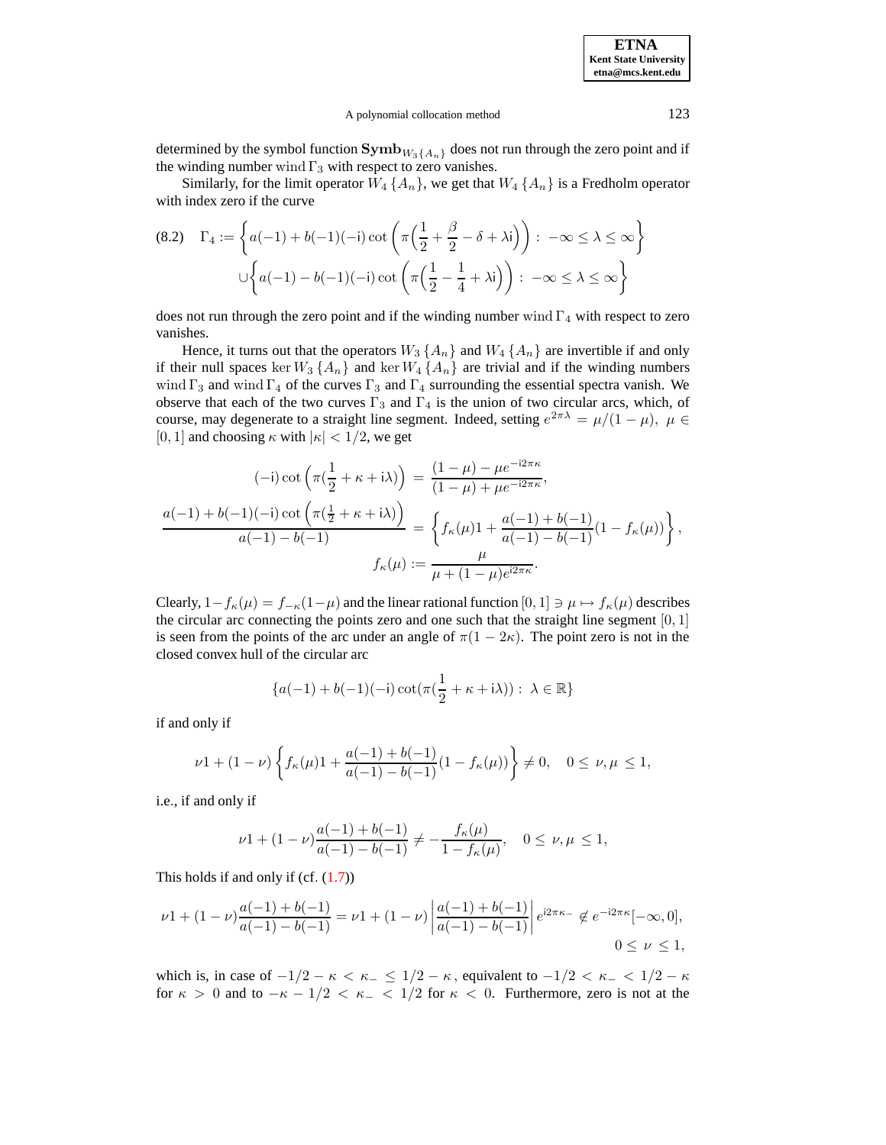#### A polynomial collocation method 123

determined by the symbol function  $\text{Symb}_{W_3{A_n}}$  does not run through the zero point and if the winding number wind  $\Gamma_3$  with respect to zero vanishes.

Similarly, for the limit operator  $W_4$   $\{A_n\}$ , we get that  $W_4$   $\{A_n\}$  is a Fredholm operator with index zero if the curve

<span id="page-44-0"></span>(8.2) 
$$
\Gamma_4 := \left\{ a(-1) + b(-1)(-i) \cot \left( \pi \left( \frac{1}{2} + \frac{\beta}{2} - \delta + \lambda i \right) \right) : -\infty \le \lambda \le \infty \right\}
$$

$$
\cup \left\{ a(-1) - b(-1)(-i) \cot \left( \pi \left( \frac{1}{2} - \frac{1}{4} + \lambda i \right) \right) : -\infty \le \lambda \le \infty \right\}
$$

does not run through the zero point and if the winding number wind  $\Gamma_4$  with respect to zero vanishes.

Hence, it turns out that the operators  $W_3 \{A_n\}$  and  $W_4 \{A_n\}$  are invertible if and only if their null spaces ker  $W_3 \{A_n\}$  and ker  $W_4 \{A_n\}$  are trivial and if the winding numbers wind  $\Gamma_3$  and wind  $\Gamma_4$  of the curves  $\Gamma_3$  and  $\Gamma_4$  surrounding the essential spectra vanish. We observe that each of the two curves  $\Gamma_3$  and  $\Gamma_4$  is the union of two circular arcs, which, of course, may degenerate to a straight line segment. Indeed, setting  $e^{2\pi\lambda} = \mu/(1 - \mu)$ ,  $\mu \in$ [0, 1] and choosing  $\kappa$  with  $|\kappa|$  < 1/2, we get

$$
(-i)\cot\left(\pi(\frac{1}{2}+\kappa+i\lambda)\right) = \frac{(1-\mu)-\mu e^{-i2\pi\kappa}}{(1-\mu)+\mu e^{-i2\pi\kappa}},
$$

$$
\frac{a(-1)+b(-1)(-i)\cot\left(\pi(\frac{1}{2}+\kappa+i\lambda)\right)}{a(-1)-b(-1)} = \left\{f_{\kappa}(\mu)1 + \frac{a(-1)+b(-1)}{a(-1)-b(-1)}(1-f_{\kappa}(\mu))\right\},
$$

$$
f_{\kappa}(\mu) := \frac{\mu}{\mu+(1-\mu)e^{i2\pi\kappa}}.
$$

Clearly,  $1-f_{\kappa}(\mu) = f_{-\kappa}(1-\mu)$  and the linear rational function  $[0,1] \ni \mu \mapsto f_{\kappa}(\mu)$  describes the circular arc connecting the points zero and one such that the straight line segment  $[0, 1]$ is seen from the points of the arc under an angle of  $\pi(1 - 2\kappa)$ . The point zero is not in the closed convex hull of the circular arc

$$
\{a(-1)+b(-1)(-i)\cot(\pi(\frac{1}{2}+\kappa+i\lambda)):\ \lambda\in\mathbb{R}\}
$$

if and only if

$$
\nu 1 + (1 - \nu) \left\{ f_{\kappa}(\mu) 1 + \frac{a(-1) + b(-1)}{a(-1) - b(-1)} (1 - f_{\kappa}(\mu)) \right\} \neq 0, \quad 0 \le \nu, \mu \le 1,
$$

i.e., if and only if

$$
\nu1+(1-\nu)\frac{a(-1)+b(-1)}{a(-1)-b(-1)}\neq -\frac{f_{\kappa}(\mu)}{1-f_{\kappa}(\mu)},\quad 0\leq\nu,\mu\leq 1,
$$

This holds if and only if  $(cf. (1.7))$  $(cf. (1.7))$  $(cf. (1.7))$ 

$$
\nu 1 + (1 - \nu) \frac{a(-1) + b(-1)}{a(-1) - b(-1)} = \nu 1 + (1 - \nu) \left| \frac{a(-1) + b(-1)}{a(-1) - b(-1)} \right| e^{i2\pi\kappa_{-}} \notin e^{-i2\pi\kappa}[-\infty, 0],
$$
  

$$
0 \le \nu \le 1,
$$

which is, in case of  $-1/2 - \kappa < \kappa_- \leq 1/2 - \kappa$ , equivalent to  $-1/2 < \kappa_- < 1/2 - \kappa$ for  $\kappa > 0$  and to  $-\kappa - 1/2 < \kappa$   $< 1/2$  for  $\kappa < 0$ . Furthermore, zero is not at the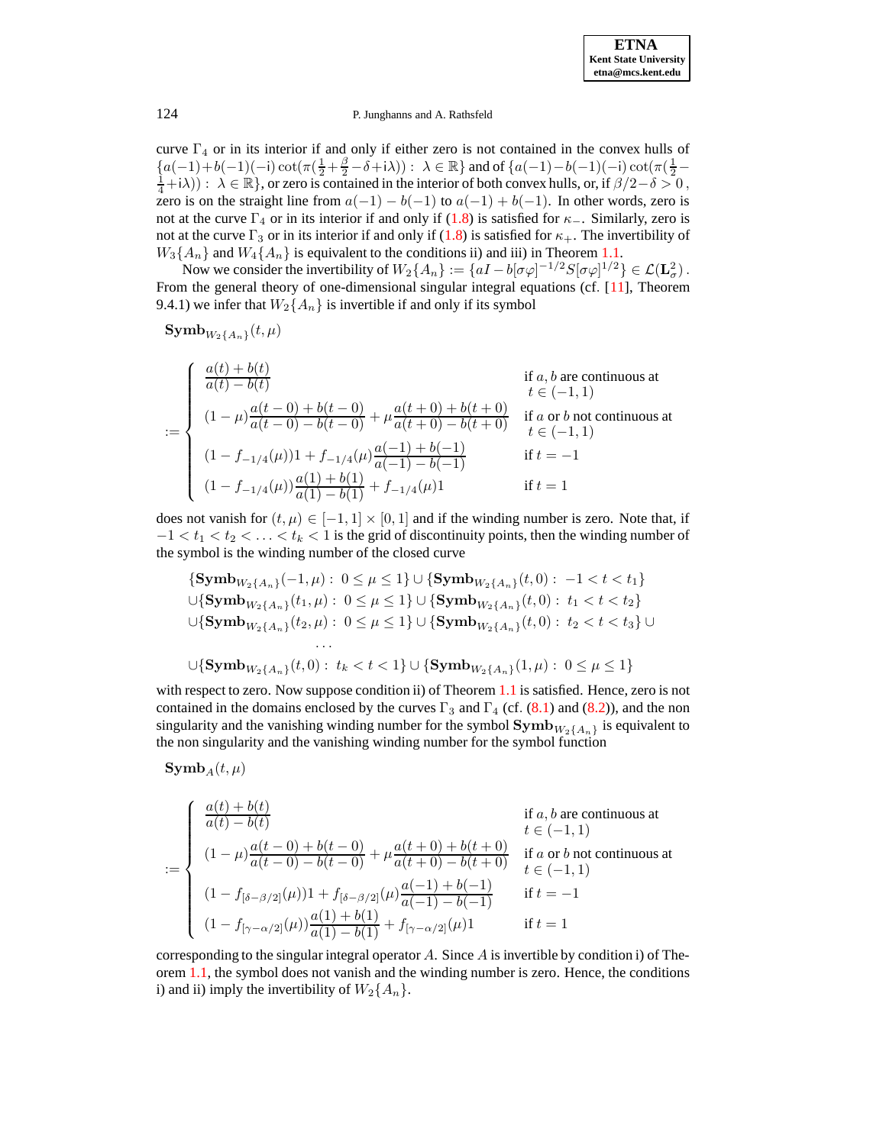curve  $\Gamma_4$  or in its interior if and only if either zero is not contained in the convex hulls of  ${a(-1)+b(-1)(-i)\cot(\pi(\frac{1}{2}+\frac{\beta}{2}-\delta+i\lambda)):\ \lambda\in\mathbb{R}}$  and of  ${a(-1)-b(-1)(-i)\cot(\pi(\frac{1}{2}-\delta+i\lambda)):\ \lambda\in\mathbb{R}}$  $(\frac{1}{4} + i\lambda)$ :  $\lambda \in \mathbb{R}$ , or zero is contained in the interior of both convex hulls, or, if  $\beta/2 - \delta > 0$ , zero is on the straight line from  $a(-1) - b(-1)$  to  $a(-1) + b(-1)$ . In other words, zero is not at the curve  $\Gamma_4$  or in its interior if and only if [\(1.8\)](#page-2-2) is satisfied for  $\kappa$ <sub>−</sub>. Similarly, zero is not at the curve  $\Gamma_3$  or in its interior if and only if [\(1.8\)](#page-2-2) is satisfied for  $\kappa_+$ . The invertibility of  $W_3\{A_n\}$  and  $W_4\{A_n\}$  is equivalent to the conditions ii) and iii) in Theorem [1.1.](#page-2-3)

Now we consider the invertibility of  $W_2\{A_n\} := \{aI - b[\sigma\varphi]^{-1/2}S[\sigma\varphi]^{1/2}\} \in \mathcal{L}(\mathbf{L}^2_{\sigma})$ . From the general theory of one-dimensional singular integral equations (cf. [\[11\]](#page-46-17), Theorem 9.4.1) we infer that  $W_2\{A_n\}$  is invertible if and only if its symbol

$$
\mathbf{Symb}_{W_2\{A_n\}}(t,\mu)
$$

$$
\begin{cases}\n\frac{a(t) + b(t)}{a(t) - b(t)} & \text{if } a, b \text{ are continuous at} \\
(1 - \mu) \frac{a(t - 0) + b(t - 0)}{a(t - 0) - b(t - 0)} + \mu \frac{a(t + 0) + b(t + 0)}{a(t + 0) - b(t + 0)} & \text{if } a \text{ or } b \text{ not continuous at} \\
(1 - f_{-1/4}(\mu))1 + f_{-1/4}(\mu) \frac{a(-1) + b(-1)}{a(-1) - b(-1)} & \text{if } t = -1 \\
(1 - f_{-1/4}(\mu)) \frac{a(1) + b(1)}{a(1) - b(1)} + f_{-1/4}(\mu)1 & \text{if } t = 1\n\end{cases}
$$

does not vanish for  $(t, \mu) \in [-1, 1] \times [0, 1]$  and if the winding number is zero. Note that, if  $-1 < t_1 < t_2 < \ldots < t_k < 1$  is the grid of discontinuity points, then the winding number of the symbol is the winding number of the closed curve

$$
{\bf \{Symb}_{W_2\{A_n\}}(-1,\mu): 0 \leq \mu \leq 1\} \cup {\bf \{Symb}_{W_2\{A_n\}}(t,0): -1 < t < t_1\} \cup {\bf \{Symb}_{W_2\{A_n\}}(t_1,\mu): 0 \leq \mu \leq 1\} \cup {\bf \{Symb}_{W_2\{A_n\}}(t,0): t_1 < t < t_2\} \cup {\bf \{Symb}_{W_2\{A_n\}}(t_2,\mu): 0 \leq \mu \leq 1\} \cup {\bf \{Symb}_{W_2\{A_n\}}(t,0): t_2 < t < t_3\} \cup \cdots \cup {\bf \{Symb}_{W_2\{A_n\}}(t,0): t_k < t < 1\} \cup {\bf \{Symb}_{W_2\{A_n\}}(1,\mu): 0 \leq \mu \leq 1\}
$$

with respect to zero. Now suppose condition ii) of Theorem [1.1](#page-2-3) is satisfied. Hence, zero is not contained in the domains enclosed by the curves  $\Gamma_3$  and  $\Gamma_4$  (cf. [\(8.1\)](#page-43-0) and [\(8.2\)](#page-44-0)), and the non singularity and the vanishing winding number for the symbol  $\text{Symb}_{W_2\{A_n\}}$  is equivalent to the non singularity and the vanishing winding number for the symbol function

$$
\mathbf{Symb}_A(t,\mu)
$$

$$
\begin{cases}\n\frac{a(t) + b(t)}{a(t) - b(t)} & \text{if } a, b \text{ are continuous at} \\
(1 - \mu) \frac{a(t - 0) + b(t - 0)}{a(t - 0) - b(t - 0)} + \mu \frac{a(t + 0) + b(t + 0)}{a(t + 0) - b(t + 0)} & \text{if } a \text{ or } b \text{ not continuous at} \\
(1 - f_{[\delta - \beta/2]}(\mu))1 + f_{[\delta - \beta/2]}(\mu) \frac{a(-1) + b(-1)}{a(-1) - b(-1)} & \text{if } t = -1 \\
(1 - f_{[\gamma - \alpha/2]}(\mu)) \frac{a(1) + b(1)}{a(1) - b(1)} + f_{[\gamma - \alpha/2]}(\mu)1 & \text{if } t = 1\n\end{cases}
$$

corresponding to the singular integral operator  $A$ . Since  $A$  is invertible by condition i) of Theorem [1.1,](#page-2-3) the symbol does not vanish and the winding number is zero. Hence, the conditions i) and ii) imply the invertibility of  $W_2\{A_n\}$ .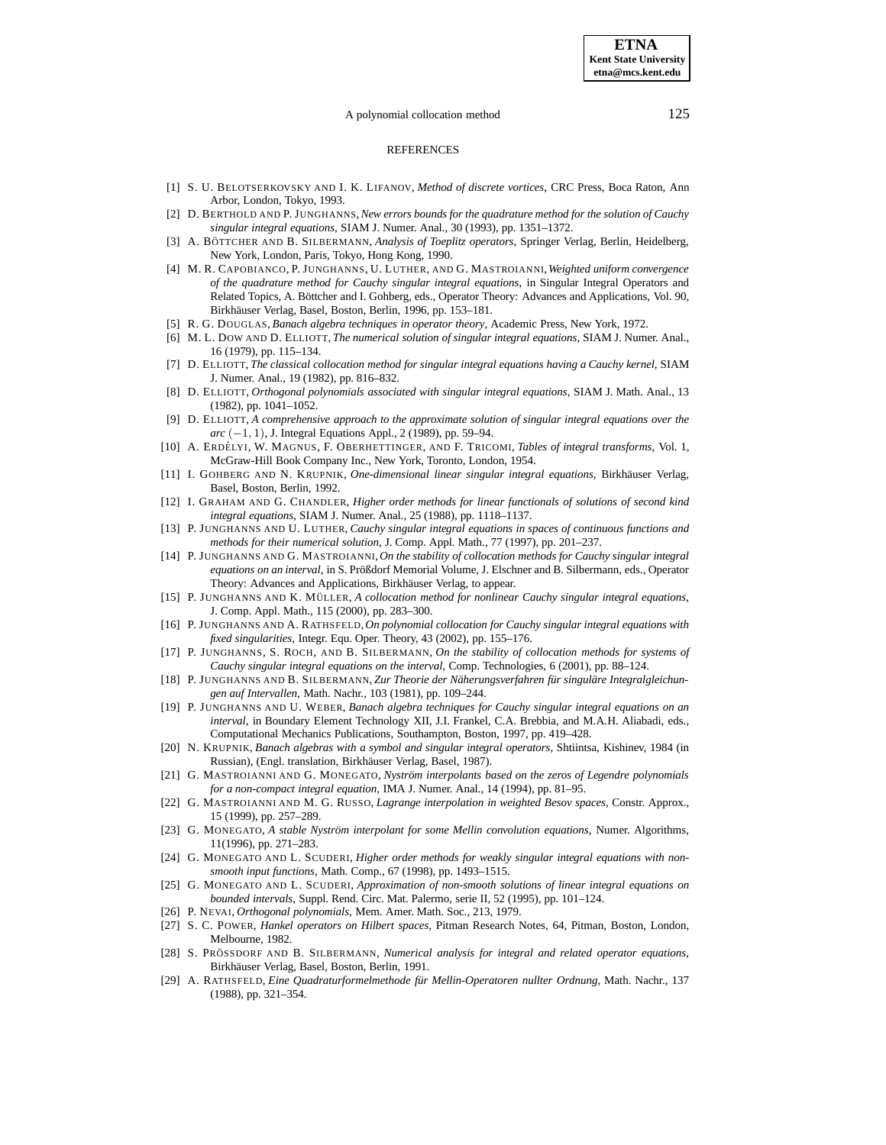### A polynomial collocation method 125

#### REFERENCES

- <span id="page-46-0"></span>[1] S. U. BELOTSERKOVSKY AND I. K. LIFANOV, *Method of discrete vortices*, CRC Press, Boca Raton, Ann Arbor, London, Tokyo, 1993.
- <span id="page-46-1"></span>[2] D. BERTHOLD AND P. JUNGHANNS,*New errors bounds for the quadrature method for the solution of Cauchy singular integral equations*, SIAM J. Numer. Anal., 30 (1993), pp. 1351–1372.
- <span id="page-46-25"></span>[3] A. BÖTTCHER AND B. SILBERMANN, *Analysis of Toeplitz operators*, Springer Verlag, Berlin, Heidelberg, New York, London, Paris, Tokyo, Hong Kong, 1990.
- <span id="page-46-2"></span>[4] M. R. CAPOBIANCO, P. JUNGHANNS, U. LUTHER, AND G. MASTROIANNI,*Weighted uniform convergence of the quadrature method for Cauchy singular integral equations*, in Singular Integral Operators and Related Topics, A. Böttcher and I. Gohberg, eds., Operator Theory: Advances and Applications, Vol. 90, Birkhäuser Verlag, Basel, Boston, Berlin, 1996, pp. 153-181.
- <span id="page-46-26"></span><span id="page-46-3"></span>[5] R. G. DOUGLAS, *Banach algebra techniques in operator theory*, Academic Press, New York, 1972.
- <span id="page-46-4"></span>[6] M. L. DOW AND D. ELLIOTT, *The numerical solution of singular integral equations*, SIAM J. Numer. Anal., 16 (1979), pp. 115–134.
- [7] D. ELLIOTT, *The classical collocation method for singular integral equations having a Cauchy kernel*, SIAM J. Numer. Anal., 19 (1982), pp. 816–832.
- <span id="page-46-5"></span>[8] D. ELLIOTT, *Orthogonal polynomials associated with singular integral equations*, SIAM J. Math. Anal., 13 (1982), pp. 1041–1052.
- <span id="page-46-6"></span>[9] D. ELLIOTT, *A comprehensive approach to the approximate solution of singular integral equations over the arc* (−1, 1), J. Integral Equations Appl., 2 (1989), pp. 59–94.
- <span id="page-46-28"></span>[10] A. ERDE´ LYI, W. MAGNUS, F. OBERHETTINGER, AND F. TRICOMI, *Tables of integral transforms*, Vol. 1, McGraw-Hill Book Company Inc., New York, Toronto, London, 1954.
- <span id="page-46-17"></span>[11] I. GOHBERG AND N. KRUPNIK, *One-dimensional linear singular integral equations*, Birkhauser ¨ Verlag, Basel, Boston, Berlin, 1992.
- <span id="page-46-18"></span>[12] I. GRAHAM AND G. CHANDLER, *Higher order methods for linear functionals of solutions of second kind integral equations*, SIAM J. Numer. Anal., 25 (1988), pp. 1118–1137.
- <span id="page-46-7"></span>[13] P. JUNGHANNS AND U. LUTHER, *Cauchy singular integral equations in spaces of continuous functions and methods for their numerical solution*, J. Comp. Appl. Math., 77 (1997), pp. 201–237.
- <span id="page-46-20"></span>[14] P. JUNGHANNS AND G. MASTROIANNI,*On the stability of collocation methods for Cauchy singular integral equations on an interval*, in S. Prößdorf Memorial Volume, J. Elschner and B. Silbermann, eds., Operator Theory: Advances and Applications, Birkhäuser Verlag, to appear.
- <span id="page-46-10"></span>[15] P. JUNGHANNS AND K. MU¨ LLER, *A collocation method for nonlinear Cauchy singular integral equations*, J. Comp. Appl. Math., 115 (2000), pp. 283–300.
- <span id="page-46-21"></span>[16] P. JUNGHANNS AND A. RATHSFELD,*On polynomial collocation for Cauchy singular integral equations with fixed singularities*, Integr. Equ. Oper. Theory, 43 (2002), pp. 155–176.
- <span id="page-46-15"></span>[17] P. JUNGHANNS, S. ROCH, AND B. SILBERMANN, *On the stability of collocation methods for systems of Cauchy singular integral equations on the interval*, Comp. Technologies, 6 (2001), pp. 88–124.
- <span id="page-46-8"></span>[18] P. JUNGHANNS AND B. SILBERMANN, *Zur Theorie der Naherungsverfahr ¨ en fur¨ singular¨ e Integralgleichungen auf Intervallen*, Math. Nachr., 103 (1981), pp. 109–244.
- <span id="page-46-16"></span>[19] P. JUNGHANNS AND U. WEBER, *Banach algebra techniques for Cauchy singular integral equations on an interval*, in Boundary Element Technology XII, J.I. Frankel, C.A. Brebbia, and M.A.H. Aliabadi, eds., Computational Mechanics Publications, Southampton, Boston, 1997, pp. 419–428.
- <span id="page-46-19"></span>[20] N. KRUPNIK, *Banach algebras with a symbol and singular integral operators*, Shtiintsa, Kishinev, 1984 (in Russian), (Engl. translation, Birkhäuser Verlag, Basel, 1987).
- <span id="page-46-13"></span>[21] G. MASTROIANNI AND G. MONEGATO, *Nystrom¨ interpolants based on the zeros of Legendre polynomials for a non-compact integral equation*, IMA J. Numer. Anal., 14 (1994), pp. 81–95.
- <span id="page-46-23"></span>[22] G. MASTROIANNI AND M. G. RUSSO, *Lagrange interpolation in weighted Besov spaces*, Constr. Approx., 15 (1999), pp. 257–289.
- <span id="page-46-14"></span>[23] G. MONEGATO, *A stable Nystrom¨ interpolant for some Mellin convolution equations*, Numer. Algorithms, 11(1996), pp. 271–283.
- <span id="page-46-11"></span>[24] G. MONEGATO AND L. SCUDERI, *Higher order methods for weakly singular integral equations with nonsmooth input functions*, Math. Comp., 67 (1998), pp. 1493–1515.
- <span id="page-46-12"></span>[25] G. MONEGATO AND L. SCUDERI, *Approximation of non-smooth solutions of linear integral equations on bounded intervals*, Suppl. Rend. Circ. Mat. Palermo, serie II, 52 (1995), pp. 101–124.
- <span id="page-46-27"></span><span id="page-46-22"></span>[26] P. NEVAI, *Orthogonal polynomials*, Mem. Amer. Math. Soc., 213, 1979.
- [27] S. C. POWER, *Hankel operators on Hilbert spaces*, Pitman Research Notes, 64, Pitman, Boston, London, Melbourne, 1982.
- <span id="page-46-9"></span>[28] S. PRO¨ SSDORF AND B. SILBERMANN, *Numerical analysis for integral and related operator equations*, Birkhäuser Verlag, Basel, Boston, Berlin, 1991.
- <span id="page-46-24"></span>[29] A. RATHSFELD, *Eine Quadraturformelmethode fur¨ Mellin-Operatoren nullter Ordnung*, Math. Nachr., 137 (1988), pp. 321–354.